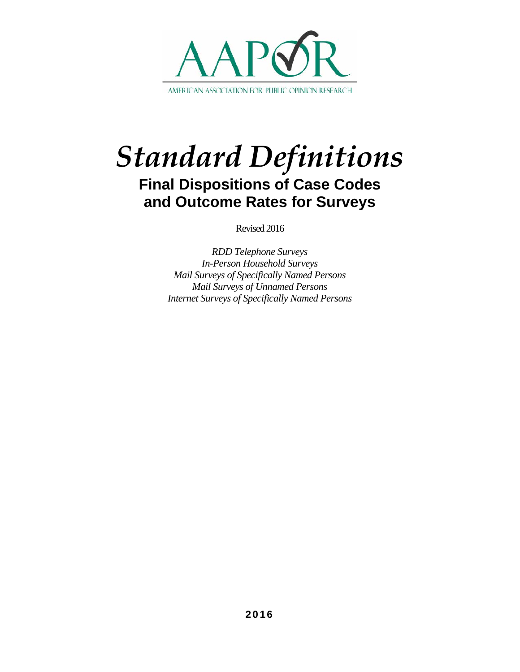

## *Standard Definitions* **Final Dispositions of Case Codes and Outcome Rates for Surveys**

Revised 2016

*RDD Telephone Surveys In-Person Household Surveys Mail Surveys of Specifically Named Persons Mail Surveys of Unnamed Persons Internet Surveys of Specifically Named Persons*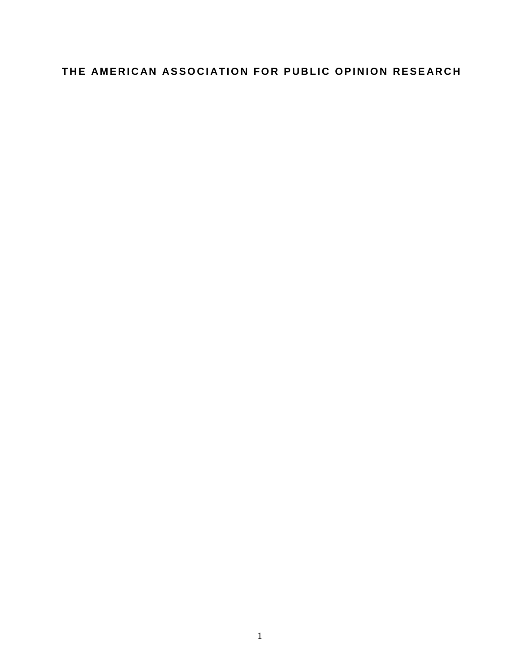**THE AMERICAN ASSOCIATION FOR PUBLIC OPINION RESEARCH**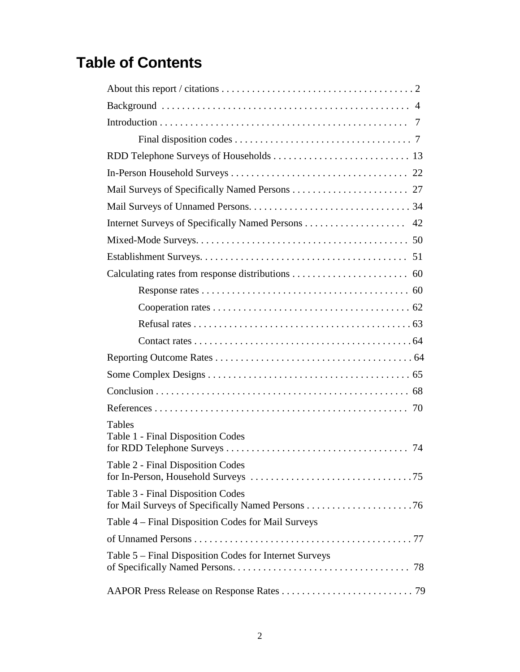### **Table of Contents**

| <b>Tables</b>                                          |
|--------------------------------------------------------|
| Table 1 - Final Disposition Codes                      |
| Table 2 - Final Disposition Codes                      |
| Table 3 - Final Disposition Codes                      |
| Table 4 – Final Disposition Codes for Mail Surveys     |
|                                                        |
| Table 5 – Final Disposition Codes for Internet Surveys |
|                                                        |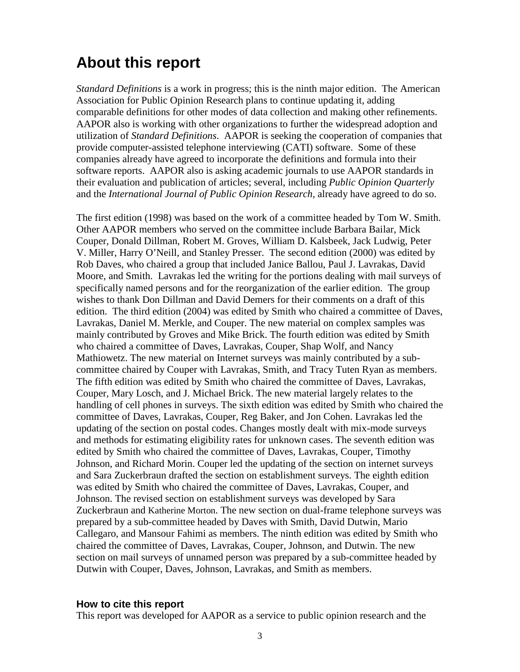### **About this report**

*Standard Definitions* is a work in progress; this is the ninth major edition. The American Association for Public Opinion Research plans to continue updating it, adding comparable definitions for other modes of data collection and making other refinements. AAPOR also is working with other organizations to further the widespread adoption and utilization of *Standard Definitions*. AAPOR is seeking the cooperation of companies that provide computer-assisted telephone interviewing (CATI) software. Some of these companies already have agreed to incorporate the definitions and formula into their software reports. AAPOR also is asking academic journals to use AAPOR standards in their evaluation and publication of articles; several, including *Public Opinion Quarterly*  and the *International Journal of Public Opinion Research*, already have agreed to do so.

The first edition (1998) was based on the work of a committee headed by Tom W. Smith. Other AAPOR members who served on the committee include Barbara Bailar, Mick Couper, Donald Dillman, Robert M. Groves, William D. Kalsbeek, Jack Ludwig, Peter V. Miller, Harry O'Neill, and Stanley Presser. The second edition (2000) was edited by Rob Daves, who chaired a group that included Janice Ballou, Paul J. Lavrakas, David Moore, and Smith. Lavrakas led the writing for the portions dealing with mail surveys of specifically named persons and for the reorganization of the earlier edition. The group wishes to thank Don Dillman and David Demers for their comments on a draft of this edition. The third edition (2004) was edited by Smith who chaired a committee of Daves, Lavrakas, Daniel M. Merkle, and Couper. The new material on complex samples was mainly contributed by Groves and Mike Brick. The fourth edition was edited by Smith who chaired a committee of Daves, Lavrakas, Couper, Shap Wolf, and Nancy Mathiowetz. The new material on Internet surveys was mainly contributed by a subcommittee chaired by Couper with Lavrakas, Smith, and Tracy Tuten Ryan as members. The fifth edition was edited by Smith who chaired the committee of Daves, Lavrakas, Couper, Mary Losch, and J. Michael Brick. The new material largely relates to the handling of cell phones in surveys. The sixth edition was edited by Smith who chaired the committee of Daves, Lavrakas, Couper, Reg Baker, and Jon Cohen. Lavrakas led the updating of the section on postal codes. Changes mostly dealt with mix-mode surveys and methods for estimating eligibility rates for unknown cases. The seventh edition was edited by Smith who chaired the committee of Daves, Lavrakas, Couper, Timothy Johnson, and Richard Morin. Couper led the updating of the section on internet surveys and Sara Zuckerbraun drafted the section on establishment surveys. The eighth edition was edited by Smith who chaired the committee of Daves, Lavrakas, Couper, and Johnson. The revised section on establishment surveys was developed by Sara Zuckerbraun and Katherine Morton. The new section on dual-frame telephone surveys was prepared by a sub-committee headed by Daves with Smith, David Dutwin, Mario Callegaro, and Mansour Fahimi as members. The ninth edition was edited by Smith who chaired the committee of Daves, Lavrakas, Couper, Johnson, and Dutwin. The new section on mail surveys of unnamed person was prepared by a sub-committee headed by Dutwin with Couper, Daves, Johnson, Lavrakas, and Smith as members.

#### **How to cite this report**

This report was developed for AAPOR as a service to public opinion research and the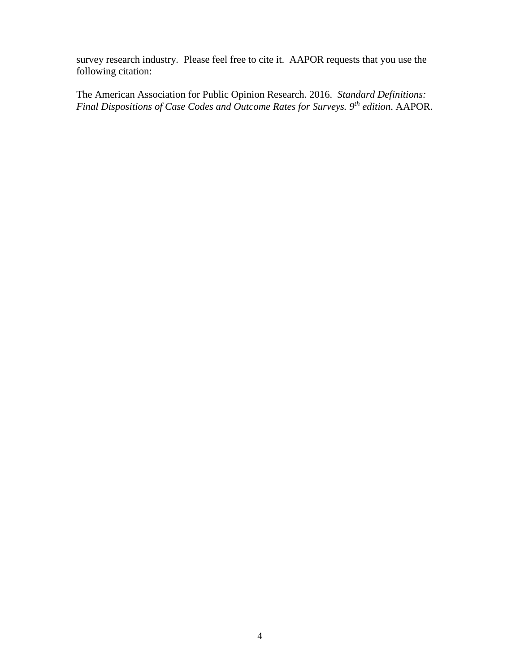survey research industry. Please feel free to cite it. AAPOR requests that you use the following citation:

The American Association for Public Opinion Research. 2016. *Standard Definitions: Final Dispositions of Case Codes and Outcome Rates for Surveys. 9th edition*. AAPOR.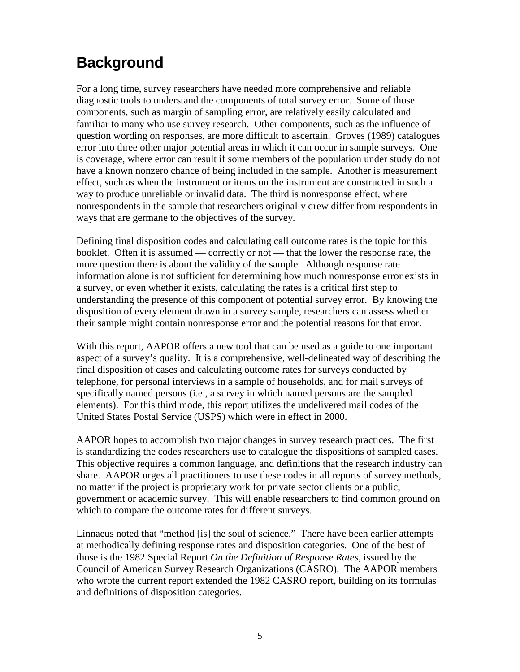### **Background**

For a long time, survey researchers have needed more comprehensive and reliable diagnostic tools to understand the components of total survey error. Some of those components, such as margin of sampling error, are relatively easily calculated and familiar to many who use survey research. Other components, such as the influence of question wording on responses, are more difficult to ascertain. Groves (1989) catalogues error into three other major potential areas in which it can occur in sample surveys. One is coverage, where error can result if some members of the population under study do not have a known nonzero chance of being included in the sample. Another is measurement effect, such as when the instrument or items on the instrument are constructed in such a way to produce unreliable or invalid data. The third is nonresponse effect, where nonrespondents in the sample that researchers originally drew differ from respondents in ways that are germane to the objectives of the survey.

Defining final disposition codes and calculating call outcome rates is the topic for this booklet. Often it is assumed — correctly or not — that the lower the response rate, the more question there is about the validity of the sample. Although response rate information alone is not sufficient for determining how much nonresponse error exists in a survey, or even whether it exists, calculating the rates is a critical first step to understanding the presence of this component of potential survey error. By knowing the disposition of every element drawn in a survey sample, researchers can assess whether their sample might contain nonresponse error and the potential reasons for that error.

With this report, AAPOR offers a new tool that can be used as a guide to one important aspect of a survey's quality. It is a comprehensive, well-delineated way of describing the final disposition of cases and calculating outcome rates for surveys conducted by telephone, for personal interviews in a sample of households, and for mail surveys of specifically named persons (i.e., a survey in which named persons are the sampled elements). For this third mode, this report utilizes the undelivered mail codes of the United States Postal Service (USPS) which were in effect in 2000.

AAPOR hopes to accomplish two major changes in survey research practices. The first is standardizing the codes researchers use to catalogue the dispositions of sampled cases. This objective requires a common language, and definitions that the research industry can share. AAPOR urges all practitioners to use these codes in all reports of survey methods, no matter if the project is proprietary work for private sector clients or a public, government or academic survey. This will enable researchers to find common ground on which to compare the outcome rates for different surveys.

Linnaeus noted that "method [is] the soul of science." There have been earlier attempts at methodically defining response rates and disposition categories. One of the best of those is the 1982 Special Report *On the Definition of Response Rates*, issued by the Council of American Survey Research Organizations (CASRO). The AAPOR members who wrote the current report extended the 1982 CASRO report, building on its formulas and definitions of disposition categories.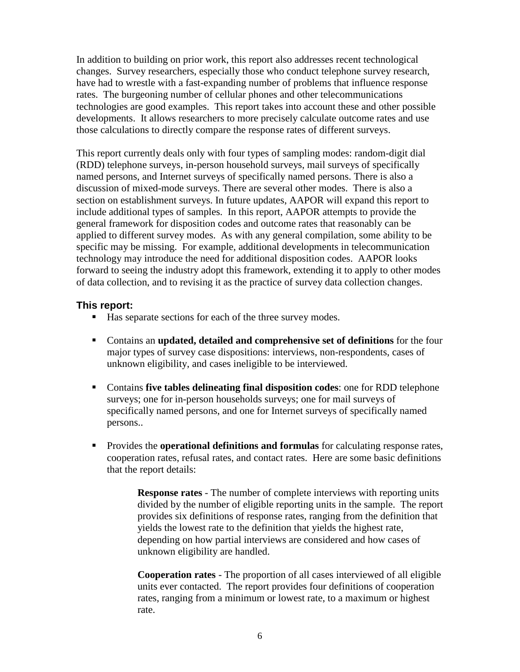In addition to building on prior work, this report also addresses recent technological changes. Survey researchers, especially those who conduct telephone survey research, have had to wrestle with a fast-expanding number of problems that influence response rates. The burgeoning number of cellular phones and other telecommunications technologies are good examples. This report takes into account these and other possible developments. It allows researchers to more precisely calculate outcome rates and use those calculations to directly compare the response rates of different surveys.

This report currently deals only with four types of sampling modes: random-digit dial (RDD) telephone surveys, in-person household surveys, mail surveys of specifically named persons, and Internet surveys of specifically named persons. There is also a discussion of mixed-mode surveys. There are several other modes. There is also a section on establishment surveys. In future updates, AAPOR will expand this report to include additional types of samples. In this report, AAPOR attempts to provide the general framework for disposition codes and outcome rates that reasonably can be applied to different survey modes. As with any general compilation, some ability to be specific may be missing. For example, additional developments in telecommunication technology may introduce the need for additional disposition codes. AAPOR looks forward to seeing the industry adopt this framework, extending it to apply to other modes of data collection, and to revising it as the practice of survey data collection changes.

#### **This report:**

- Has separate sections for each of the three survey modes.
- Contains an **updated, detailed and comprehensive set of definitions** for the four major types of survey case dispositions: interviews, non-respondents, cases of unknown eligibility, and cases ineligible to be interviewed.
- Contains **five tables delineating final disposition codes**: one for RDD telephone surveys; one for in-person households surveys; one for mail surveys of specifically named persons, and one for Internet surveys of specifically named persons..
- Provides the **operational definitions and formulas** for calculating response rates, cooperation rates, refusal rates, and contact rates. Here are some basic definitions that the report details:

**Response rates** - The number of complete interviews with reporting units divided by the number of eligible reporting units in the sample. The report provides six definitions of response rates, ranging from the definition that yields the lowest rate to the definition that yields the highest rate, depending on how partial interviews are considered and how cases of unknown eligibility are handled.

**Cooperation rates** - The proportion of all cases interviewed of all eligible units ever contacted. The report provides four definitions of cooperation rates, ranging from a minimum or lowest rate, to a maximum or highest rate.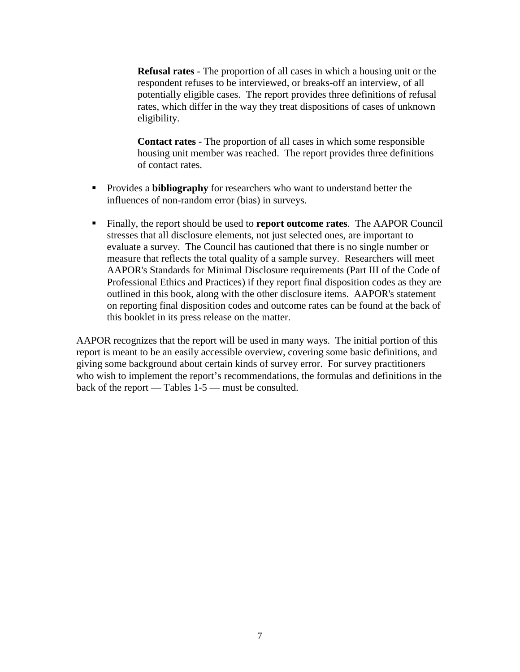**Refusal rates** - The proportion of all cases in which a housing unit or the respondent refuses to be interviewed, or breaks-off an interview, of all potentially eligible cases. The report provides three definitions of refusal rates, which differ in the way they treat dispositions of cases of unknown eligibility.

**Contact rates** - The proportion of all cases in which some responsible housing unit member was reached. The report provides three definitions of contact rates.

- **Provides a bibliography** for researchers who want to understand better the influences of non-random error (bias) in surveys.
- Finally, the report should be used to **report outcome rates**. The AAPOR Council stresses that all disclosure elements, not just selected ones, are important to evaluate a survey. The Council has cautioned that there is no single number or measure that reflects the total quality of a sample survey. Researchers will meet AAPOR's Standards for Minimal Disclosure requirements (Part III of the Code of Professional Ethics and Practices) if they report final disposition codes as they are outlined in this book, along with the other disclosure items. AAPOR's statement on reporting final disposition codes and outcome rates can be found at the back of this booklet in its press release on the matter.

AAPOR recognizes that the report will be used in many ways. The initial portion of this report is meant to be an easily accessible overview, covering some basic definitions, and giving some background about certain kinds of survey error. For survey practitioners who wish to implement the report's recommendations, the formulas and definitions in the back of the report — Tables 1-5 — must be consulted.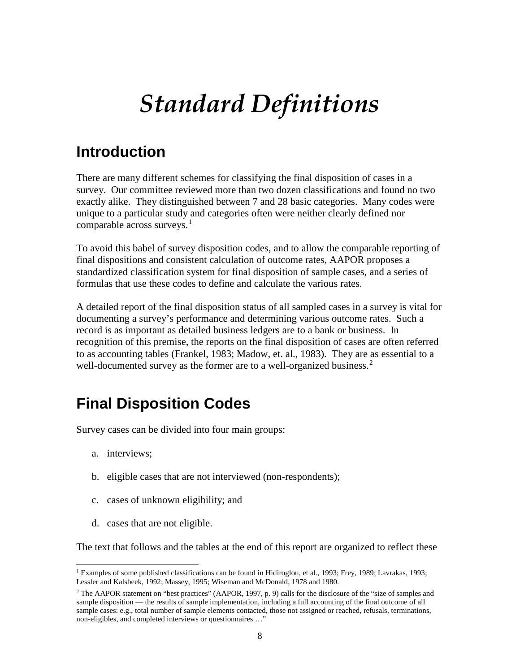# *Standard Definitions*

### **Introduction**

There are many different schemes for classifying the final disposition of cases in a survey. Our committee reviewed more than two dozen classifications and found no two exactly alike. They distinguished between 7 and 28 basic categories. Many codes were unique to a particular study and categories often were neither clearly defined nor comparable across surveys.<sup>[1](#page-8-0)</sup>

To avoid this babel of survey disposition codes, and to allow the comparable reporting of final dispositions and consistent calculation of outcome rates, AAPOR proposes a standardized classification system for final disposition of sample cases, and a series of formulas that use these codes to define and calculate the various rates.

A detailed report of the final disposition status of all sampled cases in a survey is vital for documenting a survey's performance and determining various outcome rates. Such a record is as important as detailed business ledgers are to a bank or business. In recognition of this premise, the reports on the final disposition of cases are often referred to as accounting tables (Frankel, 1983; Madow, et. al., 1983). They are as essential to a well-documented survey as the former are to a well-organized business.<sup>[2](#page-8-1)</sup>

### **Final Disposition Codes**

Survey cases can be divided into four main groups:

- a. interviews;
- b. eligible cases that are not interviewed (non-respondents);
- c. cases of unknown eligibility; and
- d. cases that are not eligible.

The text that follows and the tables at the end of this report are organized to reflect these

<span id="page-8-0"></span><sup>&</sup>lt;sup>1</sup> Examples of some published classifications can be found in Hidiroglou, et al., 1993; Frey, 1989; Lavrakas, 1993; Lessler and Kalsbeek, 1992; Massey, 1995; Wiseman and McDonald, 1978 and 1980.  $\overline{a}$ 

<span id="page-8-1"></span><sup>&</sup>lt;sup>2</sup> The AAPOR statement on "best practices" (AAPOR, 1997, p. 9) calls for the disclosure of the "size of samples and sample disposition — the results of sample implementation, including a full accounting of the final outcome of all sample cases: e.g., total number of sample elements contacted, those not assigned or reached, refusals, terminations, non-eligibles, and completed interviews or questionnaires …"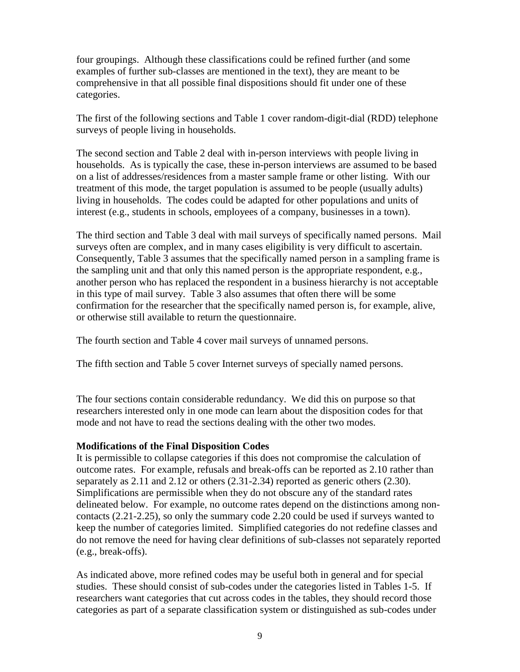four groupings. Although these classifications could be refined further (and some examples of further sub-classes are mentioned in the text), they are meant to be comprehensive in that all possible final dispositions should fit under one of these categories.

The first of the following sections and Table 1 cover random-digit-dial (RDD) telephone surveys of people living in households.

The second section and Table 2 deal with in-person interviews with people living in households. As is typically the case, these in-person interviews are assumed to be based on a list of addresses/residences from a master sample frame or other listing. With our treatment of this mode, the target population is assumed to be people (usually adults) living in households. The codes could be adapted for other populations and units of interest (e.g., students in schools, employees of a company, businesses in a town).

The third section and Table 3 deal with mail surveys of specifically named persons. Mail surveys often are complex, and in many cases eligibility is very difficult to ascertain. Consequently, Table 3 assumes that the specifically named person in a sampling frame is the sampling unit and that only this named person is the appropriate respondent, e.g., another person who has replaced the respondent in a business hierarchy is not acceptable in this type of mail survey. Table 3 also assumes that often there will be some confirmation for the researcher that the specifically named person is, for example, alive, or otherwise still available to return the questionnaire.

The fourth section and Table 4 cover mail surveys of unnamed persons.

The fifth section and Table 5 cover Internet surveys of specially named persons.

The four sections contain considerable redundancy. We did this on purpose so that researchers interested only in one mode can learn about the disposition codes for that mode and not have to read the sections dealing with the other two modes.

#### **Modifications of the Final Disposition Codes**

It is permissible to collapse categories if this does not compromise the calculation of outcome rates. For example, refusals and break-offs can be reported as 2.10 rather than separately as 2.11 and 2.12 or others (2.31-2.34) reported as generic others (2.30). Simplifications are permissible when they do not obscure any of the standard rates delineated below. For example, no outcome rates depend on the distinctions among noncontacts (2.21-2.25), so only the summary code 2.20 could be used if surveys wanted to keep the number of categories limited. Simplified categories do not redefine classes and do not remove the need for having clear definitions of sub-classes not separately reported (e.g., break-offs).

As indicated above, more refined codes may be useful both in general and for special studies. These should consist of sub-codes under the categories listed in Tables 1-5. If researchers want categories that cut across codes in the tables, they should record those categories as part of a separate classification system or distinguished as sub-codes under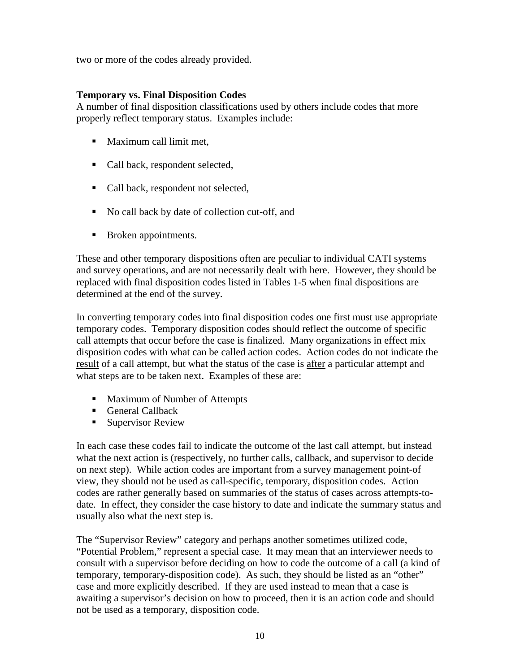two or more of the codes already provided.

#### **Temporary vs. Final Disposition Codes**

A number of final disposition classifications used by others include codes that more properly reflect temporary status. Examples include:

- **Maximum call limit met,**
- Call back, respondent selected,
- Call back, respondent not selected,
- No call back by date of collection cut-off, and
- **Broken appointments.**

These and other temporary dispositions often are peculiar to individual CATI systems and survey operations, and are not necessarily dealt with here. However, they should be replaced with final disposition codes listed in Tables 1-5 when final dispositions are determined at the end of the survey.

In converting temporary codes into final disposition codes one first must use appropriate temporary codes. Temporary disposition codes should reflect the outcome of specific call attempts that occur before the case is finalized. Many organizations in effect mix disposition codes with what can be called action codes. Action codes do not indicate the result of a call attempt, but what the status of the case is after a particular attempt and what steps are to be taken next. Examples of these are:

- **Maximum of Number of Attempts**
- General Callback
- **Supervisor Review**

In each case these codes fail to indicate the outcome of the last call attempt, but instead what the next action is (respectively, no further calls, callback, and supervisor to decide on next step). While action codes are important from a survey management point-of view, they should not be used as call-specific, temporary, disposition codes. Action codes are rather generally based on summaries of the status of cases across attempts-todate. In effect, they consider the case history to date and indicate the summary status and usually also what the next step is.

The "Supervisor Review" category and perhaps another sometimes utilized code, "Potential Problem," represent a special case. It may mean that an interviewer needs to consult with a supervisor before deciding on how to code the outcome of a call (a kind of temporary, temporary-disposition code). As such, they should be listed as an "other" case and more explicitly described. If they are used instead to mean that a case is awaiting a supervisor's decision on how to proceed, then it is an action code and should not be used as a temporary, disposition code.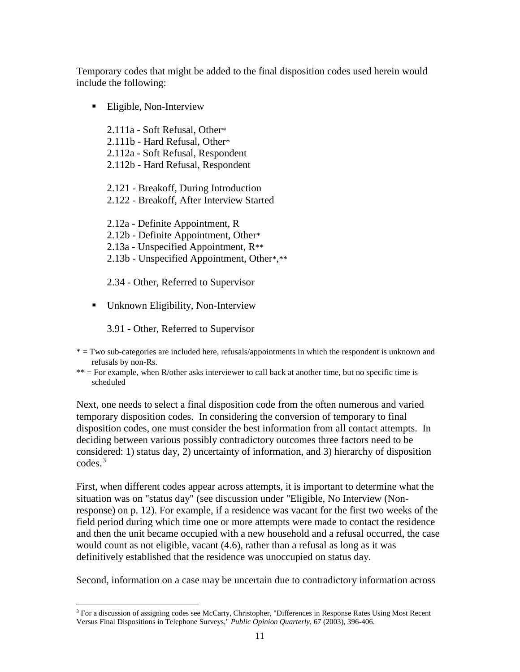Temporary codes that might be added to the final disposition codes used herein would include the following:

**Eligible, Non-Interview** 

2.111a - Soft Refusal, Other\* 2.111b - Hard Refusal, Other\* 2.112a - Soft Refusal, Respondent 2.112b - Hard Refusal, Respondent

2.121 - Breakoff, During Introduction 2.122 - Breakoff, After Interview Started

2.12a - Definite Appointment, R 2.12b - Definite Appointment, Other\* 2.13a - Unspecified Appointment, R\*\* 2.13b - Unspecified Appointment, Other\*,\*\*

2.34 - Other, Referred to Supervisor

**Unknown Eligibility, Non-Interview** 

3.91 - Other, Referred to Supervisor

- \* = Two sub-categories are included here, refusals/appointments in which the respondent is unknown and refusals by non-Rs.
- \*\* = For example, when R/other asks interviewer to call back at another time, but no specific time is scheduled

Next, one needs to select a final disposition code from the often numerous and varied temporary disposition codes. In considering the conversion of temporary to final disposition codes, one must consider the best information from all contact attempts. In deciding between various possibly contradictory outcomes three factors need to be considered: 1) status day, 2) uncertainty of information, and 3) hierarchy of disposition  $\mathrm{codes}^3$  $\mathrm{codes}^3$ 

First, when different codes appear across attempts, it is important to determine what the situation was on "status day" (see discussion under "Eligible, No Interview (Nonresponse) on p. 12). For example, if a residence was vacant for the first two weeks of the field period during which time one or more attempts were made to contact the residence and then the unit became occupied with a new household and a refusal occurred, the case would count as not eligible, vacant (4.6), rather than a refusal as long as it was definitively established that the residence was unoccupied on status day.

Second, information on a case may be uncertain due to contradictory information across

<span id="page-11-0"></span> $3$  For a discussion of assigning codes see McCarty, Christopher, "Differences in Response Rates Using Most Recent Versus Final Dispositions in Telephone Surveys," *Public Opinion Quarterly*, 67 (2003), 396-406.  $\overline{a}$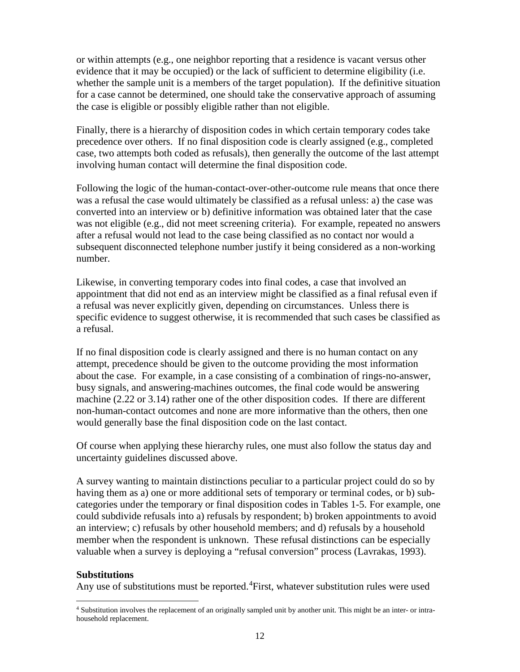or within attempts (e.g., one neighbor reporting that a residence is vacant versus other evidence that it may be occupied) or the lack of sufficient to determine eligibility (i.e. whether the sample unit is a members of the target population). If the definitive situation for a case cannot be determined, one should take the conservative approach of assuming the case is eligible or possibly eligible rather than not eligible.

Finally, there is a hierarchy of disposition codes in which certain temporary codes take precedence over others. If no final disposition code is clearly assigned (e.g., completed case, two attempts both coded as refusals), then generally the outcome of the last attempt involving human contact will determine the final disposition code.

Following the logic of the human-contact-over-other-outcome rule means that once there was a refusal the case would ultimately be classified as a refusal unless: a) the case was converted into an interview or b) definitive information was obtained later that the case was not eligible (e.g., did not meet screening criteria). For example, repeated no answers after a refusal would not lead to the case being classified as no contact nor would a subsequent disconnected telephone number justify it being considered as a non-working number.

Likewise, in converting temporary codes into final codes, a case that involved an appointment that did not end as an interview might be classified as a final refusal even if a refusal was never explicitly given, depending on circumstances. Unless there is specific evidence to suggest otherwise, it is recommended that such cases be classified as a refusal.

If no final disposition code is clearly assigned and there is no human contact on any attempt, precedence should be given to the outcome providing the most information about the case. For example, in a case consisting of a combination of rings-no-answer, busy signals, and answering-machines outcomes, the final code would be answering machine (2.22 or 3.14) rather one of the other disposition codes. If there are different non-human-contact outcomes and none are more informative than the others, then one would generally base the final disposition code on the last contact.

Of course when applying these hierarchy rules, one must also follow the status day and uncertainty guidelines discussed above.

A survey wanting to maintain distinctions peculiar to a particular project could do so by having them as a) one or more additional sets of temporary or terminal codes, or b) subcategories under the temporary or final disposition codes in Tables 1-5. For example, one could subdivide refusals into a) refusals by respondent; b) broken appointments to avoid an interview; c) refusals by other household members; and d) refusals by a household member when the respondent is unknown. These refusal distinctions can be especially valuable when a survey is deploying a "refusal conversion" process (Lavrakas, 1993).

#### **Substitutions**

 $\overline{a}$ 

Any use of substitutions must be reported.<sup>[4](#page-12-0)</sup> First, whatever substitution rules were used

<span id="page-12-0"></span><sup>4</sup> Substitution involves the replacement of an originally sampled unit by another unit. This might be an inter- or intrahousehold replacement.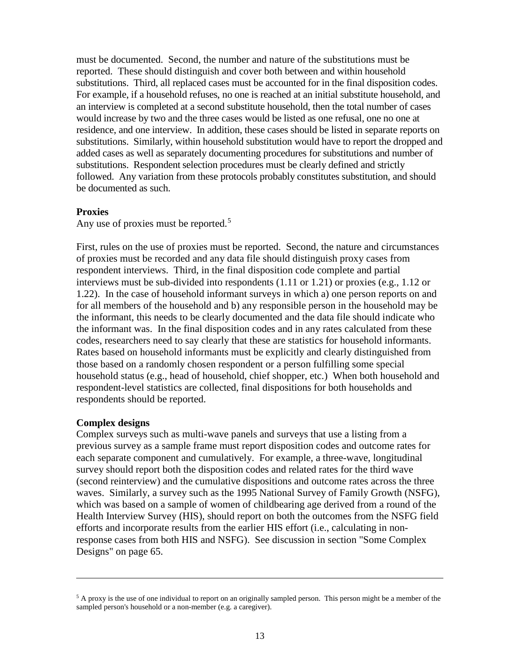must be documented. Second, the number and nature of the substitutions must be reported. These should distinguish and cover both between and within household substitutions. Third, all replaced cases must be accounted for in the final disposition codes. For example, if a household refuses, no one is reached at an initial substitute household, and an interview is completed at a second substitute household, then the total number of cases would increase by two and the three cases would be listed as one refusal, one no one at residence, and one interview. In addition, these cases should be listed in separate reports on substitutions. Similarly, within household substitution would have to report the dropped and added cases as well as separately documenting procedures for substitutions and number of substitutions. Respondent selection procedures must be clearly defined and strictly followed. Any variation from these protocols probably constitutes substitution, and should be documented as such.

#### **Proxies**

Any use of proxies must be reported.<sup>[5](#page-13-0)</sup>

First, rules on the use of proxies must be reported. Second, the nature and circumstances of proxies must be recorded and any data file should distinguish proxy cases from respondent interviews. Third, in the final disposition code complete and partial interviews must be sub-divided into respondents (1.11 or 1.21) or proxies (e.g., 1.12 or 1.22). In the case of household informant surveys in which a) one person reports on and for all members of the household and b) any responsible person in the household may be the informant, this needs to be clearly documented and the data file should indicate who the informant was. In the final disposition codes and in any rates calculated from these codes, researchers need to say clearly that these are statistics for household informants. Rates based on household informants must be explicitly and clearly distinguished from those based on a randomly chosen respondent or a person fulfilling some special household status (e.g., head of household, chief shopper, etc.) When both household and respondent-level statistics are collected, final dispositions for both households and respondents should be reported.

#### **Complex designs**

 $\overline{a}$ 

Complex surveys such as multi-wave panels and surveys that use a listing from a previous survey as a sample frame must report disposition codes and outcome rates for each separate component and cumulatively. For example, a three-wave, longitudinal survey should report both the disposition codes and related rates for the third wave (second reinterview) and the cumulative dispositions and outcome rates across the three waves. Similarly, a survey such as the 1995 National Survey of Family Growth (NSFG), which was based on a sample of women of childbearing age derived from a round of the Health Interview Survey (HIS), should report on both the outcomes from the NSFG field efforts and incorporate results from the earlier HIS effort (i.e., calculating in nonresponse cases from both HIS and NSFG). See discussion in section "Some Complex Designs" on page 65.

<span id="page-13-0"></span><sup>&</sup>lt;sup>5</sup> A proxy is the use of one individual to report on an originally sampled person. This person might be a member of the sampled person's household or a non-member (e.g. a caregiver).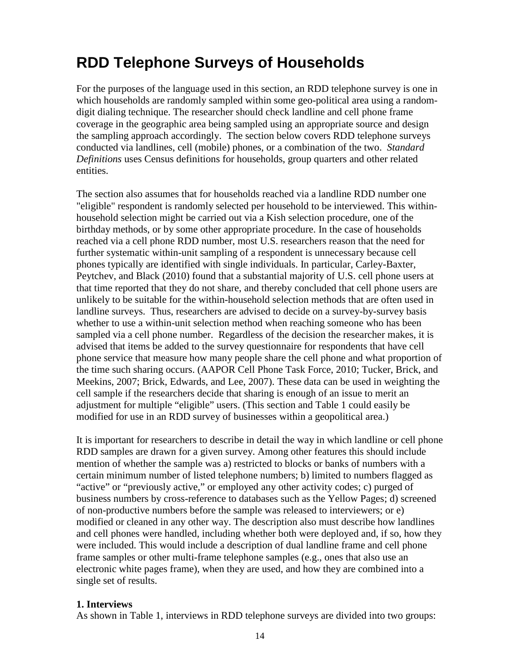### **RDD Telephone Surveys of Households**

For the purposes of the language used in this section, an RDD telephone survey is one in which households are randomly sampled within some geo-political area using a randomdigit dialing technique. The researcher should check landline and cell phone frame coverage in the geographic area being sampled using an appropriate source and design the sampling approach accordingly. The section below covers RDD telephone surveys conducted via landlines, cell (mobile) phones, or a combination of the two. *Standard Definitions* uses Census definitions for households, group quarters and other related entities.

The section also assumes that for households reached via a landline RDD number one "eligible" respondent is randomly selected per household to be interviewed. This withinhousehold selection might be carried out via a Kish selection procedure, one of the birthday methods, or by some other appropriate procedure. In the case of households reached via a cell phone RDD number, most U.S. researchers reason that the need for further systematic within-unit sampling of a respondent is unnecessary because cell phones typically are identified with single individuals. In particular, Carley-Baxter, Peytchev, and Black (2010) found that a substantial majority of U.S. cell phone users at that time reported that they do not share, and thereby concluded that cell phone users are unlikely to be suitable for the within-household selection methods that are often used in landline surveys. Thus, researchers are advised to decide on a survey-by-survey basis whether to use a within-unit selection method when reaching someone who has been sampled via a cell phone number. Regardless of the decision the researcher makes, it is advised that items be added to the survey questionnaire for respondents that have cell phone service that measure how many people share the cell phone and what proportion of the time such sharing occurs. (AAPOR Cell Phone Task Force, 2010; Tucker, Brick, and Meekins, 2007; Brick, Edwards, and Lee, 2007). These data can be used in weighting the cell sample if the researchers decide that sharing is enough of an issue to merit an adjustment for multiple "eligible" users. (This section and Table 1 could easily be modified for use in an RDD survey of businesses within a geopolitical area.)

It is important for researchers to describe in detail the way in which landline or cell phone RDD samples are drawn for a given survey. Among other features this should include mention of whether the sample was a) restricted to blocks or banks of numbers with a certain minimum number of listed telephone numbers; b) limited to numbers flagged as "active" or "previously active," or employed any other activity codes; c) purged of business numbers by cross-reference to databases such as the Yellow Pages; d) screened of non-productive numbers before the sample was released to interviewers; or e) modified or cleaned in any other way. The description also must describe how landlines and cell phones were handled, including whether both were deployed and, if so, how they were included. This would include a description of dual landline frame and cell phone frame samples or other multi-frame telephone samples (e.g., ones that also use an electronic white pages frame), when they are used, and how they are combined into a single set of results.

#### **1. Interviews**

As shown in Table 1, interviews in RDD telephone surveys are divided into two groups: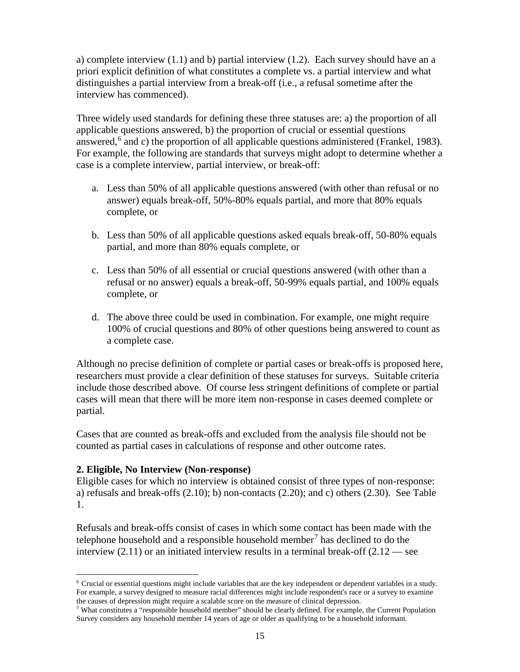a) complete interview (1.1) and b) partial interview (1.2). Each survey should have an a priori explicit definition of what constitutes a complete vs. a partial interview and what distinguishes a partial interview from a break-off (i.e., a refusal sometime after the interview has commenced).

Three widely used standards for defining these three statuses are: a) the proportion of all applicable questions answered, b) the proportion of crucial or essential questions answered, $6$  and c) the proportion of all applicable questions administered (Frankel, 1983). For example, the following are standards that surveys might adopt to determine whether a case is a complete interview, partial interview, or break-off:

- a. Less than 50% of all applicable questions answered (with other than refusal or no answer) equals break-off, 50%-80% equals partial, and more that 80% equals complete, or
- b. Less than 50% of all applicable questions asked equals break-off, 50-80% equals partial, and more than 80% equals complete, or
- c. Less than 50% of all essential or crucial questions answered (with other than a refusal or no answer) equals a break-off, 50-99% equals partial, and 100% equals complete, or
- d. The above three could be used in combination. For example, one might require 100% of crucial questions and 80% of other questions being answered to count as a complete case.

Although no precise definition of complete or partial cases or break-offs is proposed here, researchers must provide a clear definition of these statuses for surveys. Suitable criteria include those described above. Of course less stringent definitions of complete or partial cases will mean that there will be more item non-response in cases deemed complete or partial.

Cases that are counted as break-offs and excluded from the analysis file should not be counted as partial cases in calculations of response and other outcome rates.

#### **2. Eligible, No Interview (Non-response)**

 $\overline{a}$ 

Eligible cases for which no interview is obtained consist of three types of non-response: a) refusals and break-offs (2.10); b) non-contacts (2.20); and c) others (2.30). See Table 1.

Refusals and break-offs consist of cases in which some contact has been made with the telephone household and a responsible household member<sup>[7](#page-15-1)</sup> has declined to do the interview  $(2.11)$  or an initiated interview results in a terminal break-off  $(2.12$  — see

<span id="page-15-0"></span> $6$  Crucial or essential questions might include variables that are the key independent or dependent variables in a study. For example, a survey designed to measure racial differences might include respondent's race or a survey to examine the causes of depression might require a scalable score on the measure of clinical depression.

<span id="page-15-1"></span> $7$  What constitutes a "responsible household member" should be clearly defined. For example, the Current Population Survey considers any household member 14 years of age or older as qualifying to be a household informant.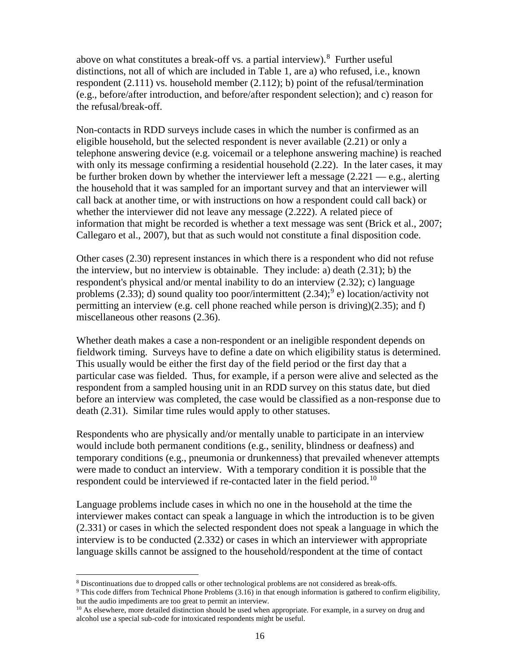above on what constitutes a break-off vs. a partial interview).<sup>[8](#page-16-0)</sup> Further useful distinctions, not all of which are included in Table 1, are a) who refused, i.e., known respondent (2.111) vs. household member (2.112); b) point of the refusal/termination (e.g., before/after introduction, and before/after respondent selection); and c) reason for the refusal/break-off.

Non-contacts in RDD surveys include cases in which the number is confirmed as an eligible household, but the selected respondent is never available (2.21) or only a telephone answering device (e.g. voicemail or a telephone answering machine) is reached with only its message confirming a residential household  $(2.22)$ . In the later cases, it may be further broken down by whether the interviewer left a message  $(2.221 - e.g.,$  alerting the household that it was sampled for an important survey and that an interviewer will call back at another time, or with instructions on how a respondent could call back) or whether the interviewer did not leave any message (2.222). A related piece of information that might be recorded is whether a text message was sent (Brick et al., 2007; Callegaro et al., 2007), but that as such would not constitute a final disposition code.

Other cases (2.30) represent instances in which there is a respondent who did not refuse the interview, but no interview is obtainable. They include: a) death  $(2.31)$ ; b) the respondent's physical and/or mental inability to do an interview (2.32); c) language problems (2.33); d) sound quality too poor/intermittent (2.34);  $\degree$  e) location/activity not permitting an interview (e.g. cell phone reached while person is driving)(2.35); and f) miscellaneous other reasons (2.36).

Whether death makes a case a non-respondent or an ineligible respondent depends on fieldwork timing. Surveys have to define a date on which eligibility status is determined. This usually would be either the first day of the field period or the first day that a particular case was fielded. Thus, for example, if a person were alive and selected as the respondent from a sampled housing unit in an RDD survey on this status date, but died before an interview was completed, the case would be classified as a non-response due to death (2.31). Similar time rules would apply to other statuses.

Respondents who are physically and/or mentally unable to participate in an interview would include both permanent conditions (e.g., senility, blindness or deafness) and temporary conditions (e.g., pneumonia or drunkenness) that prevailed whenever attempts were made to conduct an interview. With a temporary condition it is possible that the respondent could be interviewed if re-contacted later in the field period.<sup>[10](#page-16-2)</sup>

Language problems include cases in which no one in the household at the time the interviewer makes contact can speak a language in which the introduction is to be given (2.331) or cases in which the selected respondent does not speak a language in which the interview is to be conducted (2.332) or cases in which an interviewer with appropriate language skills cannot be assigned to the household/respondent at the time of contact

 $\overline{a}$ 

<span id="page-16-0"></span><sup>&</sup>lt;sup>8</sup> Discontinuations due to dropped calls or other technological problems are not considered as break-offs.

<span id="page-16-1"></span> $9$  This code differs from Technical Phone Problems  $(3.16)$  in that enough information is gathered to confirm eligibility, but the audio impediments are too great to permit an interview.

<span id="page-16-2"></span><sup>&</sup>lt;sup>10</sup> As elsewhere, more detailed distinction should be used when appropriate. For example, in a survey on drug and alcohol use a special sub-code for intoxicated respondents might be useful.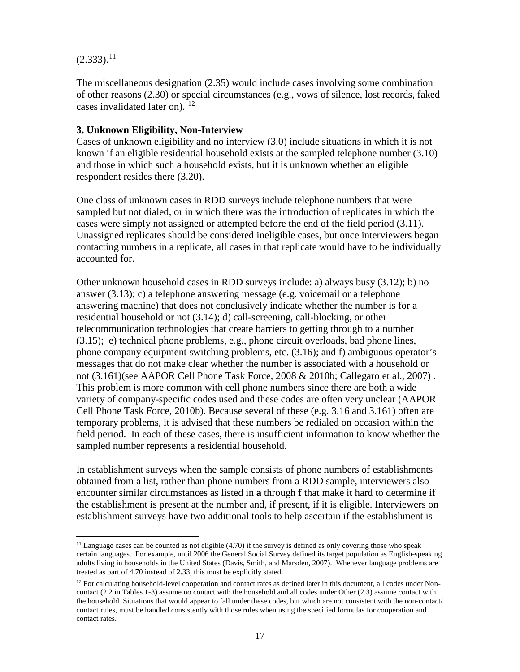$(2.333).<sup>11</sup>$  $(2.333).<sup>11</sup>$  $(2.333).<sup>11</sup>$ 

 $\overline{a}$ 

The miscellaneous designation (2.35) would include cases involving some combination of other reasons (2.30) or special circumstances (e.g., vows of silence, lost records, faked cases invalidated later on).  $12$ 

#### **3. Unknown Eligibility, Non-Interview**

Cases of unknown eligibility and no interview (3.0) include situations in which it is not known if an eligible residential household exists at the sampled telephone number (3.10) and those in which such a household exists, but it is unknown whether an eligible respondent resides there (3.20).

One class of unknown cases in RDD surveys include telephone numbers that were sampled but not dialed, or in which there was the introduction of replicates in which the cases were simply not assigned or attempted before the end of the field period (3.11). Unassigned replicates should be considered ineligible cases, but once interviewers began contacting numbers in a replicate, all cases in that replicate would have to be individually accounted for.

Other unknown household cases in RDD surveys include: a) always busy (3.12); b) no answer (3.13); c) a telephone answering message (e.g. voicemail or a telephone answering machine) that does not conclusively indicate whether the number is for a residential household or not (3.14); d) call-screening, call-blocking, or other telecommunication technologies that create barriers to getting through to a number (3.15); e) technical phone problems, e.g., phone circuit overloads, bad phone lines, phone company equipment switching problems, etc. (3.16); and f) ambiguous operator's messages that do not make clear whether the number is associated with a household or not (3.161)(see AAPOR Cell Phone Task Force, 2008 & 2010b; Callegaro et al., 2007) . This problem is more common with cell phone numbers since there are both a wide variety of company-specific codes used and these codes are often very unclear (AAPOR Cell Phone Task Force, 2010b). Because several of these (e.g. 3.16 and 3.161) often are temporary problems, it is advised that these numbers be redialed on occasion within the field period. In each of these cases, there is insufficient information to know whether the sampled number represents a residential household.

In establishment surveys when the sample consists of phone numbers of establishments obtained from a list, rather than phone numbers from a RDD sample, interviewers also encounter similar circumstances as listed in **a** through **f** that make it hard to determine if the establishment is present at the number and, if present, if it is eligible. Interviewers on establishment surveys have two additional tools to help ascertain if the establishment is

<span id="page-17-0"></span> $<sup>11</sup>$  Language cases can be counted as not eligible (4.70) if the survey is defined as only covering those who speak</sup> certain languages. For example, until 2006 the General Social Survey defined its target population as English-speaking adults living in households in the United States (Davis, Smith, and Marsden, 2007). Whenever language problems are treated as part of 4.70 instead of 2.33, this must be explicitly stated.

<span id="page-17-1"></span> $12$  For calculating household-level cooperation and contact rates as defined later in this document, all codes under Noncontact (2.2 in Tables 1-3) assume no contact with the household and all codes under Other (2.3) assume contact with the household. Situations that would appear to fall under these codes, but which are not consistent with the non-contact/ contact rules, must be handled consistently with those rules when using the specified formulas for cooperation and contact rates.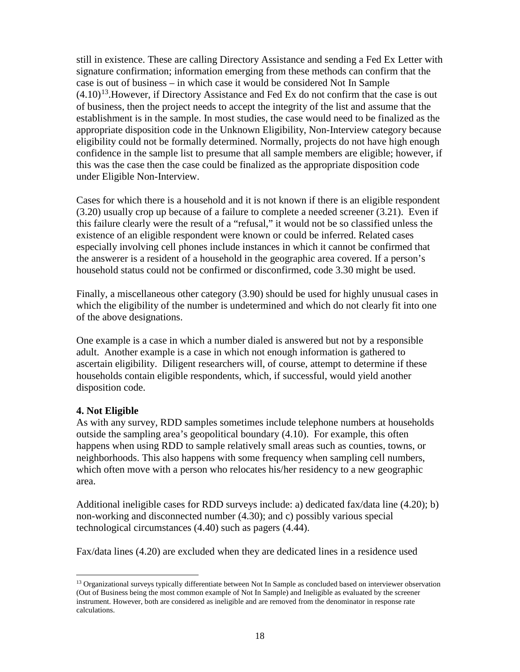still in existence. These are calling Directory Assistance and sending a Fed Ex Letter with signature confirmation; information emerging from these methods can confirm that the case is out of business – in which case it would be considered Not In Sample  $(4.10)^{13}$ . However, if Directory Assistance and Fed Ex do not confirm that the case is out of business, then the project needs to accept the integrity of the list and assume that the establishment is in the sample. In most studies, the case would need to be finalized as the appropriate disposition code in the Unknown Eligibility, Non-Interview category because eligibility could not be formally determined. Normally, projects do not have high enough confidence in the sample list to presume that all sample members are eligible; however, if this was the case then the case could be finalized as the appropriate disposition code under Eligible Non-Interview.

Cases for which there is a household and it is not known if there is an eligible respondent (3.20) usually crop up because of a failure to complete a needed screener (3.21). Even if this failure clearly were the result of a "refusal," it would not be so classified unless the existence of an eligible respondent were known or could be inferred. Related cases especially involving cell phones include instances in which it cannot be confirmed that the answerer is a resident of a household in the geographic area covered. If a person's household status could not be confirmed or disconfirmed, code 3.30 might be used.

Finally, a miscellaneous other category (3.90) should be used for highly unusual cases in which the eligibility of the number is undetermined and which do not clearly fit into one of the above designations.

One example is a case in which a number dialed is answered but not by a responsible adult. Another example is a case in which not enough information is gathered to ascertain eligibility. Diligent researchers will, of course, attempt to determine if these households contain eligible respondents, which, if successful, would yield another disposition code.

#### **4. Not Eligible**

 $\overline{a}$ 

As with any survey, RDD samples sometimes include telephone numbers at households outside the sampling area's geopolitical boundary (4.10). For example, this often happens when using RDD to sample relatively small areas such as counties, towns, or neighborhoods. This also happens with some frequency when sampling cell numbers, which often move with a person who relocates his/her residency to a new geographic area.

Additional ineligible cases for RDD surveys include: a) dedicated fax/data line (4.20); b) non-working and disconnected number (4.30); and c) possibly various special technological circumstances (4.40) such as pagers (4.44).

Fax/data lines (4.20) are excluded when they are dedicated lines in a residence used

<span id="page-18-0"></span><sup>&</sup>lt;sup>13</sup> Organizational surveys typically differentiate between Not In Sample as concluded based on interviewer observation (Out of Business being the most common example of Not In Sample) and Ineligible as evaluated by the screener instrument. However, both are considered as ineligible and are removed from the denominator in response rate calculations.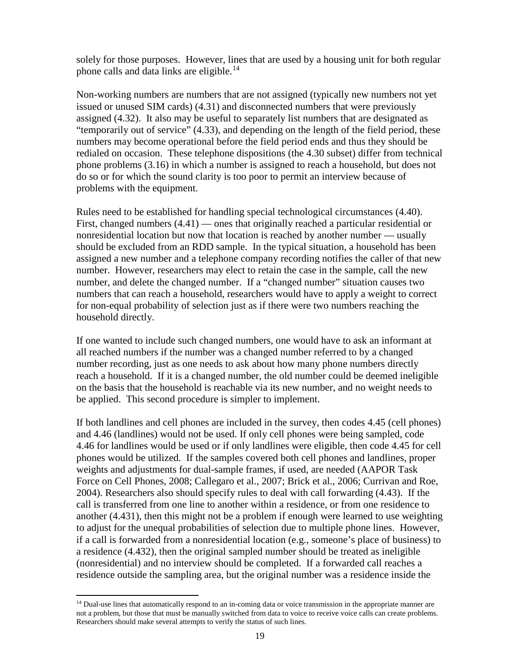solely for those purposes. However, lines that are used by a housing unit for both regular phone calls and data links are eligible.<sup>[14](#page-19-0)</sup>

Non-working numbers are numbers that are not assigned (typically new numbers not yet issued or unused SIM cards) (4.31) and disconnected numbers that were previously assigned (4.32). It also may be useful to separately list numbers that are designated as "temporarily out of service" (4.33), and depending on the length of the field period, these numbers may become operational before the field period ends and thus they should be redialed on occasion. These telephone dispositions (the 4.30 subset) differ from technical phone problems (3.16) in which a number is assigned to reach a household, but does not do so or for which the sound clarity is too poor to permit an interview because of problems with the equipment.

Rules need to be established for handling special technological circumstances (4.40). First, changed numbers (4.41) — ones that originally reached a particular residential or nonresidential location but now that location is reached by another number — usually should be excluded from an RDD sample. In the typical situation, a household has been assigned a new number and a telephone company recording notifies the caller of that new number. However, researchers may elect to retain the case in the sample, call the new number, and delete the changed number. If a "changed number" situation causes two numbers that can reach a household, researchers would have to apply a weight to correct for non-equal probability of selection just as if there were two numbers reaching the household directly.

If one wanted to include such changed numbers, one would have to ask an informant at all reached numbers if the number was a changed number referred to by a changed number recording, just as one needs to ask about how many phone numbers directly reach a household. If it is a changed number, the old number could be deemed ineligible on the basis that the household is reachable via its new number, and no weight needs to be applied. This second procedure is simpler to implement.

If both landlines and cell phones are included in the survey, then codes 4.45 (cell phones) and 4.46 (landlines) would not be used. If only cell phones were being sampled, code 4.46 for landlines would be used or if only landlines were eligible, then code 4.45 for cell phones would be utilized. If the samples covered both cell phones and landlines, proper weights and adjustments for dual-sample frames, if used, are needed (AAPOR Task Force on Cell Phones, 2008; Callegaro et al., 2007; Brick et al., 2006; Currivan and Roe, 2004). Researchers also should specify rules to deal with call forwarding (4.43). If the call is transferred from one line to another within a residence, or from one residence to another (4.431), then this might not be a problem if enough were learned to use weighting to adjust for the unequal probabilities of selection due to multiple phone lines. However, if a call is forwarded from a nonresidential location (e.g., someone's place of business) to a residence (4.432), then the original sampled number should be treated as ineligible (nonresidential) and no interview should be completed. If a forwarded call reaches a residence outside the sampling area, but the original number was a residence inside the

 $\overline{a}$ 

<span id="page-19-0"></span><sup>&</sup>lt;sup>14</sup> Dual-use lines that automatically respond to an in-coming data or voice transmission in the appropriate manner are not a problem, but those that must be manually switched from data to voice to receive voice calls can create problems. Researchers should make several attempts to verify the status of such lines.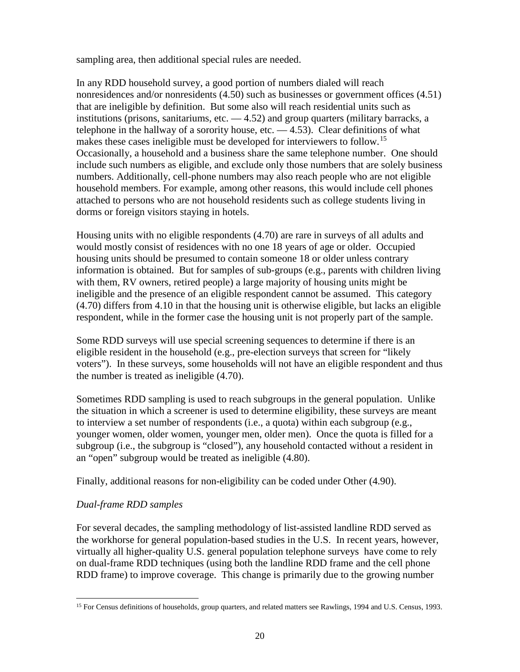sampling area, then additional special rules are needed.

In any RDD household survey, a good portion of numbers dialed will reach nonresidences and/or nonresidents (4.50) such as businesses or government offices (4.51) that are ineligible by definition. But some also will reach residential units such as institutions (prisons, sanitariums, etc.  $-4.52$ ) and group quarters (military barracks, a telephone in the hallway of a sorority house, etc.  $-4.53$ ). Clear definitions of what makes these cases ineligible must be developed for interviewers to follow.<sup>15</sup> Occasionally, a household and a business share the same telephone number. One should include such numbers as eligible, and exclude only those numbers that are solely business numbers. Additionally, cell-phone numbers may also reach people who are not eligible household members. For example, among other reasons, this would include cell phones attached to persons who are not household residents such as college students living in dorms or foreign visitors staying in hotels.

Housing units with no eligible respondents (4.70) are rare in surveys of all adults and would mostly consist of residences with no one 18 years of age or older. Occupied housing units should be presumed to contain someone 18 or older unless contrary information is obtained. But for samples of sub-groups (e.g., parents with children living with them, RV owners, retired people) a large majority of housing units might be ineligible and the presence of an eligible respondent cannot be assumed. This category (4.70) differs from 4.10 in that the housing unit is otherwise eligible, but lacks an eligible respondent, while in the former case the housing unit is not properly part of the sample.

Some RDD surveys will use special screening sequences to determine if there is an eligible resident in the household (e.g., pre-election surveys that screen for "likely voters"). In these surveys, some households will not have an eligible respondent and thus the number is treated as ineligible (4.70).

Sometimes RDD sampling is used to reach subgroups in the general population. Unlike the situation in which a screener is used to determine eligibility, these surveys are meant to interview a set number of respondents (i.e., a quota) within each subgroup (e.g., younger women, older women, younger men, older men). Once the quota is filled for a subgroup (i.e., the subgroup is "closed"), any household contacted without a resident in an "open" subgroup would be treated as ineligible (4.80).

Finally, additional reasons for non-eligibility can be coded under Other (4.90).

#### *Dual-frame RDD samples*

For several decades, the sampling methodology of list-assisted landline RDD served as the workhorse for general population-based studies in the U.S. In recent years, however, virtually all higher-quality U.S. general population telephone surveys have come to rely on dual-frame RDD techniques (using both the landline RDD frame and the cell phone RDD frame) to improve coverage. This change is primarily due to the growing number

<span id="page-20-0"></span><sup>&</sup>lt;sup>15</sup> For Census definitions of households, group quarters, and related matters see Rawlings, 1994 and U.S. Census, 1993.  $\ddot{\phantom{a}}$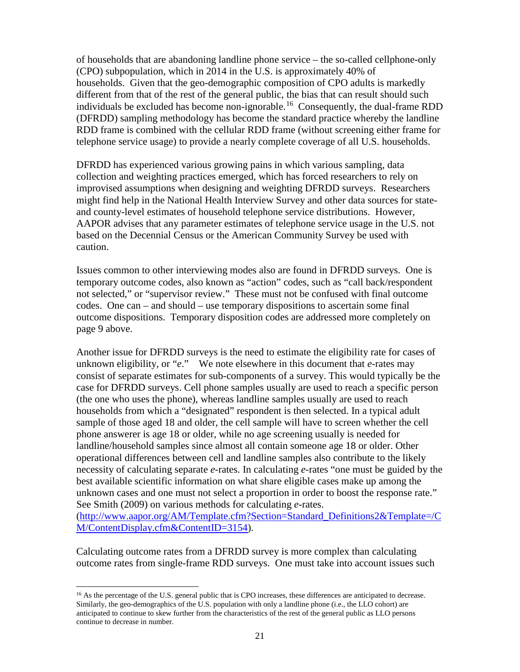of households that are abandoning landline phone service – the so-called cellphone-only (CPO) subpopulation, which in 2014 in the U.S. is approximately 40% of households. Given that the geo-demographic composition of CPO adults is markedly different from that of the rest of the general public, the bias that can result should such individuals be excluded has become non-ignorable.[16](#page-21-0) Consequently, the dual-frame RDD (DFRDD) sampling methodology has become the standard practice whereby the landline RDD frame is combined with the cellular RDD frame (without screening either frame for telephone service usage) to provide a nearly complete coverage of all U.S. households.

DFRDD has experienced various growing pains in which various sampling, data collection and weighting practices emerged, which has forced researchers to rely on improvised assumptions when designing and weighting DFRDD surveys. Researchers might find help in the National Health Interview Survey and other data sources for stateand county-level estimates of household telephone service distributions. However, AAPOR advises that any parameter estimates of telephone service usage in the U.S. not based on the Decennial Census or the American Community Survey be used with caution.

Issues common to other interviewing modes also are found in DFRDD surveys. One is temporary outcome codes, also known as "action" codes, such as "call back/respondent not selected," or "supervisor review." These must not be confused with final outcome codes. One can – and should – use temporary dispositions to ascertain some final outcome dispositions. Temporary disposition codes are addressed more completely on page 9 above.

Another issue for DFRDD surveys is the need to estimate the eligibility rate for cases of unknown eligibility, or "*e*." We note elsewhere in this document that *e*-rates may consist of separate estimates for sub-components of a survey. This would typically be the case for DFRDD surveys. Cell phone samples usually are used to reach a specific person (the one who uses the phone), whereas landline samples usually are used to reach households from which a "designated" respondent is then selected. In a typical adult sample of those aged 18 and older, the cell sample will have to screen whether the cell phone answerer is age 18 or older, while no age screening usually is needed for landline/household samples since almost all contain someone age 18 or older. Other operational differences between cell and landline samples also contribute to the likely necessity of calculating separate *e*-rates. In calculating *e*-rates "one must be guided by the best available scientific information on what share eligible cases make up among the unknown cases and one must not select a proportion in order to boost the response rate." See Smith (2009) on various methods for calculating *e*-rates. [\(http://www.aapor.org/AM/Template.cfm?Section=Standard\\_Definitions2&Template=/C](http://www.aapor.org/AM/Template.cfm?Section=Standard_Definitions2&Template=/CM/ContentDisplay.cfm&ContentID=3154)

[M/ContentDisplay.cfm&ContentID=3154\)](http://www.aapor.org/AM/Template.cfm?Section=Standard_Definitions2&Template=/CM/ContentDisplay.cfm&ContentID=3154).

Calculating outcome rates from a DFRDD survey is more complex than calculating outcome rates from single-frame RDD surveys. One must take into account issues such

<span id="page-21-0"></span><sup>&</sup>lt;sup>16</sup> As the percentage of the U.S. general public that is CPO increases, these differences are anticipated to decrease. Similarly, the geo-demographics of the  $\dot{U}$ .S. population with only a landline phone (i.e., the LLO cohort) are anticipated to continue to skew further from the characteristics of the rest of the general public as LLO persons continue to decrease in number.  $\overline{a}$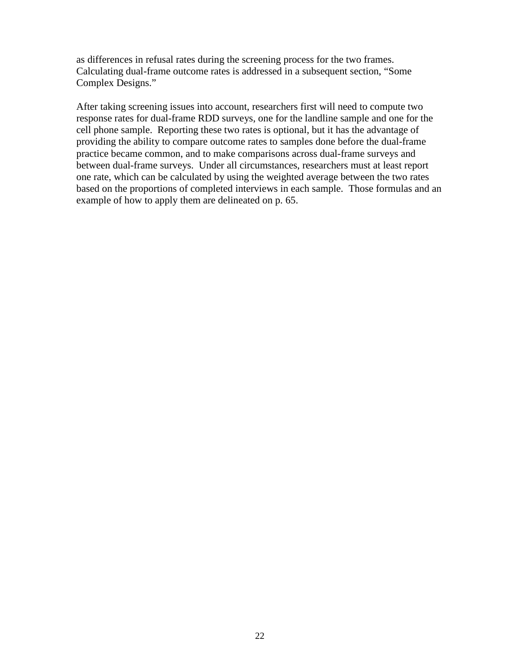as differences in refusal rates during the screening process for the two frames. Calculating dual-frame outcome rates is addressed in a subsequent section, "Some Complex Designs."

After taking screening issues into account, researchers first will need to compute two response rates for dual-frame RDD surveys, one for the landline sample and one for the cell phone sample. Reporting these two rates is optional, but it has the advantage of providing the ability to compare outcome rates to samples done before the dual-frame practice became common, and to make comparisons across dual-frame surveys and between dual-frame surveys. Under all circumstances, researchers must at least report one rate, which can be calculated by using the weighted average between the two rates based on the proportions of completed interviews in each sample. Those formulas and an example of how to apply them are delineated on p. 65.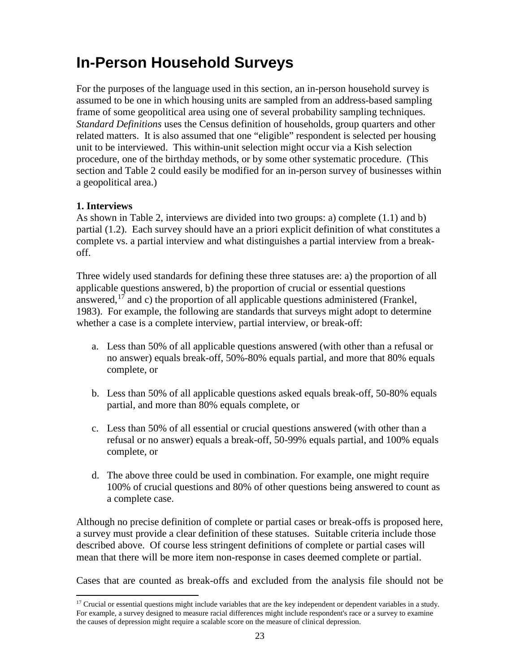### **In-Person Household Surveys**

For the purposes of the language used in this section, an in-person household survey is assumed to be one in which housing units are sampled from an address-based sampling frame of some geopolitical area using one of several probability sampling techniques. *Standard Definitions* uses the Census definition of households, group quarters and other related matters. It is also assumed that one "eligible" respondent is selected per housing unit to be interviewed. This within-unit selection might occur via a Kish selection procedure, one of the birthday methods, or by some other systematic procedure. (This section and Table 2 could easily be modified for an in-person survey of businesses within a geopolitical area.)

#### **1. Interviews**

As shown in Table 2, interviews are divided into two groups: a) complete (1.1) and b) partial (1.2). Each survey should have an a priori explicit definition of what constitutes a complete vs. a partial interview and what distinguishes a partial interview from a breakoff.

Three widely used standards for defining these three statuses are: a) the proportion of all applicable questions answered, b) the proportion of crucial or essential questions answered,<sup>[17](#page-23-0)</sup> and c) the proportion of all applicable questions administered (Frankel, 1983). For example, the following are standards that surveys might adopt to determine whether a case is a complete interview, partial interview, or break-off:

- a. Less than 50% of all applicable questions answered (with other than a refusal or no answer) equals break-off, 50%-80% equals partial, and more that 80% equals complete, or
- b. Less than 50% of all applicable questions asked equals break-off, 50-80% equals partial, and more than 80% equals complete, or
- c. Less than 50% of all essential or crucial questions answered (with other than a refusal or no answer) equals a break-off, 50-99% equals partial, and 100% equals complete, or
- d. The above three could be used in combination. For example, one might require 100% of crucial questions and 80% of other questions being answered to count as a complete case.

Although no precise definition of complete or partial cases or break-offs is proposed here, a survey must provide a clear definition of these statuses. Suitable criteria include those described above. Of course less stringent definitions of complete or partial cases will mean that there will be more item non-response in cases deemed complete or partial.

Cases that are counted as break-offs and excluded from the analysis file should not be

<span id="page-23-0"></span> $17$  Crucial or essential questions might include variables that are the key independent or dependent variables in a study. For example, a survey designed to measure racial differences might include respondent's race or a survey to examine the causes of depression might require a scalable score on the measure of clinical depression.  $\overline{a}$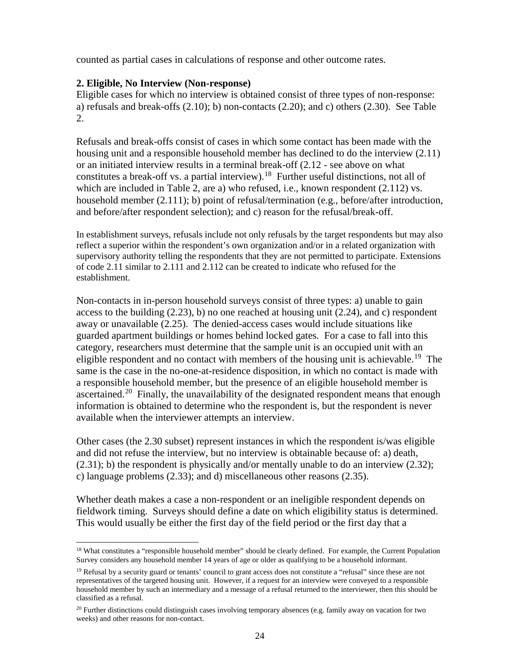counted as partial cases in calculations of response and other outcome rates.

#### **2. Eligible, No Interview (Non-response)**

Eligible cases for which no interview is obtained consist of three types of non-response: a) refusals and break-offs (2.10); b) non-contacts (2.20); and c) others (2.30). See Table 2.

Refusals and break-offs consist of cases in which some contact has been made with the housing unit and a responsible household member has declined to do the interview  $(2.11)$ or an initiated interview results in a terminal break-off (2.12 - see above on what constitutes a break-off vs. a partial interview).<sup>18</sup> Further useful distinctions, not all of which are included in Table 2, are a) who refused, i.e., known respondent  $(2.112)$  vs. household member (2.111); b) point of refusal/termination (e.g., before/after introduction, and before/after respondent selection); and c) reason for the refusal/break-off.

In establishment surveys, refusals include not only refusals by the target respondents but may also reflect a superior within the respondent's own organization and/or in a related organization with supervisory authority telling the respondents that they are not permitted to participate. Extensions of code 2.11 similar to 2.111 and 2.112 can be created to indicate who refused for the establishment.

Non-contacts in in-person household surveys consist of three types: a) unable to gain access to the building  $(2.23)$ , b) no one reached at housing unit  $(2.24)$ , and c) respondent away or unavailable (2.25). The denied-access cases would include situations like guarded apartment buildings or homes behind locked gates. For a case to fall into this category, researchers must determine that the sample unit is an occupied unit with an eligible respondent and no contact with members of the housing unit is achievable.<sup>[19](#page-24-1)</sup> The same is the case in the no-one-at-residence disposition, in which no contact is made with a responsible household member, but the presence of an eligible household member is ascertained.<sup>20</sup> Finally, the unavailability of the designated respondent means that enough information is obtained to determine who the respondent is, but the respondent is never available when the interviewer attempts an interview.

Other cases (the 2.30 subset) represent instances in which the respondent is/was eligible and did not refuse the interview, but no interview is obtainable because of: a) death, (2.31); b) the respondent is physically and/or mentally unable to do an interview (2.32); c) language problems (2.33); and d) miscellaneous other reasons (2.35).

Whether death makes a case a non-respondent or an ineligible respondent depends on fieldwork timing. Surveys should define a date on which eligibility status is determined. This would usually be either the first day of the field period or the first day that a

<span id="page-24-0"></span><sup>&</sup>lt;sup>18</sup> What constitutes a "responsible household member" should be clearly defined. For example, the Current Population Survey considers any household member 14 years of age or older as qualifying to be a household informant.  $\ddot{\phantom{a}}$ 

<span id="page-24-1"></span><sup>&</sup>lt;sup>19</sup> Refusal by a security guard or tenants' council to grant access does not constitute a "refusal" since these are not representatives of the targeted housing unit. However, if a request for an interview were conveyed to a responsible household member by such an intermediary and a message of a refusal returned to the interviewer, then this should be classified as a refusal.

<span id="page-24-2"></span> $20$  Further distinctions could distinguish cases involving temporary absences (e.g. family away on vacation for two weeks) and other reasons for non-contact.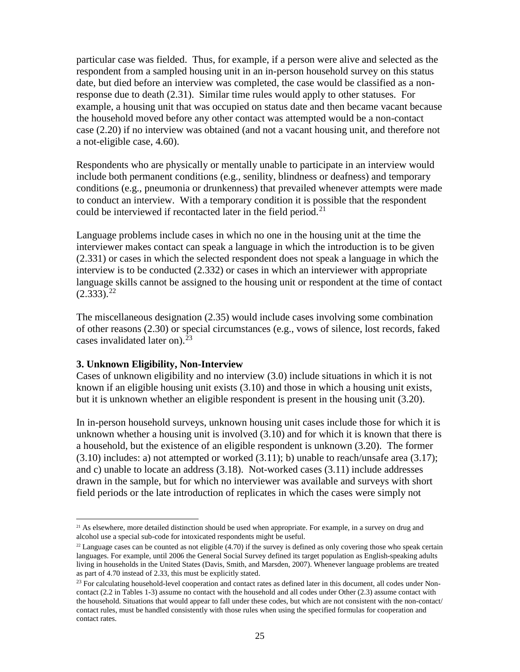particular case was fielded. Thus, for example, if a person were alive and selected as the respondent from a sampled housing unit in an in-person household survey on this status date, but died before an interview was completed, the case would be classified as a nonresponse due to death (2.31). Similar time rules would apply to other statuses. For example, a housing unit that was occupied on status date and then became vacant because the household moved before any other contact was attempted would be a non-contact case (2.20) if no interview was obtained (and not a vacant housing unit, and therefore not a not-eligible case, 4.60).

Respondents who are physically or mentally unable to participate in an interview would include both permanent conditions (e.g., senility, blindness or deafness) and temporary conditions (e.g., pneumonia or drunkenness) that prevailed whenever attempts were made to conduct an interview. With a temporary condition it is possible that the respondent could be interviewed if recontacted later in the field period.<sup>[21](#page-25-0)</sup>

Language problems include cases in which no one in the housing unit at the time the interviewer makes contact can speak a language in which the introduction is to be given (2.331) or cases in which the selected respondent does not speak a language in which the interview is to be conducted (2.332) or cases in which an interviewer with appropriate language skills cannot be assigned to the housing unit or respondent at the time of contact  $(2.333).^{22}$  $(2.333).^{22}$  $(2.333).^{22}$ 

The miscellaneous designation (2.35) would include cases involving some combination of other reasons (2.30) or special circumstances (e.g., vows of silence, lost records, faked cases invalidated later on).  $23$ 

#### **3. Unknown Eligibility, Non-Interview**

Cases of unknown eligibility and no interview (3.0) include situations in which it is not known if an eligible housing unit exists (3.10) and those in which a housing unit exists, but it is unknown whether an eligible respondent is present in the housing unit (3.20).

In in-person household surveys, unknown housing unit cases include those for which it is unknown whether a housing unit is involved (3.10) and for which it is known that there is a household, but the existence of an eligible respondent is unknown (3.20). The former  $(3.10)$  includes: a) not attempted or worked  $(3.11)$ ; b) unable to reach/unsafe area  $(3.17)$ ; and c) unable to locate an address (3.18). Not-worked cases (3.11) include addresses drawn in the sample, but for which no interviewer was available and surveys with short field periods or the late introduction of replicates in which the cases were simply not

<span id="page-25-0"></span> $2<sup>1</sup>$  As elsewhere, more detailed distinction should be used when appropriate. For example, in a survey on drug and alcohol use a special sub-code for intoxicated respondents might be useful.  $\overline{a}$ 

<span id="page-25-1"></span> $22$  Language cases can be counted as not eligible (4.70) if the survey is defined as only covering those who speak certain languages. For example, until 2006 the General Social Survey defined its target population as English-speaking adults living in households in the United States (Davis, Smith, and Marsden, 2007). Whenever language problems are treated as part of 4.70 instead of 2.33, this must be explicitly stated.

<span id="page-25-2"></span> $23$  For calculating household-level cooperation and contact rates as defined later in this document, all codes under Noncontact (2.2 in Tables 1-3) assume no contact with the household and all codes under Other (2.3) assume contact with the household. Situations that would appear to fall under these codes, but which are not consistent with the non-contact/ contact rules, must be handled consistently with those rules when using the specified formulas for cooperation and contact rates.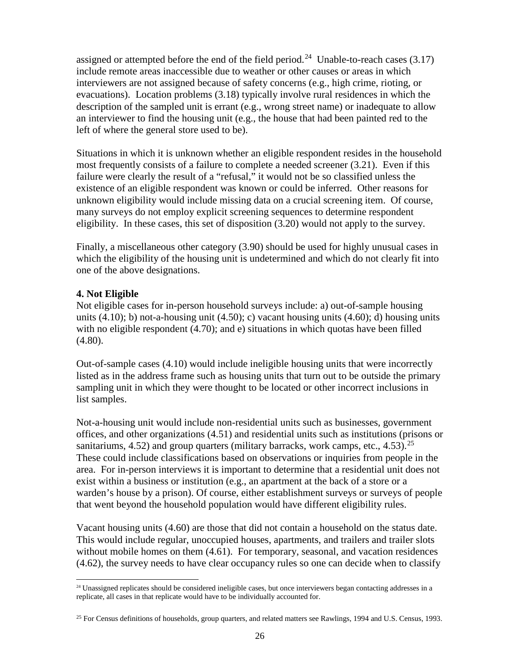assigned or attempted before the end of the field period.<sup>[24](#page-26-0)</sup> Unable-to-reach cases  $(3.17)$ include remote areas inaccessible due to weather or other causes or areas in which interviewers are not assigned because of safety concerns (e.g., high crime, rioting, or evacuations). Location problems (3.18) typically involve rural residences in which the description of the sampled unit is errant (e.g., wrong street name) or inadequate to allow an interviewer to find the housing unit (e.g., the house that had been painted red to the left of where the general store used to be).

Situations in which it is unknown whether an eligible respondent resides in the household most frequently consists of a failure to complete a needed screener (3.21). Even if this failure were clearly the result of a "refusal," it would not be so classified unless the existence of an eligible respondent was known or could be inferred. Other reasons for unknown eligibility would include missing data on a crucial screening item. Of course, many surveys do not employ explicit screening sequences to determine respondent eligibility. In these cases, this set of disposition (3.20) would not apply to the survey.

Finally, a miscellaneous other category (3.90) should be used for highly unusual cases in which the eligibility of the housing unit is undetermined and which do not clearly fit into one of the above designations.

#### **4. Not Eligible**

Not eligible cases for in-person household surveys include: a) out-of-sample housing units  $(4.10)$ ; b) not-a-housing unit  $(4.50)$ ; c) vacant housing units  $(4.60)$ ; d) housing units with no eligible respondent (4.70); and e) situations in which quotas have been filled  $(4.80).$ 

Out-of-sample cases (4.10) would include ineligible housing units that were incorrectly listed as in the address frame such as housing units that turn out to be outside the primary sampling unit in which they were thought to be located or other incorrect inclusions in list samples.

Not-a-housing unit would include non-residential units such as businesses, government offices, and other organizations (4.51) and residential units such as institutions (prisons or sanitariums, 4.52) and group quarters (military barracks, work camps, etc., 4.53).<sup>25</sup> These could include classifications based on observations or inquiries from people in the area. For in-person interviews it is important to determine that a residential unit does not exist within a business or institution (e.g., an apartment at the back of a store or a warden's house by a prison). Of course, either establishment surveys or surveys of people that went beyond the household population would have different eligibility rules.

Vacant housing units (4.60) are those that did not contain a household on the status date. This would include regular, unoccupied houses, apartments, and trailers and trailer slots without mobile homes on them (4.61). For temporary, seasonal, and vacation residences (4.62), the survey needs to have clear occupancy rules so one can decide when to classify

<span id="page-26-0"></span> $24$  Unassigned replicates should be considered ineligible cases, but once interviewers began contacting addresses in a replicate, all cases in that replicate would have to be individually accounted for.  $\overline{a}$ 

<span id="page-26-1"></span> $^{25}$  For Census definitions of households, group quarters, and related matters see Rawlings, 1994 and U.S. Census, 1993.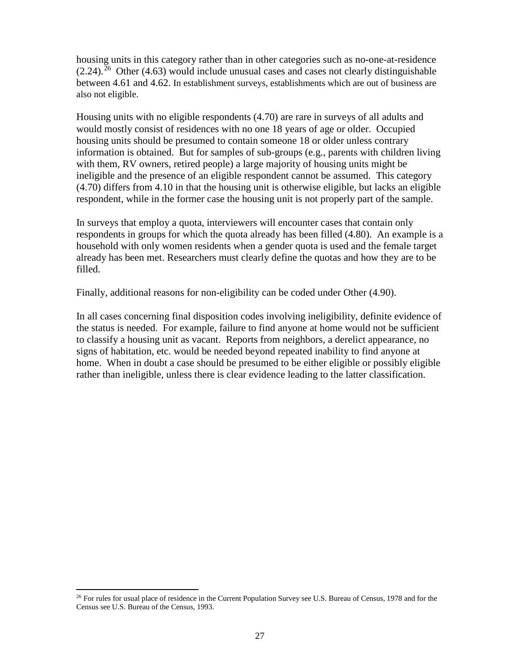housing units in this category rather than in other categories such as no-one-at-residence  $(2.24)$ <sup>26</sup> Other (4.63) would include unusual cases and cases not clearly distinguishable between 4.61 and 4.62. In establishment surveys, establishments which are out of business are also not eligible.

Housing units with no eligible respondents (4.70) are rare in surveys of all adults and would mostly consist of residences with no one 18 years of age or older. Occupied housing units should be presumed to contain someone 18 or older unless contrary information is obtained. But for samples of sub-groups (e.g., parents with children living with them, RV owners, retired people) a large majority of housing units might be ineligible and the presence of an eligible respondent cannot be assumed. This category (4.70) differs from 4.10 in that the housing unit is otherwise eligible, but lacks an eligible respondent, while in the former case the housing unit is not properly part of the sample.

In surveys that employ a quota, interviewers will encounter cases that contain only respondents in groups for which the quota already has been filled (4.80). An example is a household with only women residents when a gender quota is used and the female target already has been met. Researchers must clearly define the quotas and how they are to be filled.

Finally, additional reasons for non-eligibility can be coded under Other (4.90).

In all cases concerning final disposition codes involving ineligibility, definite evidence of the status is needed. For example, failure to find anyone at home would not be sufficient to classify a housing unit as vacant. Reports from neighbors, a derelict appearance, no signs of habitation, etc. would be needed beyond repeated inability to find anyone at home. When in doubt a case should be presumed to be either eligible or possibly eligible rather than ineligible, unless there is clear evidence leading to the latter classification.

 $\overline{a}$ 

<span id="page-27-0"></span><sup>&</sup>lt;sup>26</sup> For rules for usual place of residence in the Current Population Survey see U.S. Bureau of Census, 1978 and for the Census see U.S. Bureau of the Census, 1993.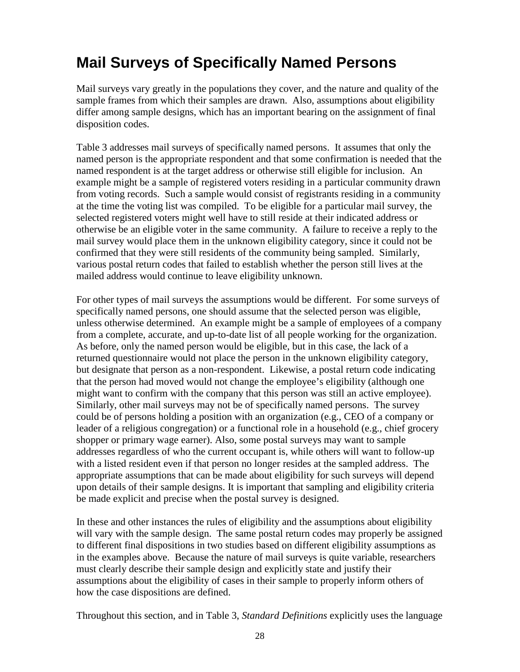### **Mail Surveys of Specifically Named Persons**

Mail surveys vary greatly in the populations they cover, and the nature and quality of the sample frames from which their samples are drawn. Also, assumptions about eligibility differ among sample designs, which has an important bearing on the assignment of final disposition codes.

Table 3 addresses mail surveys of specifically named persons. It assumes that only the named person is the appropriate respondent and that some confirmation is needed that the named respondent is at the target address or otherwise still eligible for inclusion. An example might be a sample of registered voters residing in a particular community drawn from voting records. Such a sample would consist of registrants residing in a community at the time the voting list was compiled. To be eligible for a particular mail survey, the selected registered voters might well have to still reside at their indicated address or otherwise be an eligible voter in the same community. A failure to receive a reply to the mail survey would place them in the unknown eligibility category, since it could not be confirmed that they were still residents of the community being sampled. Similarly, various postal return codes that failed to establish whether the person still lives at the mailed address would continue to leave eligibility unknown.

For other types of mail surveys the assumptions would be different. For some surveys of specifically named persons, one should assume that the selected person was eligible, unless otherwise determined. An example might be a sample of employees of a company from a complete, accurate, and up-to-date list of all people working for the organization. As before, only the named person would be eligible, but in this case, the lack of a returned questionnaire would not place the person in the unknown eligibility category, but designate that person as a non-respondent. Likewise, a postal return code indicating that the person had moved would not change the employee's eligibility (although one might want to confirm with the company that this person was still an active employee). Similarly, other mail surveys may not be of specifically named persons. The survey could be of persons holding a position with an organization (e.g., CEO of a company or leader of a religious congregation) or a functional role in a household (e.g., chief grocery shopper or primary wage earner). Also, some postal surveys may want to sample addresses regardless of who the current occupant is, while others will want to follow-up with a listed resident even if that person no longer resides at the sampled address. The appropriate assumptions that can be made about eligibility for such surveys will depend upon details of their sample designs. It is important that sampling and eligibility criteria be made explicit and precise when the postal survey is designed.

In these and other instances the rules of eligibility and the assumptions about eligibility will vary with the sample design. The same postal return codes may properly be assigned to different final dispositions in two studies based on different eligibility assumptions as in the examples above. Because the nature of mail surveys is quite variable, researchers must clearly describe their sample design and explicitly state and justify their assumptions about the eligibility of cases in their sample to properly inform others of how the case dispositions are defined.

Throughout this section, and in Table 3, *Standard Definitions* explicitly uses the language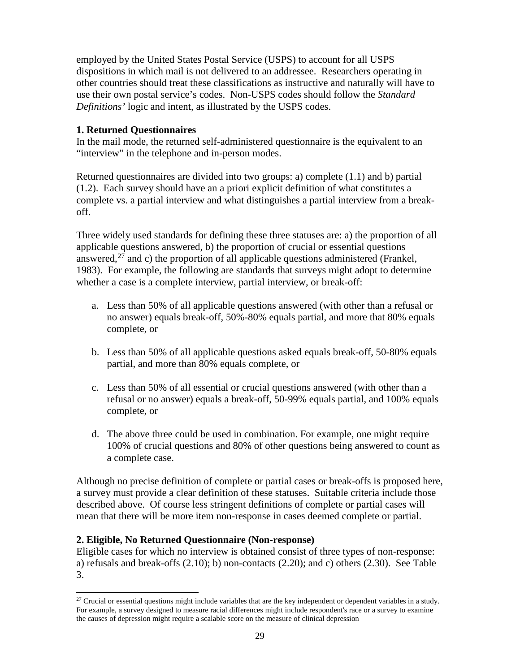employed by the United States Postal Service (USPS) to account for all USPS dispositions in which mail is not delivered to an addressee. Researchers operating in other countries should treat these classifications as instructive and naturally will have to use their own postal service's codes. Non-USPS codes should follow the *Standard Definitions'* logic and intent, as illustrated by the USPS codes.

#### **1. Returned Questionnaires**

In the mail mode, the returned self-administered questionnaire is the equivalent to an "interview" in the telephone and in-person modes.

Returned questionnaires are divided into two groups: a) complete (1.1) and b) partial (1.2). Each survey should have an a priori explicit definition of what constitutes a complete vs. a partial interview and what distinguishes a partial interview from a breakoff.

Three widely used standards for defining these three statuses are: a) the proportion of all applicable questions answered, b) the proportion of crucial or essential questions answered, $^{27}$  $^{27}$  $^{27}$  and c) the proportion of all applicable questions administered (Frankel, 1983). For example, the following are standards that surveys might adopt to determine whether a case is a complete interview, partial interview, or break-off:

- a. Less than 50% of all applicable questions answered (with other than a refusal or no answer) equals break-off, 50%-80% equals partial, and more that 80% equals complete, or
- b. Less than 50% of all applicable questions asked equals break-off, 50-80% equals partial, and more than 80% equals complete, or
- c. Less than 50% of all essential or crucial questions answered (with other than a refusal or no answer) equals a break-off, 50-99% equals partial, and 100% equals complete, or
- d. The above three could be used in combination. For example, one might require 100% of crucial questions and 80% of other questions being answered to count as a complete case.

Although no precise definition of complete or partial cases or break-offs is proposed here, a survey must provide a clear definition of these statuses. Suitable criteria include those described above. Of course less stringent definitions of complete or partial cases will mean that there will be more item non-response in cases deemed complete or partial.

#### **2. Eligible, No Returned Questionnaire (Non-response)**

 $\overline{a}$ 

Eligible cases for which no interview is obtained consist of three types of non-response: a) refusals and break-offs (2.10); b) non-contacts (2.20); and c) others (2.30). See Table 3.

<span id="page-29-0"></span><sup>&</sup>lt;sup>27</sup> Crucial or essential questions might include variables that are the key independent or dependent variables in a study. For example, a survey designed to measure racial differences might include respondent's race or a survey to examine the causes of depression might require a scalable score on the measure of clinical depression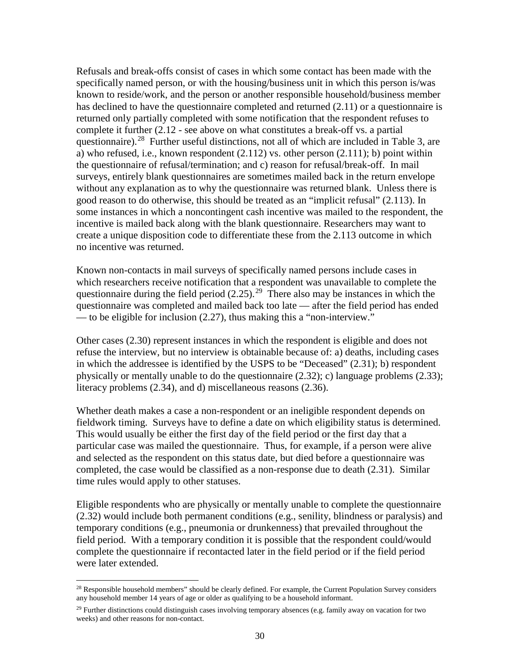Refusals and break-offs consist of cases in which some contact has been made with the specifically named person, or with the housing/business unit in which this person is/was known to reside/work, and the person or another responsible household/business member has declined to have the questionnaire completed and returned (2.11) or a questionnaire is returned only partially completed with some notification that the respondent refuses to complete it further (2.12 - see above on what constitutes a break-off vs. a partial questionnaire).<sup>[28](#page-30-0)</sup> Further useful distinctions, not all of which are included in Table 3, are a) who refused, i.e., known respondent (2.112) vs. other person (2.111); b) point within the questionnaire of refusal/termination; and c) reason for refusal/break-off. In mail surveys, entirely blank questionnaires are sometimes mailed back in the return envelope without any explanation as to why the questionnaire was returned blank. Unless there is good reason to do otherwise, this should be treated as an "implicit refusal" (2.113). In some instances in which a noncontingent cash incentive was mailed to the respondent, the incentive is mailed back along with the blank questionnaire. Researchers may want to create a unique disposition code to differentiate these from the 2.113 outcome in which no incentive was returned.

Known non-contacts in mail surveys of specifically named persons include cases in which researchers receive notification that a respondent was unavailable to complete the questionnaire during the field period  $(2.25)$ .<sup>[29](#page-30-1)</sup> There also may be instances in which the questionnaire was completed and mailed back too late — after the field period has ended — to be eligible for inclusion (2.27), thus making this a "non-interview."

Other cases (2.30) represent instances in which the respondent is eligible and does not refuse the interview, but no interview is obtainable because of: a) deaths, including cases in which the addressee is identified by the USPS to be "Deceased" (2.31); b) respondent physically or mentally unable to do the questionnaire (2.32); c) language problems (2.33); literacy problems (2.34), and d) miscellaneous reasons (2.36).

Whether death makes a case a non-respondent or an ineligible respondent depends on fieldwork timing. Surveys have to define a date on which eligibility status is determined. This would usually be either the first day of the field period or the first day that a particular case was mailed the questionnaire. Thus, for example, if a person were alive and selected as the respondent on this status date, but died before a questionnaire was completed, the case would be classified as a non-response due to death (2.31). Similar time rules would apply to other statuses.

Eligible respondents who are physically or mentally unable to complete the questionnaire (2.32) would include both permanent conditions (e.g., senility, blindness or paralysis) and temporary conditions (e.g., pneumonia or drunkenness) that prevailed throughout the field period. With a temporary condition it is possible that the respondent could/would complete the questionnaire if recontacted later in the field period or if the field period were later extended.

 $\overline{a}$ 

<span id="page-30-0"></span> $28$  Responsible household members" should be clearly defined. For example, the Current Population Survey considers any household member 14 years of age or older as qualifying to be a household informant.

<span id="page-30-1"></span> $29$  Further distinctions could distinguish cases involving temporary absences (e.g. family away on vacation for two weeks) and other reasons for non-contact.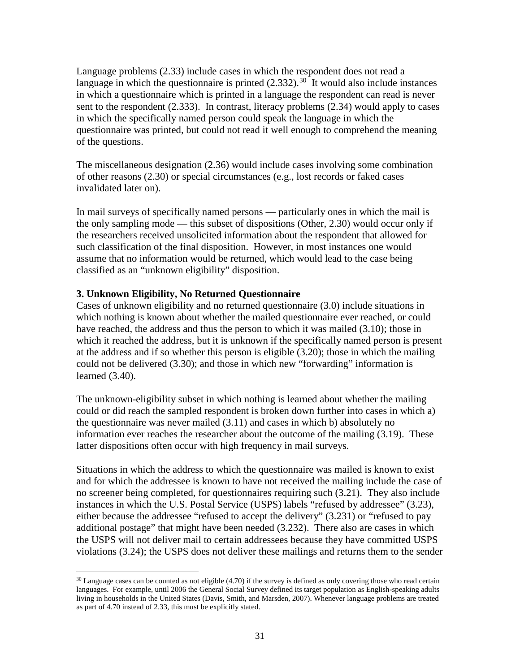Language problems (2.33) include cases in which the respondent does not read a language in which the questionnaire is printed  $(2.332)$ .<sup>[30](#page-31-0)</sup> It would also include instances in which a questionnaire which is printed in a language the respondent can read is never sent to the respondent (2.333). In contrast, literacy problems (2.34) would apply to cases in which the specifically named person could speak the language in which the questionnaire was printed, but could not read it well enough to comprehend the meaning of the questions.

The miscellaneous designation (2.36) would include cases involving some combination of other reasons (2.30) or special circumstances (e.g., lost records or faked cases invalidated later on).

In mail surveys of specifically named persons — particularly ones in which the mail is the only sampling mode — this subset of dispositions (Other, 2.30) would occur only if the researchers received unsolicited information about the respondent that allowed for such classification of the final disposition. However, in most instances one would assume that no information would be returned, which would lead to the case being classified as an "unknown eligibility" disposition.

#### **3. Unknown Eligibility, No Returned Questionnaire**

 $\overline{a}$ 

Cases of unknown eligibility and no returned questionnaire (3.0) include situations in which nothing is known about whether the mailed questionnaire ever reached, or could have reached, the address and thus the person to which it was mailed (3.10); those in which it reached the address, but it is unknown if the specifically named person is present at the address and if so whether this person is eligible (3.20); those in which the mailing could not be delivered (3.30); and those in which new "forwarding" information is learned (3.40).

The unknown-eligibility subset in which nothing is learned about whether the mailing could or did reach the sampled respondent is broken down further into cases in which a) the questionnaire was never mailed (3.11) and cases in which b) absolutely no information ever reaches the researcher about the outcome of the mailing (3.19). These latter dispositions often occur with high frequency in mail surveys.

Situations in which the address to which the questionnaire was mailed is known to exist and for which the addressee is known to have not received the mailing include the case of no screener being completed, for questionnaires requiring such (3.21). They also include instances in which the U.S. Postal Service (USPS) labels "refused by addressee" (3.23), either because the addressee "refused to accept the delivery" (3.231) or "refused to pay additional postage" that might have been needed (3.232). There also are cases in which the USPS will not deliver mail to certain addressees because they have committed USPS violations (3.24); the USPS does not deliver these mailings and returns them to the sender

<span id="page-31-0"></span> $30$  Language cases can be counted as not eligible (4.70) if the survey is defined as only covering those who read certain languages. For example, until 2006 the General Social Survey defined its target population as English-speaking adults living in households in the United States (Davis, Smith, and Marsden, 2007). Whenever language problems are treated as part of 4.70 instead of 2.33, this must be explicitly stated.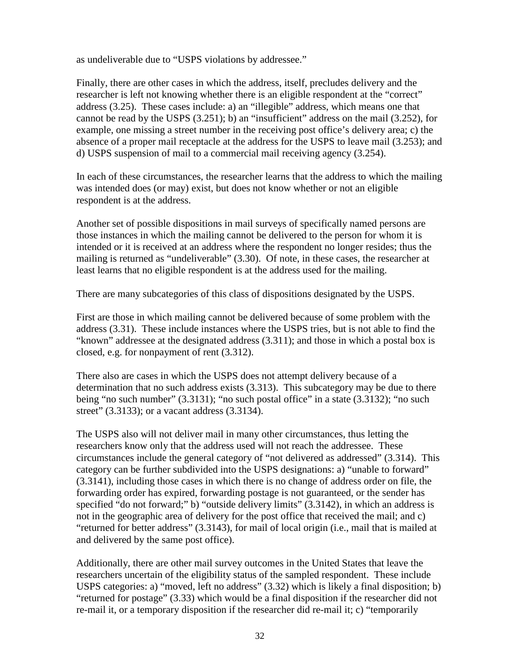as undeliverable due to "USPS violations by addressee."

Finally, there are other cases in which the address, itself, precludes delivery and the researcher is left not knowing whether there is an eligible respondent at the "correct" address (3.25). These cases include: a) an "illegible" address, which means one that cannot be read by the USPS (3.251); b) an "insufficient" address on the mail (3.252), for example, one missing a street number in the receiving post office's delivery area; c) the absence of a proper mail receptacle at the address for the USPS to leave mail (3.253); and d) USPS suspension of mail to a commercial mail receiving agency (3.254).

In each of these circumstances, the researcher learns that the address to which the mailing was intended does (or may) exist, but does not know whether or not an eligible respondent is at the address.

Another set of possible dispositions in mail surveys of specifically named persons are those instances in which the mailing cannot be delivered to the person for whom it is intended or it is received at an address where the respondent no longer resides; thus the mailing is returned as "undeliverable" (3.30). Of note, in these cases, the researcher at least learns that no eligible respondent is at the address used for the mailing.

There are many subcategories of this class of dispositions designated by the USPS.

First are those in which mailing cannot be delivered because of some problem with the address (3.31). These include instances where the USPS tries, but is not able to find the "known" addressee at the designated address (3.311); and those in which a postal box is closed, e.g. for nonpayment of rent (3.312).

There also are cases in which the USPS does not attempt delivery because of a determination that no such address exists (3.313). This subcategory may be due to there being "no such number" (3.3131); "no such postal office" in a state (3.3132); "no such street" (3.3133); or a vacant address (3.3134).

The USPS also will not deliver mail in many other circumstances, thus letting the researchers know only that the address used will not reach the addressee. These circumstances include the general category of "not delivered as addressed" (3.314). This category can be further subdivided into the USPS designations: a) "unable to forward" (3.3141), including those cases in which there is no change of address order on file, the forwarding order has expired, forwarding postage is not guaranteed, or the sender has specified "do not forward;" b) "outside delivery limits" (3.3142), in which an address is not in the geographic area of delivery for the post office that received the mail; and c) "returned for better address" (3.3143), for mail of local origin (i.e., mail that is mailed at and delivered by the same post office).

Additionally, there are other mail survey outcomes in the United States that leave the researchers uncertain of the eligibility status of the sampled respondent. These include USPS categories: a) "moved, left no address" (3.32) which is likely a final disposition; b) "returned for postage" (3.33) which would be a final disposition if the researcher did not re-mail it, or a temporary disposition if the researcher did re-mail it; c) "temporarily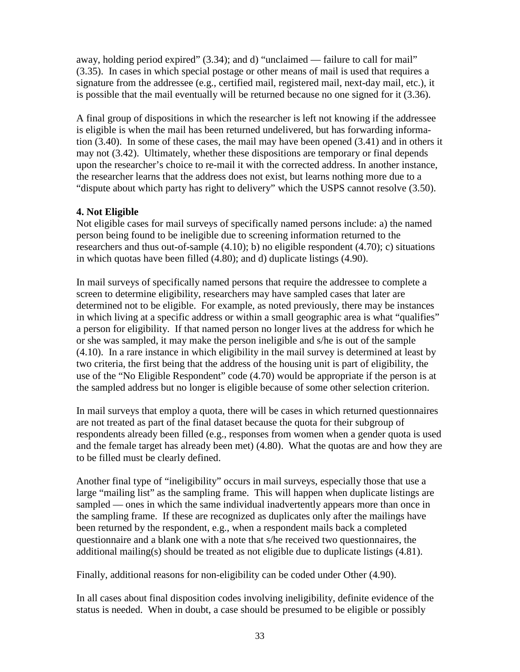away, holding period expired" (3.34); and d) "unclaimed — failure to call for mail" (3.35). In cases in which special postage or other means of mail is used that requires a signature from the addressee (e.g., certified mail, registered mail, next-day mail, etc.), it is possible that the mail eventually will be returned because no one signed for it (3.36).

A final group of dispositions in which the researcher is left not knowing if the addressee is eligible is when the mail has been returned undelivered, but has forwarding information (3.40). In some of these cases, the mail may have been opened (3.41) and in others it may not (3.42). Ultimately, whether these dispositions are temporary or final depends upon the researcher's choice to re-mail it with the corrected address. In another instance, the researcher learns that the address does not exist, but learns nothing more due to a "dispute about which party has right to delivery" which the USPS cannot resolve (3.50).

#### **4. Not Eligible**

Not eligible cases for mail surveys of specifically named persons include: a) the named person being found to be ineligible due to screening information returned to the researchers and thus out-of-sample (4.10); b) no eligible respondent (4.70); c) situations in which quotas have been filled (4.80); and d) duplicate listings (4.90).

In mail surveys of specifically named persons that require the addressee to complete a screen to determine eligibility, researchers may have sampled cases that later are determined not to be eligible. For example, as noted previously, there may be instances in which living at a specific address or within a small geographic area is what "qualifies" a person for eligibility. If that named person no longer lives at the address for which he or she was sampled, it may make the person ineligible and s/he is out of the sample (4.10). In a rare instance in which eligibility in the mail survey is determined at least by two criteria, the first being that the address of the housing unit is part of eligibility, the use of the "No Eligible Respondent" code (4.70) would be appropriate if the person is at the sampled address but no longer is eligible because of some other selection criterion.

In mail surveys that employ a quota, there will be cases in which returned questionnaires are not treated as part of the final dataset because the quota for their subgroup of respondents already been filled (e.g., responses from women when a gender quota is used and the female target has already been met) (4.80). What the quotas are and how they are to be filled must be clearly defined.

Another final type of "ineligibility" occurs in mail surveys, especially those that use a large "mailing list" as the sampling frame. This will happen when duplicate listings are sampled — ones in which the same individual inadvertently appears more than once in the sampling frame. If these are recognized as duplicates only after the mailings have been returned by the respondent, e.g., when a respondent mails back a completed questionnaire and a blank one with a note that s/he received two questionnaires, the additional mailing(s) should be treated as not eligible due to duplicate listings (4.81).

Finally, additional reasons for non-eligibility can be coded under Other (4.90).

In all cases about final disposition codes involving ineligibility, definite evidence of the status is needed. When in doubt, a case should be presumed to be eligible or possibly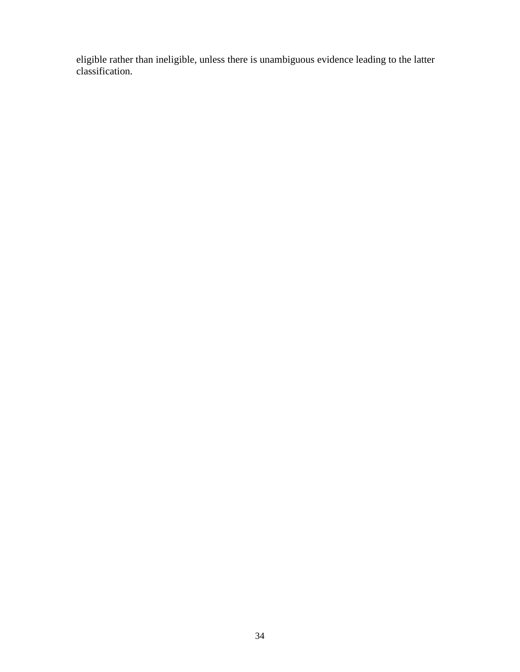eligible rather than ineligible, unless there is unambiguous evidence leading to the latter classification.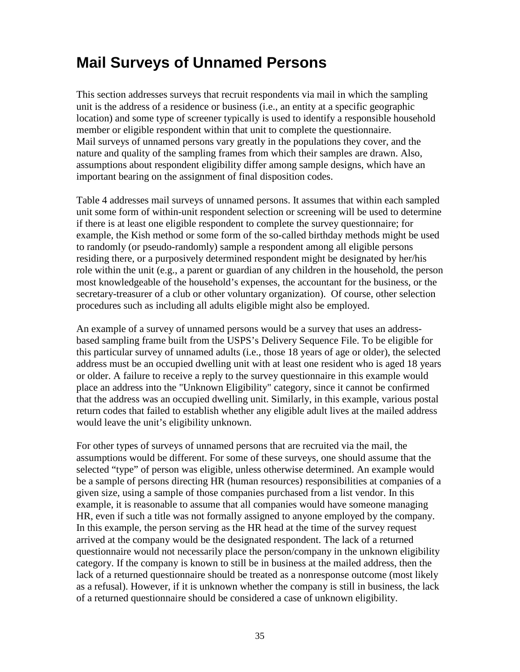### **Mail Surveys of Unnamed Persons**

This section addresses surveys that recruit respondents via mail in which the sampling unit is the address of a residence or business (i.e., an entity at a specific geographic location) and some type of screener typically is used to identify a responsible household member or eligible respondent within that unit to complete the questionnaire. Mail surveys of unnamed persons vary greatly in the populations they cover, and the nature and quality of the sampling frames from which their samples are drawn. Also, assumptions about respondent eligibility differ among sample designs, which have an important bearing on the assignment of final disposition codes.

Table 4 addresses mail surveys of unnamed persons. It assumes that within each sampled unit some form of within-unit respondent selection or screening will be used to determine if there is at least one eligible respondent to complete the survey questionnaire; for example, the Kish method or some form of the so-called birthday methods might be used to randomly (or pseudo-randomly) sample a respondent among all eligible persons residing there, or a purposively determined respondent might be designated by her/his role within the unit (e.g., a parent or guardian of any children in the household, the person most knowledgeable of the household's expenses, the accountant for the business, or the secretary-treasurer of a club or other voluntary organization). Of course, other selection procedures such as including all adults eligible might also be employed.

An example of a survey of unnamed persons would be a survey that uses an addressbased sampling frame built from the USPS's Delivery Sequence File. To be eligible for this particular survey of unnamed adults (i.e., those 18 years of age or older), the selected address must be an occupied dwelling unit with at least one resident who is aged 18 years or older. A failure to receive a reply to the survey questionnaire in this example would place an address into the "Unknown Eligibility" category, since it cannot be confirmed that the address was an occupied dwelling unit. Similarly, in this example, various postal return codes that failed to establish whether any eligible adult lives at the mailed address would leave the unit's eligibility unknown.

For other types of surveys of unnamed persons that are recruited via the mail, the assumptions would be different. For some of these surveys, one should assume that the selected "type" of person was eligible, unless otherwise determined. An example would be a sample of persons directing HR (human resources) responsibilities at companies of a given size, using a sample of those companies purchased from a list vendor. In this example, it is reasonable to assume that all companies would have someone managing HR, even if such a title was not formally assigned to anyone employed by the company. In this example, the person serving as the HR head at the time of the survey request arrived at the company would be the designated respondent. The lack of a returned questionnaire would not necessarily place the person/company in the unknown eligibility category. If the company is known to still be in business at the mailed address, then the lack of a returned questionnaire should be treated as a nonresponse outcome (most likely as a refusal). However, if it is unknown whether the company is still in business, the lack of a returned questionnaire should be considered a case of unknown eligibility.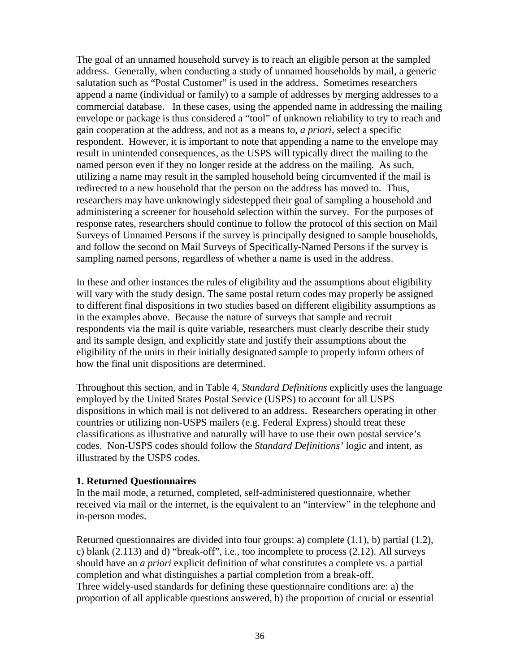The goal of an unnamed household survey is to reach an eligible person at the sampled address. Generally, when conducting a study of unnamed households by mail, a generic salutation such as "Postal Customer" is used in the address. Sometimes researchers append a name (individual or family) to a sample of addresses by merging addresses to a commercial database. In these cases, using the appended name in addressing the mailing envelope or package is thus considered a "tool" of unknown reliability to try to reach and gain cooperation at the address, and not as a means to, *a priori*, select a specific respondent. However, it is important to note that appending a name to the envelope may result in unintended consequences, as the USPS will typically direct the mailing to the named person even if they no longer reside at the address on the mailing. As such, utilizing a name may result in the sampled household being circumvented if the mail is redirected to a new household that the person on the address has moved to. Thus, researchers may have unknowingly sidestepped their goal of sampling a household and administering a screener for household selection within the survey. For the purposes of response rates, researchers should continue to follow the protocol of this section on Mail Surveys of Unnamed Persons if the survey is principally designed to sample households, and follow the second on Mail Surveys of Specifically-Named Persons if the survey is sampling named persons, regardless of whether a name is used in the address.

In these and other instances the rules of eligibility and the assumptions about eligibility will vary with the study design. The same postal return codes may properly be assigned to different final dispositions in two studies based on different eligibility assumptions as in the examples above. Because the nature of surveys that sample and recruit respondents via the mail is quite variable, researchers must clearly describe their study and its sample design, and explicitly state and justify their assumptions about the eligibility of the units in their initially designated sample to properly inform others of how the final unit dispositions are determined.

Throughout this section, and in Table 4, *Standard Definitions* explicitly uses the language employed by the United States Postal Service (USPS) to account for all USPS dispositions in which mail is not delivered to an address. Researchers operating in other countries or utilizing non-USPS mailers (e.g. Federal Express) should treat these classifications as illustrative and naturally will have to use their own postal service's codes. Non-USPS codes should follow the *Standard Definitions'* logic and intent, as illustrated by the USPS codes.

#### **1. Returned Questionnaires**

In the mail mode, a returned, completed, self-administered questionnaire, whether received via mail or the internet, is the equivalent to an "interview" in the telephone and in-person modes.

Returned questionnaires are divided into four groups: a) complete (1.1), b) partial (1.2), c) blank (2.113) and d) "break-off", i.e., too incomplete to process (2.12). All surveys should have an *a priori* explicit definition of what constitutes a complete vs. a partial completion and what distinguishes a partial completion from a break-off. Three widely-used standards for defining these questionnaire conditions are: a) the proportion of all applicable questions answered, b) the proportion of crucial or essential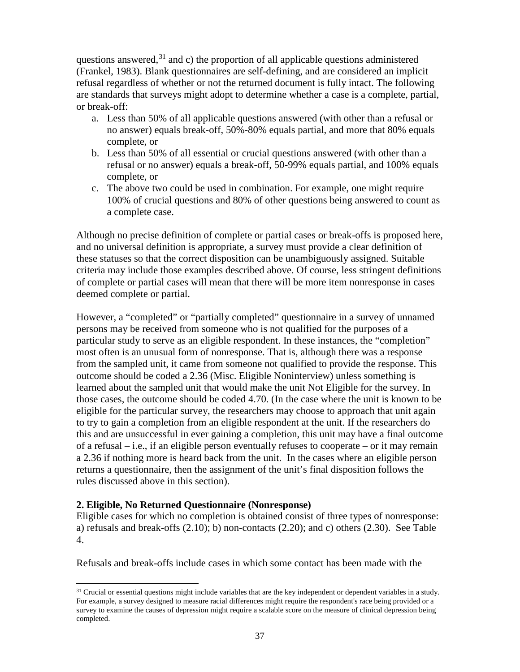questions answered,  $31$  and c) the proportion of all applicable questions administered (Frankel, 1983). Blank questionnaires are self-defining, and are considered an implicit refusal regardless of whether or not the returned document is fully intact. The following are standards that surveys might adopt to determine whether a case is a complete, partial, or break-off:

- a. Less than 50% of all applicable questions answered (with other than a refusal or no answer) equals break-off, 50%-80% equals partial, and more that 80% equals complete, or
- b. Less than 50% of all essential or crucial questions answered (with other than a refusal or no answer) equals a break-off, 50-99% equals partial, and 100% equals complete, or
- c. The above two could be used in combination. For example, one might require 100% of crucial questions and 80% of other questions being answered to count as a complete case.

Although no precise definition of complete or partial cases or break-offs is proposed here, and no universal definition is appropriate, a survey must provide a clear definition of these statuses so that the correct disposition can be unambiguously assigned. Suitable criteria may include those examples described above. Of course, less stringent definitions of complete or partial cases will mean that there will be more item nonresponse in cases deemed complete or partial.

However, a "completed" or "partially completed" questionnaire in a survey of unnamed persons may be received from someone who is not qualified for the purposes of a particular study to serve as an eligible respondent. In these instances, the "completion" most often is an unusual form of nonresponse. That is, although there was a response from the sampled unit, it came from someone not qualified to provide the response. This outcome should be coded a 2.36 (Misc. Eligible Noninterview) unless something is learned about the sampled unit that would make the unit Not Eligible for the survey. In those cases, the outcome should be coded 4.70. (In the case where the unit is known to be eligible for the particular survey, the researchers may choose to approach that unit again to try to gain a completion from an eligible respondent at the unit. If the researchers do this and are unsuccessful in ever gaining a completion, this unit may have a final outcome of a refusal – i.e., if an eligible person eventually refuses to cooperate – or it may remain a 2.36 if nothing more is heard back from the unit. In the cases where an eligible person returns a questionnaire, then the assignment of the unit's final disposition follows the rules discussed above in this section).

## **2. Eligible, No Returned Questionnaire (Nonresponse)**

 $\overline{a}$ 

Eligible cases for which no completion is obtained consist of three types of nonresponse: a) refusals and break-offs (2.10); b) non-contacts (2.20); and c) others (2.30). See Table 4.

Refusals and break-offs include cases in which some contact has been made with the

<span id="page-37-0"></span> $31$  Crucial or essential questions might include variables that are the key independent or dependent variables in a study. For example, a survey designed to measure racial differences might require the respondent's race being provided or a survey to examine the causes of depression might require a scalable score on the measure of clinical depression being completed.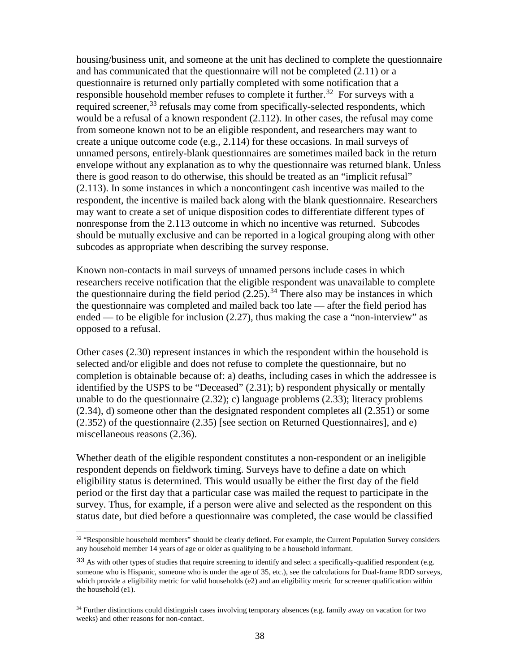housing/business unit, and someone at the unit has declined to complete the questionnaire and has communicated that the questionnaire will not be completed (2.11) or a questionnaire is returned only partially completed with some notification that a responsible household member refuses to complete it further.<sup>32</sup> For surveys with a required screener,<sup>[33](#page-38-1)</sup> refusals may come from specifically-selected respondents, which would be a refusal of a known respondent (2.112). In other cases, the refusal may come from someone known not to be an eligible respondent, and researchers may want to create a unique outcome code (e.g., 2.114) for these occasions. In mail surveys of unnamed persons, entirely-blank questionnaires are sometimes mailed back in the return envelope without any explanation as to why the questionnaire was returned blank. Unless there is good reason to do otherwise, this should be treated as an "implicit refusal" (2.113). In some instances in which a noncontingent cash incentive was mailed to the respondent, the incentive is mailed back along with the blank questionnaire. Researchers may want to create a set of unique disposition codes to differentiate different types of nonresponse from the 2.113 outcome in which no incentive was returned. Subcodes should be mutually exclusive and can be reported in a logical grouping along with other subcodes as appropriate when describing the survey response.

Known non-contacts in mail surveys of unnamed persons include cases in which researchers receive notification that the eligible respondent was unavailable to complete the questionnaire during the field period  $(2.25)$ .<sup>[34](#page-38-2)</sup> There also may be instances in which the questionnaire was completed and mailed back too late — after the field period has ended — to be eligible for inclusion (2.27), thus making the case a "non-interview" as opposed to a refusal.

Other cases (2.30) represent instances in which the respondent within the household is selected and/or eligible and does not refuse to complete the questionnaire, but no completion is obtainable because of: a) deaths, including cases in which the addressee is identified by the USPS to be "Deceased" (2.31); b) respondent physically or mentally unable to do the questionnaire (2.32); c) language problems (2.33); literacy problems (2.34), d) someone other than the designated respondent completes all (2.351) or some (2.352) of the questionnaire (2.35) [see section on Returned Questionnaires], and e) miscellaneous reasons (2.36).

Whether death of the eligible respondent constitutes a non-respondent or an ineligible respondent depends on fieldwork timing. Surveys have to define a date on which eligibility status is determined. This would usually be either the first day of the field period or the first day that a particular case was mailed the request to participate in the survey. Thus, for example, if a person were alive and selected as the respondent on this status date, but died before a questionnaire was completed, the case would be classified

 $\overline{a}$ 

<span id="page-38-0"></span> $32$  "Responsible household members" should be clearly defined. For example, the Current Population Survey considers any household member 14 years of age or older as qualifying to be a household informant.

<span id="page-38-1"></span> $33$  As with other types of studies that require screening to identify and select a specifically-qualified respondent (e.g. someone who is Hispanic, someone who is under the age of 35, etc.), see the calculations for Dual-frame RDD surveys, which provide a eligibility metric for valid households (e2) and an eligibility metric for screener qualification within the household (e1).

<span id="page-38-2"></span><sup>34</sup> Further distinctions could distinguish cases involving temporary absences (e.g. family away on vacation for two weeks) and other reasons for non-contact.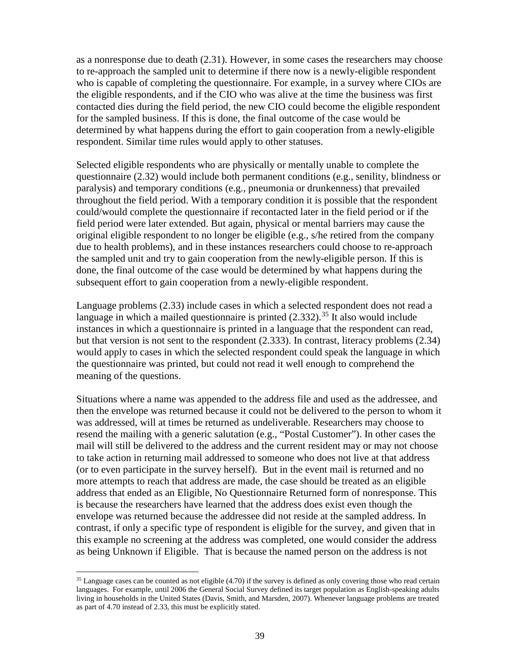as a nonresponse due to death (2.31). However, in some cases the researchers may choose to re-approach the sampled unit to determine if there now is a newly-eligible respondent who is capable of completing the questionnaire. For example, in a survey where CIOs are the eligible respondents, and if the CIO who was alive at the time the business was first contacted dies during the field period, the new CIO could become the eligible respondent for the sampled business. If this is done, the final outcome of the case would be determined by what happens during the effort to gain cooperation from a newly-eligible respondent. Similar time rules would apply to other statuses.

Selected eligible respondents who are physically or mentally unable to complete the questionnaire (2.32) would include both permanent conditions (e.g., senility, blindness or paralysis) and temporary conditions (e.g., pneumonia or drunkenness) that prevailed throughout the field period. With a temporary condition it is possible that the respondent could/would complete the questionnaire if recontacted later in the field period or if the field period were later extended. But again, physical or mental barriers may cause the original eligible respondent to no longer be eligible (e.g., s/he retired from the company due to health problems), and in these instances researchers could choose to re-approach the sampled unit and try to gain cooperation from the newly-eligible person. If this is done, the final outcome of the case would be determined by what happens during the subsequent effort to gain cooperation from a newly-eligible respondent.

Language problems (2.33) include cases in which a selected respondent does not read a language in which a mailed questionnaire is printed  $(2.332)$ .<sup>[35](#page-39-0)</sup> It also would include instances in which a questionnaire is printed in a language that the respondent can read, but that version is not sent to the respondent (2.333). In contrast, literacy problems (2.34) would apply to cases in which the selected respondent could speak the language in which the questionnaire was printed, but could not read it well enough to comprehend the meaning of the questions.

Situations where a name was appended to the address file and used as the addressee, and then the envelope was returned because it could not be delivered to the person to whom it was addressed, will at times be returned as undeliverable. Researchers may choose to resend the mailing with a generic salutation (e.g., "Postal Customer"). In other cases the mail will still be delivered to the address and the current resident may or may not choose to take action in returning mail addressed to someone who does not live at that address (or to even participate in the survey herself). But in the event mail is returned and no more attempts to reach that address are made, the case should be treated as an eligible address that ended as an Eligible, No Questionnaire Returned form of nonresponse. This is because the researchers have learned that the address does exist even though the envelope was returned because the addressee did not reside at the sampled address. In contrast, if only a specific type of respondent is eligible for the survey, and given that in this example no screening at the address was completed, one would consider the address as being Unknown if Eligible. That is because the named person on the address is not

 $\overline{a}$ 

<span id="page-39-0"></span> $35$  Language cases can be counted as not eligible (4.70) if the survey is defined as only covering those who read certain languages. For example, until 2006 the General Social Survey defined its target population as English-speaking adults living in households in the United States (Davis, Smith, and Marsden, 2007). Whenever language problems are treated as part of 4.70 instead of 2.33, this must be explicitly stated.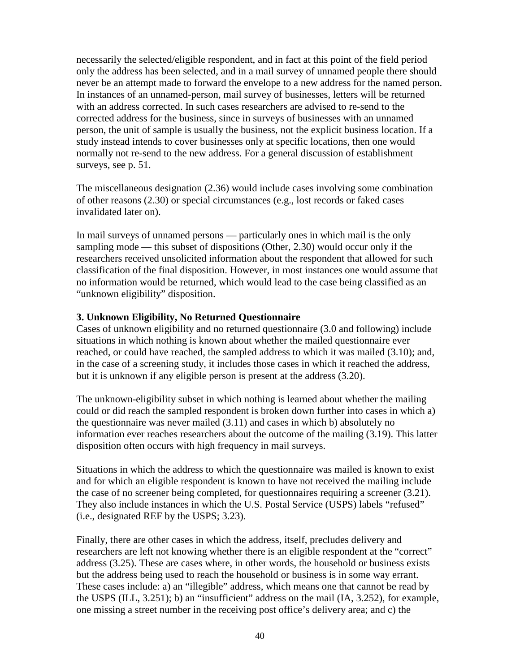necessarily the selected/eligible respondent, and in fact at this point of the field period only the address has been selected, and in a mail survey of unnamed people there should never be an attempt made to forward the envelope to a new address for the named person. In instances of an unnamed-person, mail survey of businesses, letters will be returned with an address corrected. In such cases researchers are advised to re-send to the corrected address for the business, since in surveys of businesses with an unnamed person, the unit of sample is usually the business, not the explicit business location. If a study instead intends to cover businesses only at specific locations, then one would normally not re-send to the new address. For a general discussion of establishment surveys, see p. 51.

The miscellaneous designation (2.36) would include cases involving some combination of other reasons (2.30) or special circumstances (e.g., lost records or faked cases invalidated later on).

In mail surveys of unnamed persons — particularly ones in which mail is the only sampling mode — this subset of dispositions (Other, 2.30) would occur only if the researchers received unsolicited information about the respondent that allowed for such classification of the final disposition. However, in most instances one would assume that no information would be returned, which would lead to the case being classified as an "unknown eligibility" disposition.

#### **3. Unknown Eligibility, No Returned Questionnaire**

Cases of unknown eligibility and no returned questionnaire (3.0 and following) include situations in which nothing is known about whether the mailed questionnaire ever reached, or could have reached, the sampled address to which it was mailed (3.10); and, in the case of a screening study, it includes those cases in which it reached the address, but it is unknown if any eligible person is present at the address (3.20).

The unknown-eligibility subset in which nothing is learned about whether the mailing could or did reach the sampled respondent is broken down further into cases in which a) the questionnaire was never mailed (3.11) and cases in which b) absolutely no information ever reaches researchers about the outcome of the mailing (3.19). This latter disposition often occurs with high frequency in mail surveys.

Situations in which the address to which the questionnaire was mailed is known to exist and for which an eligible respondent is known to have not received the mailing include the case of no screener being completed, for questionnaires requiring a screener (3.21). They also include instances in which the U.S. Postal Service (USPS) labels "refused" (i.e., designated REF by the USPS; 3.23).

Finally, there are other cases in which the address, itself, precludes delivery and researchers are left not knowing whether there is an eligible respondent at the "correct" address (3.25). These are cases where, in other words, the household or business exists but the address being used to reach the household or business is in some way errant. These cases include: a) an "illegible" address, which means one that cannot be read by the USPS (ILL, 3.251); b) an "insufficient" address on the mail (IA, 3.252), for example, one missing a street number in the receiving post office's delivery area; and c) the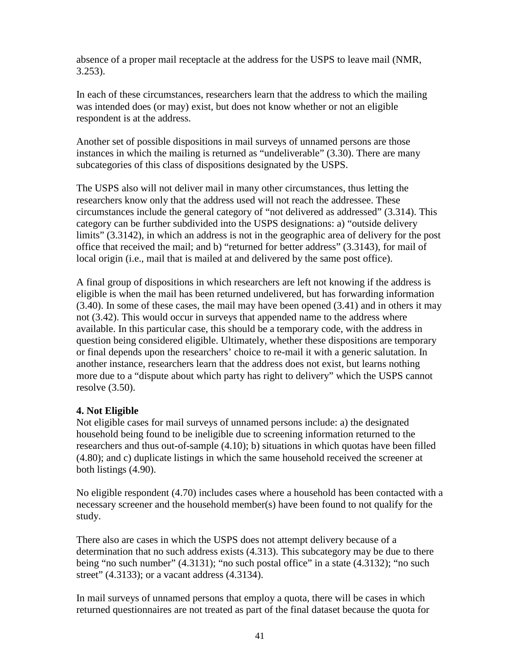absence of a proper mail receptacle at the address for the USPS to leave mail (NMR, 3.253).

In each of these circumstances, researchers learn that the address to which the mailing was intended does (or may) exist, but does not know whether or not an eligible respondent is at the address.

Another set of possible dispositions in mail surveys of unnamed persons are those instances in which the mailing is returned as "undeliverable" (3.30). There are many subcategories of this class of dispositions designated by the USPS.

The USPS also will not deliver mail in many other circumstances, thus letting the researchers know only that the address used will not reach the addressee. These circumstances include the general category of "not delivered as addressed" (3.314). This category can be further subdivided into the USPS designations: a) "outside delivery limits" (3.3142), in which an address is not in the geographic area of delivery for the post office that received the mail; and b) "returned for better address" (3.3143), for mail of local origin (i.e., mail that is mailed at and delivered by the same post office).

A final group of dispositions in which researchers are left not knowing if the address is eligible is when the mail has been returned undelivered, but has forwarding information (3.40). In some of these cases, the mail may have been opened (3.41) and in others it may not (3.42). This would occur in surveys that appended name to the address where available. In this particular case, this should be a temporary code, with the address in question being considered eligible. Ultimately, whether these dispositions are temporary or final depends upon the researchers' choice to re-mail it with a generic salutation. In another instance, researchers learn that the address does not exist, but learns nothing more due to a "dispute about which party has right to delivery" which the USPS cannot resolve (3.50).

## **4. Not Eligible**

Not eligible cases for mail surveys of unnamed persons include: a) the designated household being found to be ineligible due to screening information returned to the researchers and thus out-of-sample (4.10); b) situations in which quotas have been filled (4.80); and c) duplicate listings in which the same household received the screener at both listings (4.90).

No eligible respondent (4.70) includes cases where a household has been contacted with a necessary screener and the household member(s) have been found to not qualify for the study.

There also are cases in which the USPS does not attempt delivery because of a determination that no such address exists (4.313). This subcategory may be due to there being "no such number" (4.3131); "no such postal office" in a state (4.3132); "no such street" (4.3133); or a vacant address (4.3134).

In mail surveys of unnamed persons that employ a quota, there will be cases in which returned questionnaires are not treated as part of the final dataset because the quota for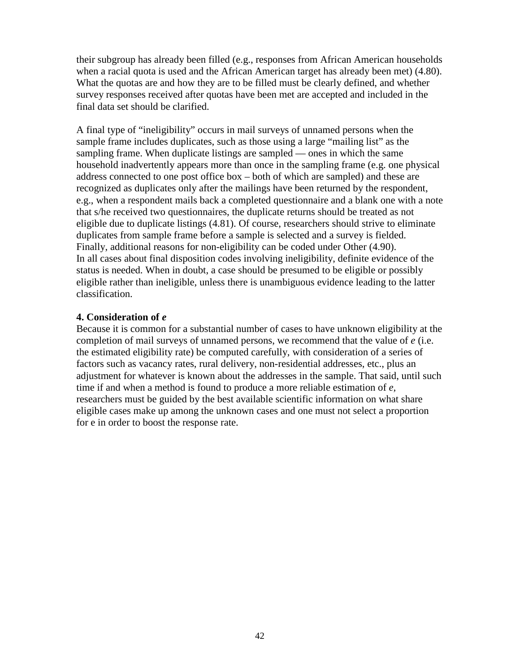their subgroup has already been filled (e.g., responses from African American households when a racial quota is used and the African American target has already been met) (4.80). What the quotas are and how they are to be filled must be clearly defined, and whether survey responses received after quotas have been met are accepted and included in the final data set should be clarified.

A final type of "ineligibility" occurs in mail surveys of unnamed persons when the sample frame includes duplicates, such as those using a large "mailing list" as the sampling frame. When duplicate listings are sampled — ones in which the same household inadvertently appears more than once in the sampling frame (e.g. one physical address connected to one post office box – both of which are sampled) and these are recognized as duplicates only after the mailings have been returned by the respondent, e.g., when a respondent mails back a completed questionnaire and a blank one with a note that s/he received two questionnaires, the duplicate returns should be treated as not eligible due to duplicate listings (4.81). Of course, researchers should strive to eliminate duplicates from sample frame before a sample is selected and a survey is fielded. Finally, additional reasons for non-eligibility can be coded under Other (4.90). In all cases about final disposition codes involving ineligibility, definite evidence of the status is needed. When in doubt, a case should be presumed to be eligible or possibly eligible rather than ineligible, unless there is unambiguous evidence leading to the latter classification.

#### **4. Consideration of** *e*

Because it is common for a substantial number of cases to have unknown eligibility at the completion of mail surveys of unnamed persons, we recommend that the value of *e* (i.e. the estimated eligibility rate) be computed carefully, with consideration of a series of factors such as vacancy rates, rural delivery, non-residential addresses, etc., plus an adjustment for whatever is known about the addresses in the sample. That said, until such time if and when a method is found to produce a more reliable estimation of *e,* researchers must be guided by the best available scientific information on what share eligible cases make up among the unknown cases and one must not select a proportion for e in order to boost the response rate.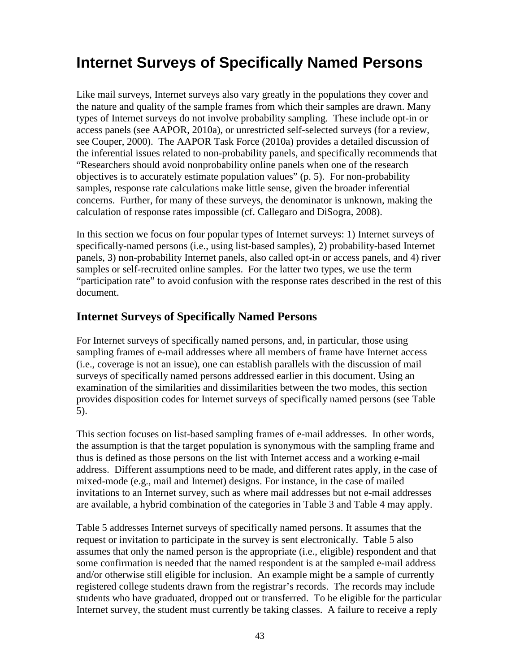# **Internet Surveys of Specifically Named Persons**

Like mail surveys, Internet surveys also vary greatly in the populations they cover and the nature and quality of the sample frames from which their samples are drawn. Many types of Internet surveys do not involve probability sampling. These include opt-in or access panels (see AAPOR, 2010a), or unrestricted self-selected surveys (for a review, see Couper, 2000). The AAPOR Task Force (2010a) provides a detailed discussion of the inferential issues related to non-probability panels, and specifically recommends that "Researchers should avoid nonprobability online panels when one of the research objectives is to accurately estimate population values" (p. 5). For non-probability samples, response rate calculations make little sense, given the broader inferential concerns. Further, for many of these surveys, the denominator is unknown, making the calculation of response rates impossible (cf. Callegaro and DiSogra, 2008).

In this section we focus on four popular types of Internet surveys: 1) Internet surveys of specifically-named persons (i.e., using list-based samples), 2) probability-based Internet panels, 3) non-probability Internet panels, also called opt-in or access panels, and 4) river samples or self-recruited online samples. For the latter two types, we use the term "participation rate" to avoid confusion with the response rates described in the rest of this document.

## **Internet Surveys of Specifically Named Persons**

For Internet surveys of specifically named persons, and, in particular, those using sampling frames of e-mail addresses where all members of frame have Internet access (i.e., coverage is not an issue), one can establish parallels with the discussion of mail surveys of specifically named persons addressed earlier in this document. Using an examination of the similarities and dissimilarities between the two modes, this section provides disposition codes for Internet surveys of specifically named persons (see Table 5).

This section focuses on list-based sampling frames of e-mail addresses. In other words, the assumption is that the target population is synonymous with the sampling frame and thus is defined as those persons on the list with Internet access and a working e-mail address. Different assumptions need to be made, and different rates apply, in the case of mixed-mode (e.g., mail and Internet) designs. For instance, in the case of mailed invitations to an Internet survey, such as where mail addresses but not e-mail addresses are available, a hybrid combination of the categories in Table 3 and Table 4 may apply.

Table 5 addresses Internet surveys of specifically named persons. It assumes that the request or invitation to participate in the survey is sent electronically. Table 5 also assumes that only the named person is the appropriate (i.e., eligible) respondent and that some confirmation is needed that the named respondent is at the sampled e-mail address and/or otherwise still eligible for inclusion. An example might be a sample of currently registered college students drawn from the registrar's records. The records may include students who have graduated, dropped out or transferred. To be eligible for the particular Internet survey, the student must currently be taking classes. A failure to receive a reply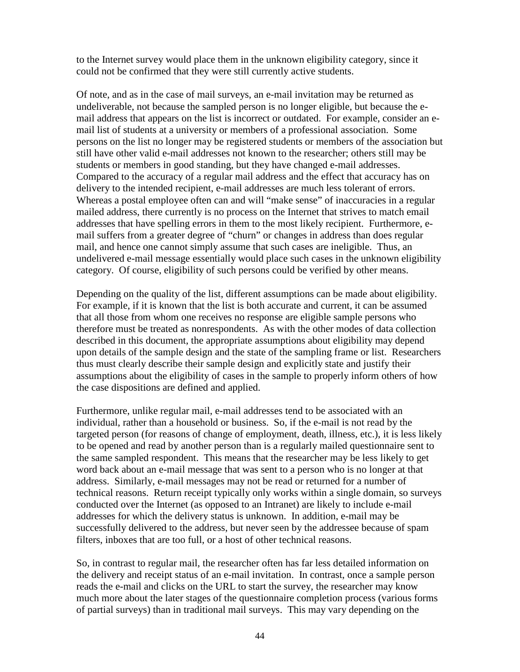to the Internet survey would place them in the unknown eligibility category, since it could not be confirmed that they were still currently active students.

Of note, and as in the case of mail surveys, an e-mail invitation may be returned as undeliverable, not because the sampled person is no longer eligible, but because the email address that appears on the list is incorrect or outdated. For example, consider an email list of students at a university or members of a professional association. Some persons on the list no longer may be registered students or members of the association but still have other valid e-mail addresses not known to the researcher; others still may be students or members in good standing, but they have changed e-mail addresses. Compared to the accuracy of a regular mail address and the effect that accuracy has on delivery to the intended recipient, e-mail addresses are much less tolerant of errors. Whereas a postal employee often can and will "make sense" of inaccuracies in a regular mailed address, there currently is no process on the Internet that strives to match email addresses that have spelling errors in them to the most likely recipient. Furthermore, email suffers from a greater degree of "churn" or changes in address than does regular mail, and hence one cannot simply assume that such cases are ineligible. Thus, an undelivered e-mail message essentially would place such cases in the unknown eligibility category. Of course, eligibility of such persons could be verified by other means.

Depending on the quality of the list, different assumptions can be made about eligibility. For example, if it is known that the list is both accurate and current, it can be assumed that all those from whom one receives no response are eligible sample persons who therefore must be treated as nonrespondents. As with the other modes of data collection described in this document, the appropriate assumptions about eligibility may depend upon details of the sample design and the state of the sampling frame or list. Researchers thus must clearly describe their sample design and explicitly state and justify their assumptions about the eligibility of cases in the sample to properly inform others of how the case dispositions are defined and applied.

Furthermore, unlike regular mail, e-mail addresses tend to be associated with an individual, rather than a household or business. So, if the e-mail is not read by the targeted person (for reasons of change of employment, death, illness, etc.), it is less likely to be opened and read by another person than is a regularly mailed questionnaire sent to the same sampled respondent. This means that the researcher may be less likely to get word back about an e-mail message that was sent to a person who is no longer at that address. Similarly, e-mail messages may not be read or returned for a number of technical reasons. Return receipt typically only works within a single domain, so surveys conducted over the Internet (as opposed to an Intranet) are likely to include e-mail addresses for which the delivery status is unknown. In addition, e-mail may be successfully delivered to the address, but never seen by the addressee because of spam filters, inboxes that are too full, or a host of other technical reasons.

So, in contrast to regular mail, the researcher often has far less detailed information on the delivery and receipt status of an e-mail invitation. In contrast, once a sample person reads the e-mail and clicks on the URL to start the survey, the researcher may know much more about the later stages of the questionnaire completion process (various forms of partial surveys) than in traditional mail surveys. This may vary depending on the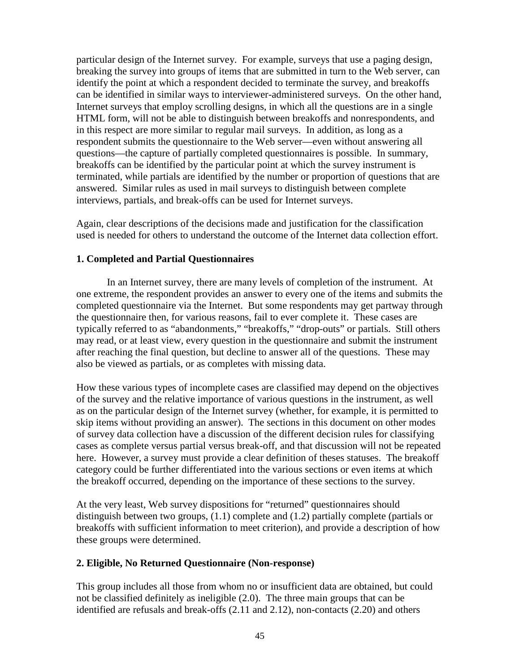particular design of the Internet survey. For example, surveys that use a paging design, breaking the survey into groups of items that are submitted in turn to the Web server, can identify the point at which a respondent decided to terminate the survey, and breakoffs can be identified in similar ways to interviewer-administered surveys. On the other hand, Internet surveys that employ scrolling designs, in which all the questions are in a single HTML form, will not be able to distinguish between breakoffs and nonrespondents, and in this respect are more similar to regular mail surveys. In addition, as long as a respondent submits the questionnaire to the Web server—even without answering all questions—the capture of partially completed questionnaires is possible. In summary, breakoffs can be identified by the particular point at which the survey instrument is terminated, while partials are identified by the number or proportion of questions that are answered. Similar rules as used in mail surveys to distinguish between complete interviews, partials, and break-offs can be used for Internet surveys.

Again, clear descriptions of the decisions made and justification for the classification used is needed for others to understand the outcome of the Internet data collection effort.

#### **1. Completed and Partial Questionnaires**

In an Internet survey, there are many levels of completion of the instrument. At one extreme, the respondent provides an answer to every one of the items and submits the completed questionnaire via the Internet. But some respondents may get partway through the questionnaire then, for various reasons, fail to ever complete it. These cases are typically referred to as "abandonments," "breakoffs," "drop-outs" or partials. Still others may read, or at least view, every question in the questionnaire and submit the instrument after reaching the final question, but decline to answer all of the questions. These may also be viewed as partials, or as completes with missing data.

How these various types of incomplete cases are classified may depend on the objectives of the survey and the relative importance of various questions in the instrument, as well as on the particular design of the Internet survey (whether, for example, it is permitted to skip items without providing an answer). The sections in this document on other modes of survey data collection have a discussion of the different decision rules for classifying cases as complete versus partial versus break-off, and that discussion will not be repeated here. However, a survey must provide a clear definition of theses statuses. The breakoff category could be further differentiated into the various sections or even items at which the breakoff occurred, depending on the importance of these sections to the survey.

At the very least, Web survey dispositions for "returned" questionnaires should distinguish between two groups, (1.1) complete and (1.2) partially complete (partials or breakoffs with sufficient information to meet criterion), and provide a description of how these groups were determined.

#### **2. Eligible, No Returned Questionnaire (Non-response)**

This group includes all those from whom no or insufficient data are obtained, but could not be classified definitely as ineligible (2.0). The three main groups that can be identified are refusals and break-offs (2.11 and 2.12), non-contacts (2.20) and others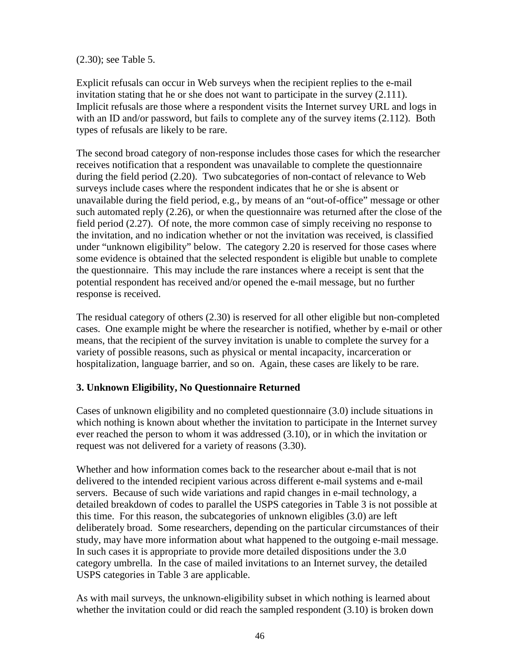#### (2.30); see Table 5.

Explicit refusals can occur in Web surveys when the recipient replies to the e-mail invitation stating that he or she does not want to participate in the survey (2.111). Implicit refusals are those where a respondent visits the Internet survey URL and logs in with an ID and/or password, but fails to complete any of the survey items  $(2.112)$ . Both types of refusals are likely to be rare.

The second broad category of non-response includes those cases for which the researcher receives notification that a respondent was unavailable to complete the questionnaire during the field period (2.20). Two subcategories of non-contact of relevance to Web surveys include cases where the respondent indicates that he or she is absent or unavailable during the field period, e.g., by means of an "out-of-office" message or other such automated reply (2.26), or when the questionnaire was returned after the close of the field period (2.27). Of note, the more common case of simply receiving no response to the invitation, and no indication whether or not the invitation was received, is classified under "unknown eligibility" below. The category 2.20 is reserved for those cases where some evidence is obtained that the selected respondent is eligible but unable to complete the questionnaire. This may include the rare instances where a receipt is sent that the potential respondent has received and/or opened the e-mail message, but no further response is received.

The residual category of others (2.30) is reserved for all other eligible but non-completed cases. One example might be where the researcher is notified, whether by e-mail or other means, that the recipient of the survey invitation is unable to complete the survey for a variety of possible reasons, such as physical or mental incapacity, incarceration or hospitalization, language barrier, and so on. Again, these cases are likely to be rare.

## **3. Unknown Eligibility, No Questionnaire Returned**

Cases of unknown eligibility and no completed questionnaire (3.0) include situations in which nothing is known about whether the invitation to participate in the Internet survey ever reached the person to whom it was addressed (3.10), or in which the invitation or request was not delivered for a variety of reasons (3.30).

Whether and how information comes back to the researcher about e-mail that is not delivered to the intended recipient various across different e-mail systems and e-mail servers. Because of such wide variations and rapid changes in e-mail technology, a detailed breakdown of codes to parallel the USPS categories in Table 3 is not possible at this time. For this reason, the subcategories of unknown eligibles (3.0) are left deliberately broad. Some researchers, depending on the particular circumstances of their study, may have more information about what happened to the outgoing e-mail message. In such cases it is appropriate to provide more detailed dispositions under the 3.0 category umbrella. In the case of mailed invitations to an Internet survey, the detailed USPS categories in Table 3 are applicable.

As with mail surveys, the unknown-eligibility subset in which nothing is learned about whether the invitation could or did reach the sampled respondent  $(3.10)$  is broken down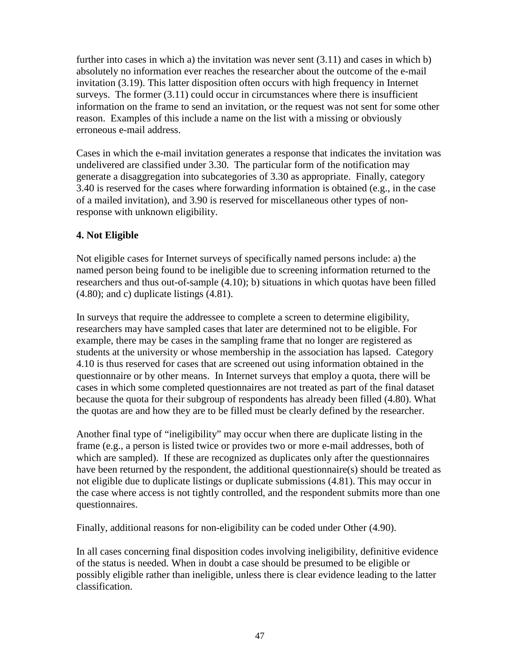further into cases in which a) the invitation was never sent  $(3.11)$  and cases in which b) absolutely no information ever reaches the researcher about the outcome of the e-mail invitation (3.19). This latter disposition often occurs with high frequency in Internet surveys. The former  $(3.11)$  could occur in circumstances where there is insufficient information on the frame to send an invitation, or the request was not sent for some other reason. Examples of this include a name on the list with a missing or obviously erroneous e-mail address.

Cases in which the e-mail invitation generates a response that indicates the invitation was undelivered are classified under 3.30. The particular form of the notification may generate a disaggregation into subcategories of 3.30 as appropriate. Finally, category 3.40 is reserved for the cases where forwarding information is obtained (e.g., in the case of a mailed invitation), and 3.90 is reserved for miscellaneous other types of nonresponse with unknown eligibility.

## **4. Not Eligible**

Not eligible cases for Internet surveys of specifically named persons include: a) the named person being found to be ineligible due to screening information returned to the researchers and thus out-of-sample (4.10); b) situations in which quotas have been filled  $(4.80)$ ; and c) duplicate listings  $(4.81)$ .

In surveys that require the addressee to complete a screen to determine eligibility, researchers may have sampled cases that later are determined not to be eligible. For example, there may be cases in the sampling frame that no longer are registered as students at the university or whose membership in the association has lapsed. Category 4.10 is thus reserved for cases that are screened out using information obtained in the questionnaire or by other means. In Internet surveys that employ a quota, there will be cases in which some completed questionnaires are not treated as part of the final dataset because the quota for their subgroup of respondents has already been filled (4.80). What the quotas are and how they are to be filled must be clearly defined by the researcher.

Another final type of "ineligibility" may occur when there are duplicate listing in the frame (e.g., a person is listed twice or provides two or more e-mail addresses, both of which are sampled). If these are recognized as duplicates only after the questionnaires have been returned by the respondent, the additional questionnaire(s) should be treated as not eligible due to duplicate listings or duplicate submissions (4.81). This may occur in the case where access is not tightly controlled, and the respondent submits more than one questionnaires.

Finally, additional reasons for non-eligibility can be coded under Other (4.90).

In all cases concerning final disposition codes involving ineligibility, definitive evidence of the status is needed. When in doubt a case should be presumed to be eligible or possibly eligible rather than ineligible, unless there is clear evidence leading to the latter classification.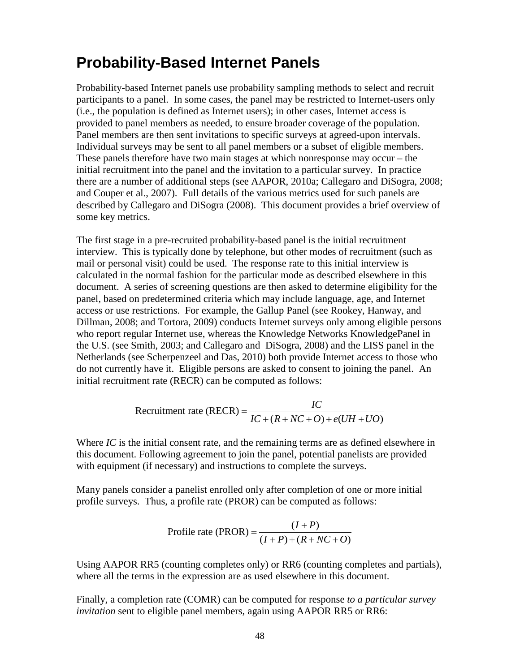## **Probability-Based Internet Panels**

Probability-based Internet panels use probability sampling methods to select and recruit participants to a panel. In some cases, the panel may be restricted to Internet-users only (i.e., the population is defined as Internet users); in other cases, Internet access is provided to panel members as needed, to ensure broader coverage of the population. Panel members are then sent invitations to specific surveys at agreed-upon intervals. Individual surveys may be sent to all panel members or a subset of eligible members. These panels therefore have two main stages at which nonresponse may occur – the initial recruitment into the panel and the invitation to a particular survey. In practice there are a number of additional steps (see AAPOR, 2010a; Callegaro and DiSogra, 2008; and Couper et al., 2007). Full details of the various metrics used for such panels are described by Callegaro and DiSogra (2008). This document provides a brief overview of some key metrics.

The first stage in a pre-recruited probability-based panel is the initial recruitment interview. This is typically done by telephone, but other modes of recruitment (such as mail or personal visit) could be used. The response rate to this initial interview is calculated in the normal fashion for the particular mode as described elsewhere in this document. A series of screening questions are then asked to determine eligibility for the panel, based on predetermined criteria which may include language, age, and Internet access or use restrictions. For example, the Gallup Panel (see Rookey, Hanway, and Dillman, 2008; and Tortora, 2009) conducts Internet surveys only among eligible persons who report regular Internet use, whereas the Knowledge Networks KnowledgePanel in the U.S. (see Smith, 2003; and Callegaro and DiSogra, 2008) and the LISS panel in the Netherlands (see Scherpenzeel and Das, 2010) both provide Internet access to those who do not currently have it. Eligible persons are asked to consent to joining the panel. An initial recruitment rate (RECR) can be computed as follows:

Recruitment rate (RECR) = 
$$
\frac{IC}{IC + (R + NC + O) + e(UH + UO)}
$$

Where *IC* is the initial consent rate, and the remaining terms are as defined elsewhere in this document. Following agreement to join the panel, potential panelists are provided with equipment (if necessary) and instructions to complete the surveys.

Many panels consider a panelist enrolled only after completion of one or more initial profile surveys. Thus, a profile rate (PROR) can be computed as follows:

$$
Profile\ rate\ (PROR) = \frac{(I+P)}{(I+P)+(R+NC+O)}
$$

Using AAPOR RR5 (counting completes only) or RR6 (counting completes and partials), where all the terms in the expression are as used elsewhere in this document.

Finally, a completion rate (COMR) can be computed for response *to a particular survey invitation* sent to eligible panel members, again using AAPOR RR5 or RR6: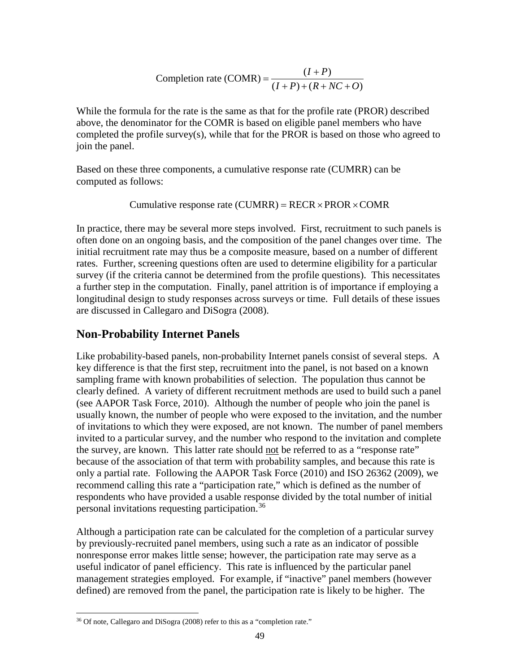$$
Completion rate (COMR) = \frac{(I+P)}{(I+P)+(R+NC+O)}
$$

While the formula for the rate is the same as that for the profile rate (PROR) described above, the denominator for the COMR is based on eligible panel members who have completed the profile survey(s), while that for the PROR is based on those who agreed to join the panel.

Based on these three components, a cumulative response rate (CUMRR) can be computed as follows:

Cumulative response rate (CUMRR) =  $RECR \times PROR \times COMR$ 

In practice, there may be several more steps involved. First, recruitment to such panels is often done on an ongoing basis, and the composition of the panel changes over time. The initial recruitment rate may thus be a composite measure, based on a number of different rates. Further, screening questions often are used to determine eligibility for a particular survey (if the criteria cannot be determined from the profile questions). This necessitates a further step in the computation. Finally, panel attrition is of importance if employing a longitudinal design to study responses across surveys or time. Full details of these issues are discussed in Callegaro and DiSogra (2008).

## **Non-Probability Internet Panels**

Like probability-based panels, non-probability Internet panels consist of several steps. A key difference is that the first step, recruitment into the panel, is not based on a known sampling frame with known probabilities of selection. The population thus cannot be clearly defined. A variety of different recruitment methods are used to build such a panel (see AAPOR Task Force, 2010). Although the number of people who join the panel is usually known, the number of people who were exposed to the invitation, and the number of invitations to which they were exposed, are not known. The number of panel members invited to a particular survey, and the number who respond to the invitation and complete the survey, are known. This latter rate should not be referred to as a "response rate" because of the association of that term with probability samples, and because this rate is only a partial rate. Following the AAPOR Task Force (2010) and ISO 26362 (2009), we recommend calling this rate a "participation rate," which is defined as the number of respondents who have provided a usable response divided by the total number of initial personal invitations requesting participation.[36](#page-49-0)

Although a participation rate can be calculated for the completion of a particular survey by previously-recruited panel members, using such a rate as an indicator of possible nonresponse error makes little sense; however, the participation rate may serve as a useful indicator of panel efficiency. This rate is influenced by the particular panel management strategies employed. For example, if "inactive" panel members (however defined) are removed from the panel, the participation rate is likely to be higher. The

<span id="page-49-0"></span><sup>36</sup> Of note, Callegaro and DiSogra (2008) refer to this as a "completion rate."  $\overline{a}$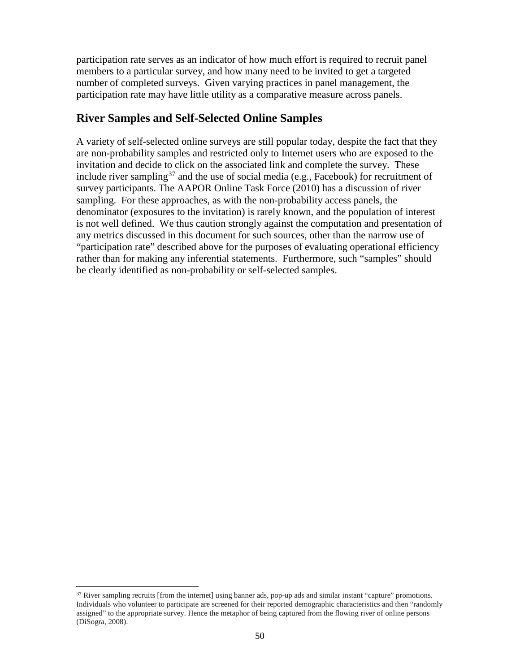participation rate serves as an indicator of how much effort is required to recruit panel members to a particular survey, and how many need to be invited to get a targeted number of completed surveys. Given varying practices in panel management, the participation rate may have little utility as a comparative measure across panels.

## **River Samples and Self-Selected Online Samples**

A variety of self-selected online surveys are still popular today, despite the fact that they are non-probability samples and restricted only to Internet users who are exposed to the invitation and decide to click on the associated link and complete the survey. These include river sampling<sup>[37](#page-50-0)</sup> and the use of social media (e.g., Facebook) for recruitment of survey participants. The AAPOR Online Task Force (2010) has a discussion of river sampling. For these approaches, as with the non-probability access panels, the denominator (exposures to the invitation) is rarely known, and the population of interest is not well defined. We thus caution strongly against the computation and presentation of any metrics discussed in this document for such sources, other than the narrow use of "participation rate" described above for the purposes of evaluating operational efficiency rather than for making any inferential statements. Furthermore, such "samples" should be clearly identified as non-probability or self-selected samples.

<span id="page-50-0"></span> $37$  River sampling recruits [from the internet] using banner ads, pop-up ads and similar instant "capture" promotions. Individuals who volunteer to participate are screened for their reported demographic characteristics and then "randomly assigned" to the appropriate survey. Hence the metaphor of being captured from the flowing river of online persons (DiSogra, 2008).  $\overline{a}$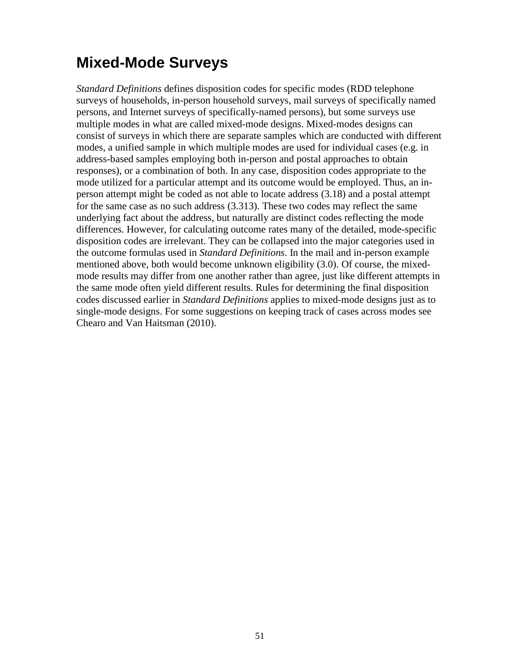# **Mixed-Mode Surveys**

*Standard Definitions* defines disposition codes for specific modes (RDD telephone surveys of households, in-person household surveys, mail surveys of specifically named persons, and Internet surveys of specifically-named persons), but some surveys use multiple modes in what are called mixed-mode designs. Mixed-modes designs can consist of surveys in which there are separate samples which are conducted with different modes, a unified sample in which multiple modes are used for individual cases (e.g. in address-based samples employing both in-person and postal approaches to obtain responses), or a combination of both. In any case, disposition codes appropriate to the mode utilized for a particular attempt and its outcome would be employed. Thus, an inperson attempt might be coded as not able to locate address (3.18) and a postal attempt for the same case as no such address (3.313). These two codes may reflect the same underlying fact about the address, but naturally are distinct codes reflecting the mode differences. However, for calculating outcome rates many of the detailed, mode-specific disposition codes are irrelevant. They can be collapsed into the major categories used in the outcome formulas used in *Standard Definitions*. In the mail and in-person example mentioned above, both would become unknown eligibility (3.0). Of course, the mixedmode results may differ from one another rather than agree, just like different attempts in the same mode often yield different results. Rules for determining the final disposition codes discussed earlier in *Standard Definitions* applies to mixed-mode designs just as to single-mode designs. For some suggestions on keeping track of cases across modes see Chearo and Van Haitsman (2010).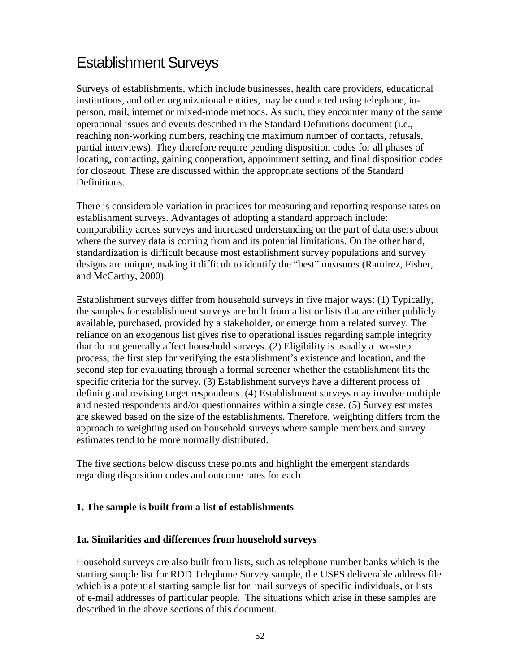# Establishment Surveys

Surveys of establishments, which include businesses, health care providers, educational institutions, and other organizational entities, may be conducted using telephone, inperson, mail, internet or mixed-mode methods. As such, they encounter many of the same operational issues and events described in the Standard Definitions document (i.e., reaching non-working numbers, reaching the maximum number of contacts, refusals, partial interviews). They therefore require pending disposition codes for all phases of locating, contacting, gaining cooperation, appointment setting, and final disposition codes for closeout. These are discussed within the appropriate sections of the Standard Definitions.

There is considerable variation in practices for measuring and reporting response rates on establishment surveys. Advantages of adopting a standard approach include: comparability across surveys and increased understanding on the part of data users about where the survey data is coming from and its potential limitations. On the other hand, standardization is difficult because most establishment survey populations and survey designs are unique, making it difficult to identify the "best" measures (Ramirez, Fisher, and McCarthy, 2000).

Establishment surveys differ from household surveys in five major ways: (1) Typically, the samples for establishment surveys are built from a list or lists that are either publicly available, purchased, provided by a stakeholder, or emerge from a related survey. The reliance on an exogenous list gives rise to operational issues regarding sample integrity that do not generally affect household surveys. (2) Eligibility is usually a two-step process, the first step for verifying the establishment's existence and location, and the second step for evaluating through a formal screener whether the establishment fits the specific criteria for the survey. (3) Establishment surveys have a different process of defining and revising target respondents. (4) Establishment surveys may involve multiple and nested respondents and/or questionnaires within a single case. (5) Survey estimates are skewed based on the size of the establishments. Therefore, weighting differs from the approach to weighting used on household surveys where sample members and survey estimates tend to be more normally distributed.

The five sections below discuss these points and highlight the emergent standards regarding disposition codes and outcome rates for each.

## **1. The sample is built from a list of establishments**

## **1a. Similarities and differences from household surveys**

Household surveys are also built from lists, such as telephone number banks which is the starting sample list for RDD Telephone Survey sample, the USPS deliverable address file which is a potential starting sample list for mail surveys of specific individuals, or lists of e-mail addresses of particular people. The situations which arise in these samples are described in the above sections of this document.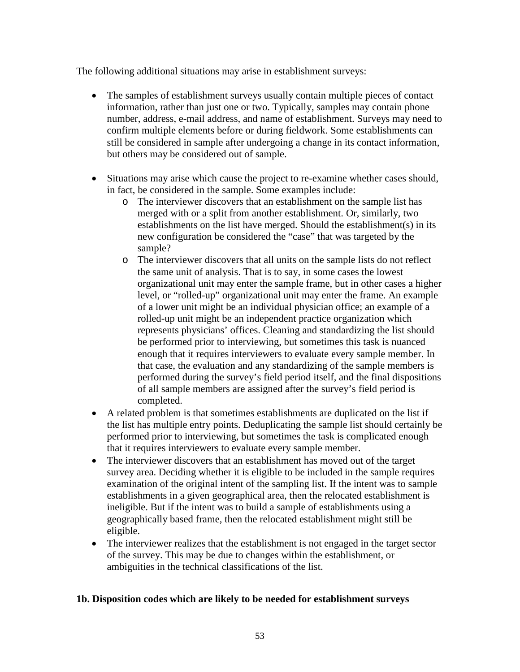The following additional situations may arise in establishment surveys:

- The samples of establishment surveys usually contain multiple pieces of contact information, rather than just one or two. Typically, samples may contain phone number, address, e-mail address, and name of establishment. Surveys may need to confirm multiple elements before or during fieldwork. Some establishments can still be considered in sample after undergoing a change in its contact information, but others may be considered out of sample.
- Situations may arise which cause the project to re-examine whether cases should, in fact, be considered in the sample. Some examples include:
	- o The interviewer discovers that an establishment on the sample list has merged with or a split from another establishment. Or, similarly, two establishments on the list have merged. Should the establishment(s) in its new configuration be considered the "case" that was targeted by the sample?
	- o The interviewer discovers that all units on the sample lists do not reflect the same unit of analysis. That is to say, in some cases the lowest organizational unit may enter the sample frame, but in other cases a higher level, or "rolled-up" organizational unit may enter the frame. An example of a lower unit might be an individual physician office; an example of a rolled-up unit might be an independent practice organization which represents physicians' offices. Cleaning and standardizing the list should be performed prior to interviewing, but sometimes this task is nuanced enough that it requires interviewers to evaluate every sample member. In that case, the evaluation and any standardizing of the sample members is performed during the survey's field period itself, and the final dispositions of all sample members are assigned after the survey's field period is completed.
- A related problem is that sometimes establishments are duplicated on the list if the list has multiple entry points. Deduplicating the sample list should certainly be performed prior to interviewing, but sometimes the task is complicated enough that it requires interviewers to evaluate every sample member.
- The interviewer discovers that an establishment has moved out of the target survey area. Deciding whether it is eligible to be included in the sample requires examination of the original intent of the sampling list. If the intent was to sample establishments in a given geographical area, then the relocated establishment is ineligible. But if the intent was to build a sample of establishments using a geographically based frame, then the relocated establishment might still be eligible.
- The interviewer realizes that the establishment is not engaged in the target sector of the survey. This may be due to changes within the establishment, or ambiguities in the technical classifications of the list.

## **1b. Disposition codes which are likely to be needed for establishment surveys**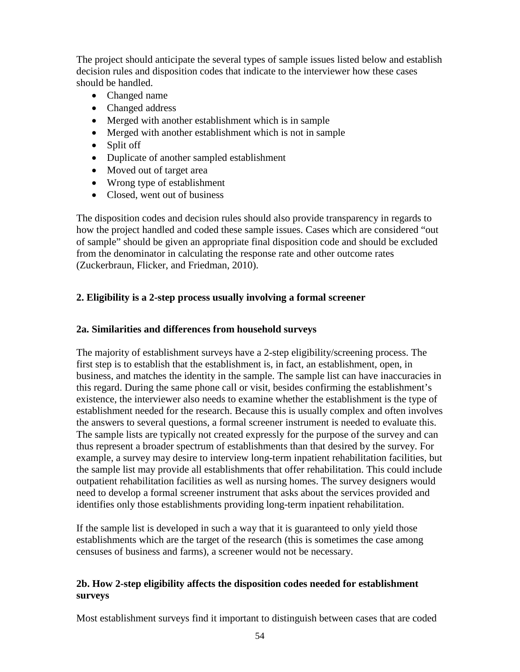The project should anticipate the several types of sample issues listed below and establish decision rules and disposition codes that indicate to the interviewer how these cases should be handled.

- Changed name
- Changed address
- Merged with another establishment which is in sample
- Merged with another establishment which is not in sample
- Split off
- Duplicate of another sampled establishment
- Moved out of target area
- Wrong type of establishment
- Closed, went out of business

The disposition codes and decision rules should also provide transparency in regards to how the project handled and coded these sample issues. Cases which are considered "out of sample" should be given an appropriate final disposition code and should be excluded from the denominator in calculating the response rate and other outcome rates (Zuckerbraun, Flicker, and Friedman, 2010).

## **2. Eligibility is a 2-step process usually involving a formal screener**

## **2a. Similarities and differences from household surveys**

The majority of establishment surveys have a 2-step eligibility/screening process. The first step is to establish that the establishment is, in fact, an establishment, open, in business, and matches the identity in the sample. The sample list can have inaccuracies in this regard. During the same phone call or visit, besides confirming the establishment's existence, the interviewer also needs to examine whether the establishment is the type of establishment needed for the research. Because this is usually complex and often involves the answers to several questions, a formal screener instrument is needed to evaluate this. The sample lists are typically not created expressly for the purpose of the survey and can thus represent a broader spectrum of establishments than that desired by the survey. For example, a survey may desire to interview long-term inpatient rehabilitation facilities, but the sample list may provide all establishments that offer rehabilitation. This could include outpatient rehabilitation facilities as well as nursing homes. The survey designers would need to develop a formal screener instrument that asks about the services provided and identifies only those establishments providing long-term inpatient rehabilitation.

If the sample list is developed in such a way that it is guaranteed to only yield those establishments which are the target of the research (this is sometimes the case among censuses of business and farms), a screener would not be necessary.

## **2b. How 2-step eligibility affects the disposition codes needed for establishment surveys**

Most establishment surveys find it important to distinguish between cases that are coded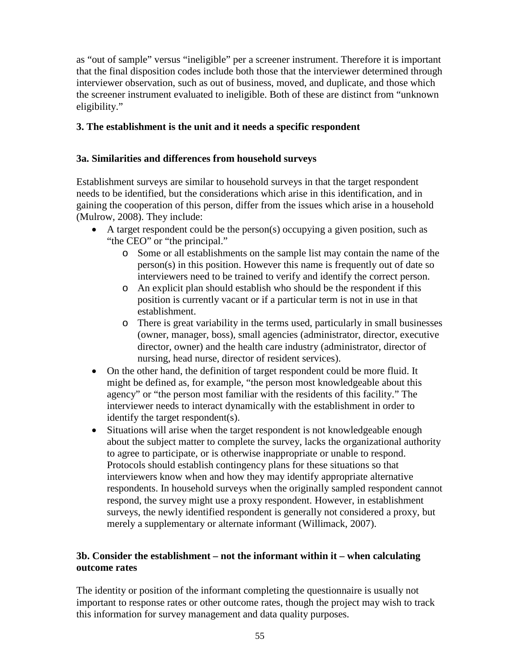as "out of sample" versus "ineligible" per a screener instrument. Therefore it is important that the final disposition codes include both those that the interviewer determined through interviewer observation, such as out of business, moved, and duplicate, and those which the screener instrument evaluated to ineligible. Both of these are distinct from "unknown eligibility."

## **3. The establishment is the unit and it needs a specific respondent**

## **3a. Similarities and differences from household surveys**

Establishment surveys are similar to household surveys in that the target respondent needs to be identified, but the considerations which arise in this identification, and in gaining the cooperation of this person, differ from the issues which arise in a household (Mulrow, 2008). They include:

- A target respondent could be the person(s) occupying a given position, such as "the CEO" or "the principal."
	- o Some or all establishments on the sample list may contain the name of the person(s) in this position. However this name is frequently out of date so interviewers need to be trained to verify and identify the correct person.
	- o An explicit plan should establish who should be the respondent if this position is currently vacant or if a particular term is not in use in that establishment.
	- o There is great variability in the terms used, particularly in small businesses (owner, manager, boss), small agencies (administrator, director, executive director, owner) and the health care industry (administrator, director of nursing, head nurse, director of resident services).
- On the other hand, the definition of target respondent could be more fluid. It might be defined as, for example, "the person most knowledgeable about this agency" or "the person most familiar with the residents of this facility." The interviewer needs to interact dynamically with the establishment in order to identify the target respondent(s).
- Situations will arise when the target respondent is not knowledgeable enough about the subject matter to complete the survey, lacks the organizational authority to agree to participate, or is otherwise inappropriate or unable to respond. Protocols should establish contingency plans for these situations so that interviewers know when and how they may identify appropriate alternative respondents. In household surveys when the originally sampled respondent cannot respond, the survey might use a proxy respondent. However, in establishment surveys, the newly identified respondent is generally not considered a proxy, but merely a supplementary or alternate informant (Willimack, 2007).

## **3b. Consider the establishment – not the informant within it – when calculating outcome rates**

The identity or position of the informant completing the questionnaire is usually not important to response rates or other outcome rates, though the project may wish to track this information for survey management and data quality purposes.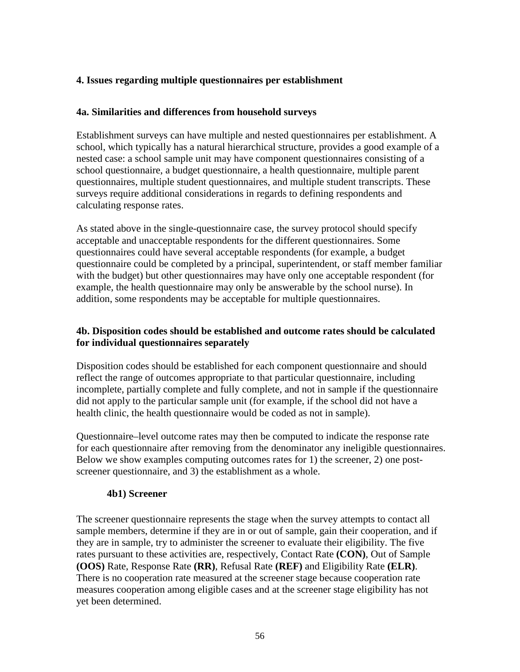## **4. Issues regarding multiple questionnaires per establishment**

#### **4a. Similarities and differences from household surveys**

Establishment surveys can have multiple and nested questionnaires per establishment. A school, which typically has a natural hierarchical structure, provides a good example of a nested case: a school sample unit may have component questionnaires consisting of a school questionnaire, a budget questionnaire, a health questionnaire, multiple parent questionnaires, multiple student questionnaires, and multiple student transcripts. These surveys require additional considerations in regards to defining respondents and calculating response rates.

As stated above in the single-questionnaire case, the survey protocol should specify acceptable and unacceptable respondents for the different questionnaires. Some questionnaires could have several acceptable respondents (for example, a budget questionnaire could be completed by a principal, superintendent, or staff member familiar with the budget) but other questionnaires may have only one acceptable respondent (for example, the health questionnaire may only be answerable by the school nurse). In addition, some respondents may be acceptable for multiple questionnaires.

## **4b. Disposition codes should be established and outcome rates should be calculated for individual questionnaires separately**

Disposition codes should be established for each component questionnaire and should reflect the range of outcomes appropriate to that particular questionnaire, including incomplete, partially complete and fully complete, and not in sample if the questionnaire did not apply to the particular sample unit (for example, if the school did not have a health clinic, the health questionnaire would be coded as not in sample).

Questionnaire–level outcome rates may then be computed to indicate the response rate for each questionnaire after removing from the denominator any ineligible questionnaires. Below we show examples computing outcomes rates for 1) the screener, 2) one postscreener questionnaire, and 3) the establishment as a whole.

#### **4b1) Screener**

The screener questionnaire represents the stage when the survey attempts to contact all sample members, determine if they are in or out of sample, gain their cooperation, and if they are in sample, try to administer the screener to evaluate their eligibility. The five rates pursuant to these activities are, respectively, Contact Rate **(CON)**, Out of Sample **(OOS)** Rate, Response Rate **(RR)**, Refusal Rate **(REF)** and Eligibility Rate **(ELR)**. There is no cooperation rate measured at the screener stage because cooperation rate measures cooperation among eligible cases and at the screener stage eligibility has not yet been determined.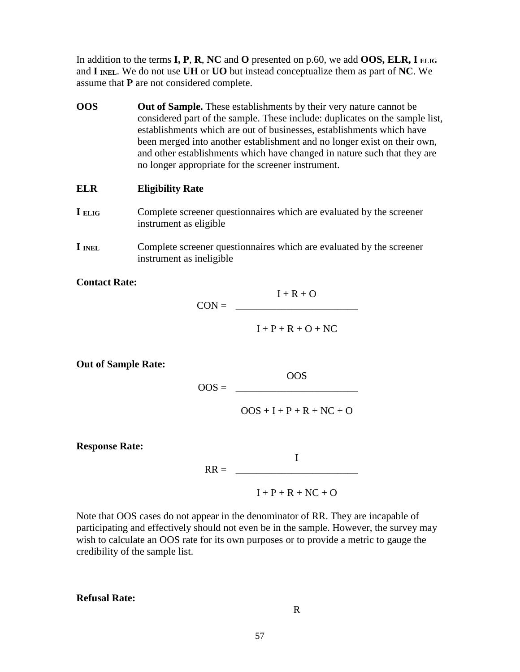In addition to the terms **I, P**, **R**, **NC** and **O** presented on p.60, we add **OOS, ELR, I ELIG** and **I INEL**. We do not use **UH** or **UO** but instead conceptualize them as part of **NC**. We assume that **P** are not considered complete.

**OOS Out of Sample.** These establishments by their very nature cannot be considered part of the sample. These include: duplicates on the sample list, establishments which are out of businesses, establishments which have been merged into another establishment and no longer exist on their own, and other establishments which have changed in nature such that they are no longer appropriate for the screener instrument.

## **ELR Eligibility Rate**

- **I ELIG** Complete screener questionnaires which are evaluated by the screener instrument as eligible
- **I** INEL Complete screener questionnaires which are evaluated by the screener instrument as ineligible

#### **Contact Rate:**

 $I + R + O$  $CON = \_$ 

$$
I+P+R+O+NC
$$

**Out of Sample Rate:**

$$
OOS =
$$

 $OOS + I + P + R + NC + O$ 

OOS

**Response Rate:**

| $RR =$ |                      |  |
|--------|----------------------|--|
|        | $I + P + R + NC + O$ |  |

Note that OOS cases do not appear in the denominator of RR. They are incapable of participating and effectively should not even be in the sample. However, the survey may wish to calculate an OOS rate for its own purposes or to provide a metric to gauge the credibility of the sample list.

#### **Refusal Rate:**

R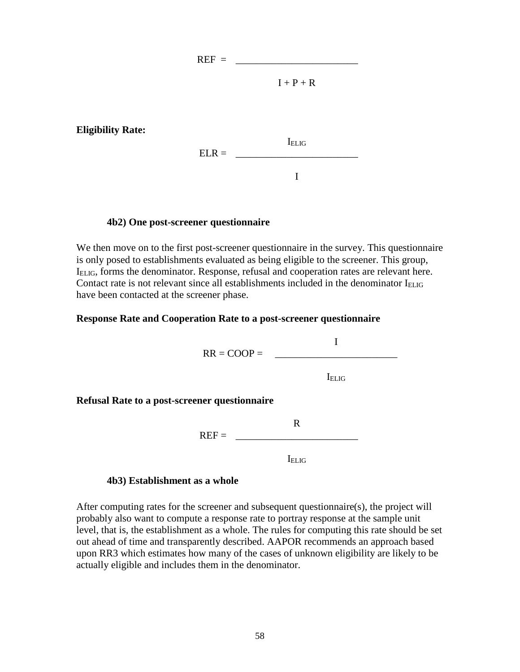$REF =$ 

 $I + P + R$ 

**Eligibility Rate:**



#### **4b2) One post-screener questionnaire**

We then move on to the first post-screener questionnaire in the survey. This questionnaire is only posed to establishments evaluated as being eligible to the screener. This group, IELIG, forms the denominator. Response, refusal and cooperation rates are relevant here. Contact rate is not relevant since all establishments included in the denominator  $I_{ELIG}$ have been contacted at the screener phase.

#### **Response Rate and Cooperation Rate to a post-screener questionnaire**



#### **4b3) Establishment as a whole**

After computing rates for the screener and subsequent questionnaire(s), the project will probably also want to compute a response rate to portray response at the sample unit level, that is, the establishment as a whole. The rules for computing this rate should be set out ahead of time and transparently described. AAPOR recommends an approach based upon RR3 which estimates how many of the cases of unknown eligibility are likely to be actually eligible and includes them in the denominator.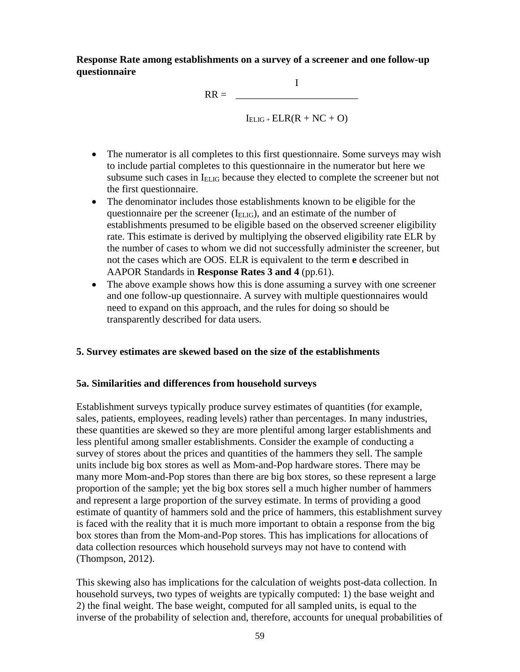**Response Rate among establishments on a survey of a screener and one follow-up questionnaire**

> I  $RR =$  $I_{ELIG}$  +  $ELR(R + NC + O)$

- The numerator is all completes to this first questionnaire. Some surveys may wish to include partial completes to this questionnaire in the numerator but here we subsume such cases in  $I_{\text{ELIG}}$  because they elected to complete the screener but not the first questionnaire.
- The denominator includes those establishments known to be eligible for the questionnaire per the screener (IELIG), and an estimate of the number of establishments presumed to be eligible based on the observed screener eligibility rate. This estimate is derived by multiplying the observed eligibility rate ELR by the number of cases to whom we did not successfully administer the screener, but not the cases which are OOS. ELR is equivalent to the term **e** described in AAPOR Standards in **Response Rates 3 and 4** (pp.61).
- The above example shows how this is done assuming a survey with one screener and one follow-up questionnaire. A survey with multiple questionnaires would need to expand on this approach, and the rules for doing so should be transparently described for data users.

#### **5. Survey estimates are skewed based on the size of the establishments**

#### **5a. Similarities and differences from household surveys**

Establishment surveys typically produce survey estimates of quantities (for example, sales, patients, employees, reading levels) rather than percentages. In many industries, these quantities are skewed so they are more plentiful among larger establishments and less plentiful among smaller establishments. Consider the example of conducting a survey of stores about the prices and quantities of the hammers they sell. The sample units include big box stores as well as Mom-and-Pop hardware stores. There may be many more Mom-and-Pop stores than there are big box stores, so these represent a large proportion of the sample; yet the big box stores sell a much higher number of hammers and represent a large proportion of the survey estimate. In terms of providing a good estimate of quantity of hammers sold and the price of hammers, this establishment survey is faced with the reality that it is much more important to obtain a response from the big box stores than from the Mom-and-Pop stores. This has implications for allocations of data collection resources which household surveys may not have to contend with (Thompson, 2012).

This skewing also has implications for the calculation of weights post-data collection. In household surveys, two types of weights are typically computed: 1) the base weight and 2) the final weight. The base weight, computed for all sampled units, is equal to the inverse of the probability of selection and, therefore, accounts for unequal probabilities of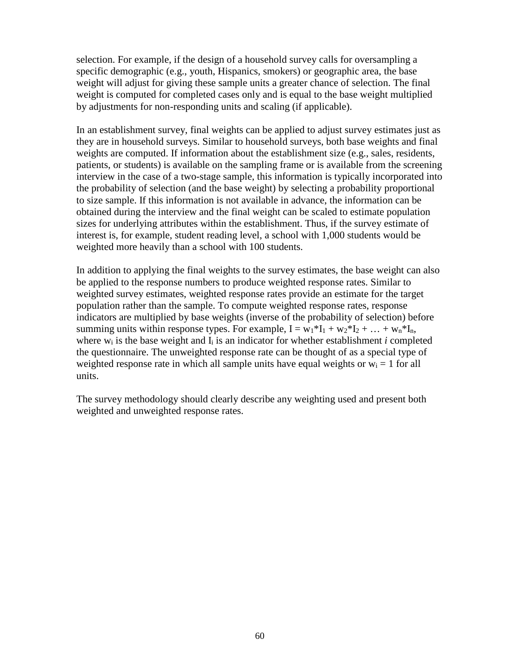selection. For example, if the design of a household survey calls for oversampling a specific demographic (e.g., youth, Hispanics, smokers) or geographic area, the base weight will adjust for giving these sample units a greater chance of selection. The final weight is computed for completed cases only and is equal to the base weight multiplied by adjustments for non-responding units and scaling (if applicable).

In an establishment survey, final weights can be applied to adjust survey estimates just as they are in household surveys. Similar to household surveys, both base weights and final weights are computed. If information about the establishment size (e.g., sales, residents, patients, or students) is available on the sampling frame or is available from the screening interview in the case of a two-stage sample, this information is typically incorporated into the probability of selection (and the base weight) by selecting a probability proportional to size sample. If this information is not available in advance, the information can be obtained during the interview and the final weight can be scaled to estimate population sizes for underlying attributes within the establishment. Thus, if the survey estimate of interest is, for example, student reading level, a school with 1,000 students would be weighted more heavily than a school with 100 students.

In addition to applying the final weights to the survey estimates, the base weight can also be applied to the response numbers to produce weighted response rates. Similar to weighted survey estimates, weighted response rates provide an estimate for the target population rather than the sample. To compute weighted response rates, response indicators are multiplied by base weights (inverse of the probability of selection) before summing units within response types. For example,  $I = w_1 * I_1 + w_2 * I_2 + ... + w_n * I_n$ , where  $w_i$  is the base weight and  $I_i$  is an indicator for whether establishment *i* completed the questionnaire. The unweighted response rate can be thought of as a special type of weighted response rate in which all sample units have equal weights or  $w_i = 1$  for all units.

The survey methodology should clearly describe any weighting used and present both weighted and unweighted response rates.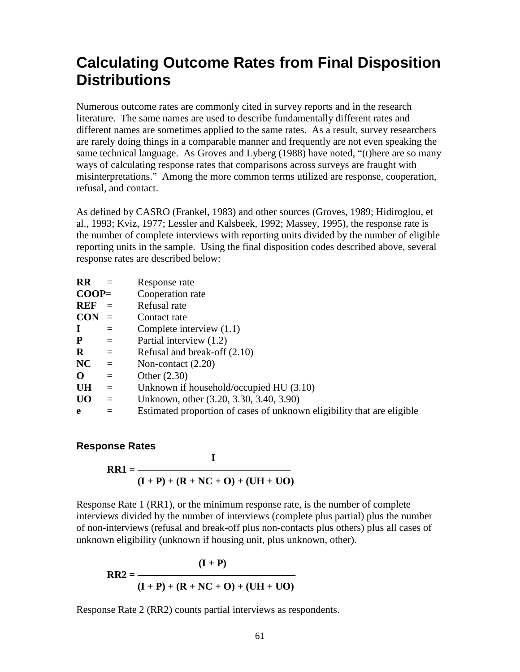# **Calculating Outcome Rates from Final Disposition Distributions**

Numerous outcome rates are commonly cited in survey reports and in the research literature. The same names are used to describe fundamentally different rates and different names are sometimes applied to the same rates. As a result, survey researchers are rarely doing things in a comparable manner and frequently are not even speaking the same technical language. As Groves and Lyberg (1988) have noted, "(t)here are so many ways of calculating response rates that comparisons across surveys are fraught with misinterpretations." Among the more common terms utilized are response, cooperation, refusal, and contact.

As defined by CASRO (Frankel, 1983) and other sources (Groves, 1989; Hidiroglou, et al., 1993; Kviz, 1977; Lessler and Kalsbeek, 1992; Massey, 1995), the response rate is the number of complete interviews with reporting units divided by the number of eligible reporting units in the sample. Using the final disposition codes described above, several response rates are described below:

| <b>RR</b>      |          |                                                                        |
|----------------|----------|------------------------------------------------------------------------|
|                |          | Response rate                                                          |
| $COOP=$        |          | Cooperation rate                                                       |
| <b>REF</b>     | $=$      | Refusal rate                                                           |
| <b>CON</b>     | $=$      | Contact rate                                                           |
| $\bf{I}$       | $=$      | Complete interview $(1.1)$                                             |
| P              | $=$      | Partial interview (1.2)                                                |
| $\bf{R}$       | $\equiv$ | Refusal and break-off (2.10)                                           |
| NC             | $=$      | Non-contact $(2.20)$                                                   |
| $\mathbf O$    | $=$      | Other $(2.30)$                                                         |
| <b>UH</b>      | $=$      | Unknown if household/occupied $HU(3.10)$                               |
| U <sub>O</sub> | $=$      | Unknown, other (3.20, 3.30, 3.40, 3.90)                                |
| e              | $=$      | Estimated proportion of cases of unknown eligibility that are eligible |
|                |          |                                                                        |

#### **Response Rates**

$$
RR1 = \frac{I}{(I + P) + (R + NC + O) + (UH + UO)}
$$

Response Rate 1 (RR1), or the minimum response rate, is the number of complete interviews divided by the number of interviews (complete plus partial) plus the number of non-interviews (refusal and break-off plus non-contacts plus others) plus all cases of unknown eligibility (unknown if housing unit, plus unknown, other).

$$
RR2 = \frac{(I + P)}{(I + P) + (R + NC + O) + (UH + UO)}
$$

Response Rate 2 (RR2) counts partial interviews as respondents.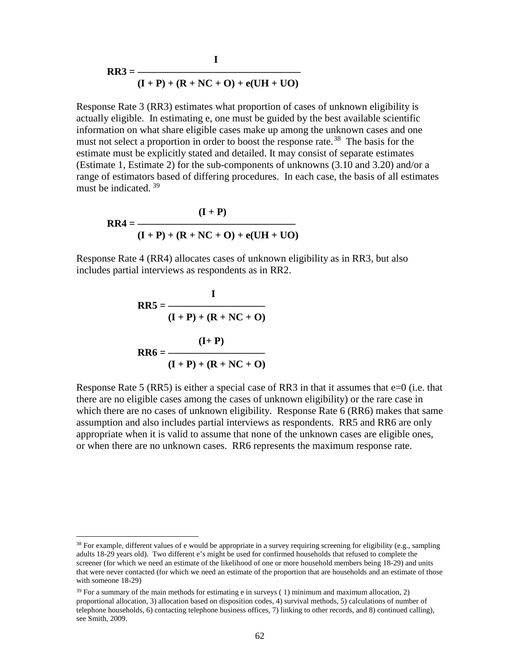$$
RR3 = \frac{I}{(I + P) + (R + NC + O) + e(UH + UO)}
$$

Response Rate 3 (RR3) estimates what proportion of cases of unknown eligibility is actually eligible. In estimating e, one must be guided by the best available scientific information on what share eligible cases make up among the unknown cases and one must not select a proportion in order to boost the response rate.<sup>[38](#page-62-0)</sup> The basis for the estimate must be explicitly stated and detailed. It may consist of separate estimates (Estimate 1, Estimate 2) for the sub-components of unknowns (3.10 and 3.20) and/or a range of estimators based of differing procedures. In each case, the basis of all estimates must be indicated.<sup>[39](#page-62-1)</sup>

$$
RR4 = \frac{(I + P)}{(I + P) + (R + NC + O) + e(UH + UO)}
$$

Response Rate 4 (RR4) allocates cases of unknown eligibility as in RR3, but also includes partial interviews as respondents as in RR2.

$$
RR5 = \frac{I}{(I+P) + (R+NC+O)}
$$

$$
(I+P)
$$

$$
RR6 = \frac{(I+P)}{(I+P) + (R+NC+O)}
$$

 $\overline{a}$ 

Response Rate 5 (RR5) is either a special case of RR3 in that it assumes that e=0 (i.e. that there are no eligible cases among the cases of unknown eligibility) or the rare case in which there are no cases of unknown eligibility. Response Rate 6 (RR6) makes that same assumption and also includes partial interviews as respondents. RR5 and RR6 are only appropriate when it is valid to assume that none of the unknown cases are eligible ones, or when there are no unknown cases. RR6 represents the maximum response rate.

<span id="page-62-0"></span> $38$  For example, different values of e would be appropriate in a survey requiring screening for eligibility (e.g., sampling adults 18-29 years old). Two different e's might be used for confirmed households that refused to complete the screener (for which we need an estimate of the likelihood of one or more household members being 18-29) and units that were never contacted (for which we need an estimate of the proportion that are households and an estimate of those with someone 18-29)

<span id="page-62-1"></span> $39$  For a summary of the main methods for estimating e in surveys (1) minimum and maximum allocation, 2) proportional allocation, 3) allocation based on disposition codes, 4) survival methods, 5) calculations of number of telephone households, 6) contacting telephone business offices, 7) linking to other records, and 8) continued calling), see Smith, 2009.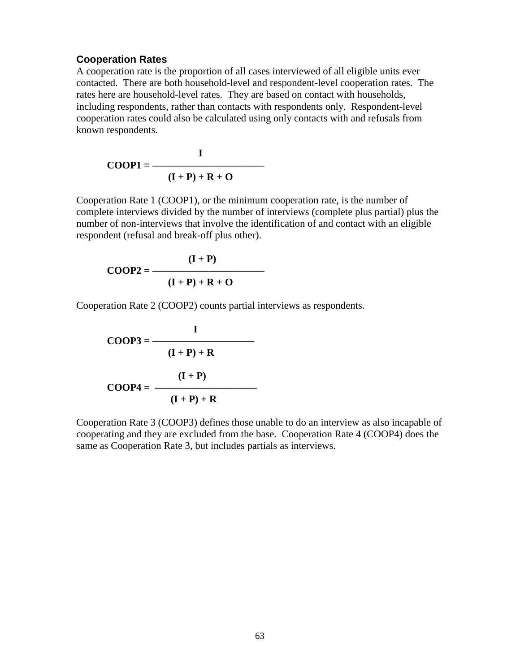#### **Cooperation Rates**

A cooperation rate is the proportion of all cases interviewed of all eligible units ever contacted. There are both household-level and respondent-level cooperation rates. The rates here are household-level rates. They are based on contact with households, including respondents, rather than contacts with respondents only. Respondent-level cooperation rates could also be calculated using only contacts with and refusals from known respondents.

$$
COOP1 = \frac{I}{(I+P) + R + O}
$$

Cooperation Rate 1 (COOP1), or the minimum cooperation rate, is the number of complete interviews divided by the number of interviews (complete plus partial) plus the number of non-interviews that involve the identification of and contact with an eligible respondent (refusal and break-off plus other).

$$
COOP2 = \frac{(I+P)}{(I+P)+R+O}
$$

Cooperation Rate 2 (COOP2) counts partial interviews as respondents.

$$
COOP3 = \frac{I}{(I+P) + R}
$$

$$
COOP4 = \frac{(I+P)}{(I+P) + R}
$$

Cooperation Rate 3 (COOP3) defines those unable to do an interview as also incapable of cooperating and they are excluded from the base. Cooperation Rate 4 (COOP4) does the same as Cooperation Rate 3, but includes partials as interviews.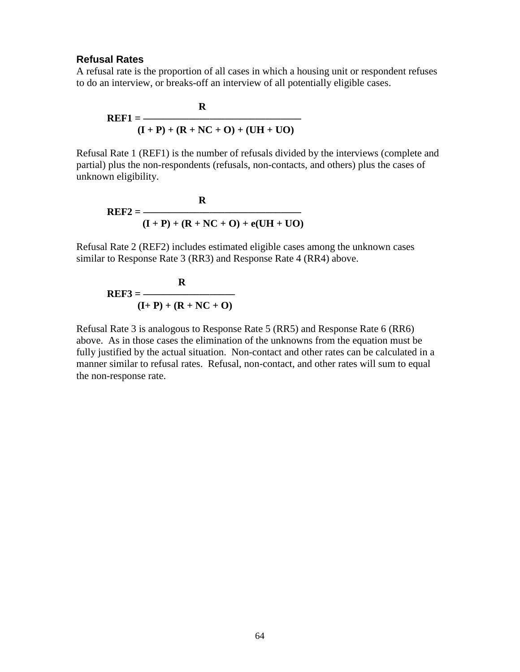#### **Refusal Rates**

A refusal rate is the proportion of all cases in which a housing unit or respondent refuses to do an interview, or breaks-off an interview of all potentially eligible cases.

$$
REF1 = \frac{R}{(I+P) + (R + NC + O) + (UH + UO)}
$$

Refusal Rate 1 (REF1) is the number of refusals divided by the interviews (complete and partial) plus the non-respondents (refusals, non-contacts, and others) plus the cases of unknown eligibility.

$$
REF2 = \frac{R}{(I + P) + (R + NC + O) + e(UH + UO)}
$$

Refusal Rate 2 (REF2) includes estimated eligible cases among the unknown cases similar to Response Rate 3 (RR3) and Response Rate 4 (RR4) above.

$$
REF3 = \frac{R}{(I+P) + (R+NC+O)}
$$

Refusal Rate 3 is analogous to Response Rate 5 (RR5) and Response Rate 6 (RR6) above. As in those cases the elimination of the unknowns from the equation must be fully justified by the actual situation. Non-contact and other rates can be calculated in a manner similar to refusal rates. Refusal, non-contact, and other rates will sum to equal the non-response rate.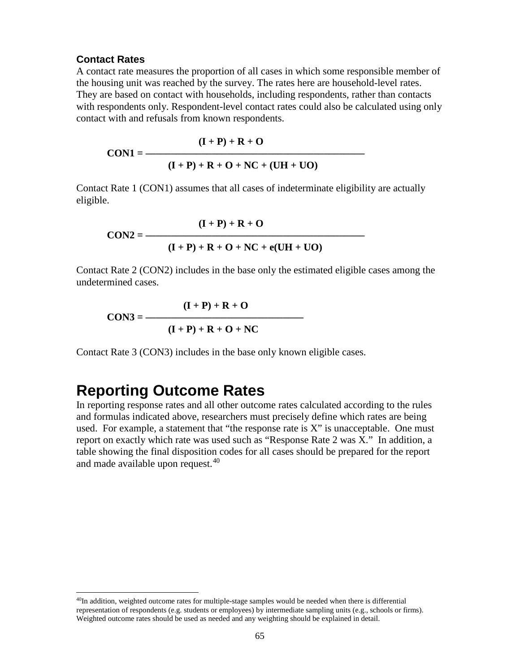#### **Contact Rates**

A contact rate measures the proportion of all cases in which some responsible member of the housing unit was reached by the survey. The rates here are household-level rates. They are based on contact with households, including respondents, rather than contacts with respondents only. Respondent-level contact rates could also be calculated using only contact with and refusals from known respondents.

$$
CON1 = \frac{(I+P) + R + O}{(I+P) + R + O + NC + (UH + UO)}
$$

Contact Rate 1 (CON1) assumes that all cases of indeterminate eligibility are actually eligible.

$$
CON2 = \frac{(I+P) + R + O}{(I+P) + R + O + NC + e(UH + UO)}
$$

Contact Rate 2 (CON2) includes in the base only the estimated eligible cases among the undetermined cases.

$$
CON3 = \frac{(I+P) + R + O}{(I+P) + R + O + NC}
$$

Contact Rate 3 (CON3) includes in the base only known eligible cases.

## **Reporting Outcome Rates**

 $\overline{a}$ 

In reporting response rates and all other outcome rates calculated according to the rules and formulas indicated above, researchers must precisely define which rates are being used. For example, a statement that "the response rate is  $X$ " is unacceptable. One must report on exactly which rate was used such as "Response Rate 2 was X." In addition, a table showing the final disposition codes for all cases should be prepared for the report and made available upon request.<sup>[40](#page-65-0)</sup>

<span id="page-65-0"></span> $40$ In addition, weighted outcome rates for multiple-stage samples would be needed when there is differential representation of respondents (e.g. students or employees) by intermediate sampling units (e.g., schools or firms). Weighted outcome rates should be used as needed and any weighting should be explained in detail.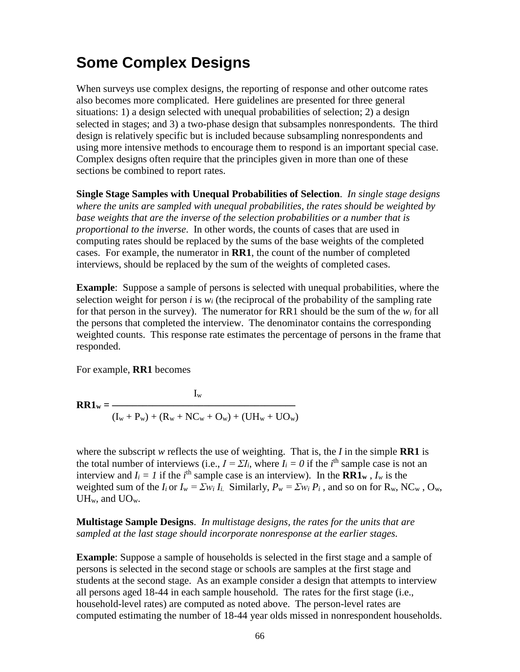## **Some Complex Designs**

When surveys use complex designs, the reporting of response and other outcome rates also becomes more complicated. Here guidelines are presented for three general situations: 1) a design selected with unequal probabilities of selection; 2) a design selected in stages; and 3) a two-phase design that subsamples nonrespondents. The third design is relatively specific but is included because subsampling nonrespondents and using more intensive methods to encourage them to respond is an important special case. Complex designs often require that the principles given in more than one of these sections be combined to report rates.

**Single Stage Samples with Unequal Probabilities of Selection**. *In single stage designs where the units are sampled with unequal probabilities, the rates should be weighted by base weights that are the inverse of the selection probabilities or a number that is proportional to the inverse*. In other words, the counts of cases that are used in computing rates should be replaced by the sums of the base weights of the completed cases. For example, the numerator in **RR1**, the count of the number of completed interviews, should be replaced by the sum of the weights of completed cases.

**Example**: Suppose a sample of persons is selected with unequal probabilities, where the selection weight for person  $i$  is  $w_i$  (the reciprocal of the probability of the sampling rate for that person in the survey). The numerator for RR1 should be the sum of the  $w_i$  for all the persons that completed the interview. The denominator contains the corresponding weighted counts. This response rate estimates the percentage of persons in the frame that responded.

For example, **RR1** becomes

$$
RR1_w = \frac{I_w}{(I_w + P_w) + (R_w + NC_w + O_w) + (UH_w + UO_w)}
$$

where the subscript *w* reflects the use of weighting. That is, the *I* in the simple **RR1** is the total number of interviews (i.e.,  $I = \Sigma I_i$ , where  $I_i = 0$  if the *i*<sup>th</sup> sample case is not an interview and  $I_i = I$  if the *i*<sup>th</sup> sample case is an interview). In the **RR1w**,  $I_w$  is the weighted sum of the  $I_i$  or  $I_w = \sum w_i I_i$ . Similarly,  $P_w = \sum w_i P_i$ , and so on for  $R_w$ , NC<sub>w</sub>, O<sub>w</sub>, UHw, and UOw.

**Multistage Sample Designs**. *In multistage designs, the rates for the units that are sampled at the last stage should incorporate nonresponse at the earlier stages.*

**Example**: Suppose a sample of households is selected in the first stage and a sample of persons is selected in the second stage or schools are samples at the first stage and students at the second stage. As an example consider a design that attempts to interview all persons aged 18-44 in each sample household. The rates for the first stage (i.e., household-level rates) are computed as noted above. The person-level rates are computed estimating the number of 18-44 year olds missed in nonrespondent households.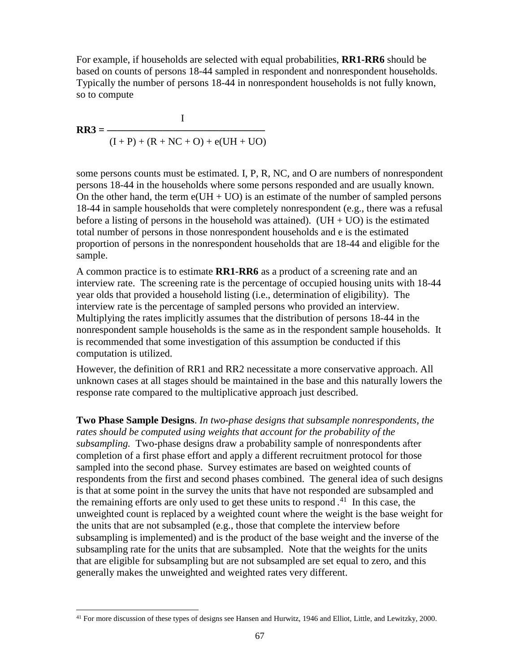For example, if households are selected with equal probabilities, **RR1-RR6** should be based on counts of persons 18-44 sampled in respondent and nonrespondent households. Typically the number of persons 18-44 in nonrespondent households is not fully known, so to compute

$$
RR3 = \frac{I}{(I + P) + (R + NC + O) + e(UH + UO)}
$$

some persons counts must be estimated. I, P, R, NC, and O are numbers of nonrespondent persons 18-44 in the households where some persons responded and are usually known. On the other hand, the term  $e(UH + UO)$  is an estimate of the number of sampled persons 18-44 in sample households that were completely nonrespondent (e.g., there was a refusal before a listing of persons in the household was attained). (UH  $+$  UO) is the estimated total number of persons in those nonrespondent households and e is the estimated proportion of persons in the nonrespondent households that are 18-44 and eligible for the sample.

A common practice is to estimate **RR1-RR6** as a product of a screening rate and an interview rate. The screening rate is the percentage of occupied housing units with 18-44 year olds that provided a household listing (i.e., determination of eligibility). The interview rate is the percentage of sampled persons who provided an interview. Multiplying the rates implicitly assumes that the distribution of persons 18-44 in the nonrespondent sample households is the same as in the respondent sample households. It is recommended that some investigation of this assumption be conducted if this computation is utilized.

However, the definition of RR1 and RR2 necessitate a more conservative approach. All unknown cases at all stages should be maintained in the base and this naturally lowers the response rate compared to the multiplicative approach just described.

**Two Phase Sample Designs**. *In two-phase designs that subsample nonrespondents, the rates should be computed using weights that account for the probability of the subsampling.* Two-phase designs draw a probability sample of nonrespondents after completion of a first phase effort and apply a different recruitment protocol for those sampled into the second phase. Survey estimates are based on weighted counts of respondents from the first and second phases combined. The general idea of such designs is that at some point in the survey the units that have not responded are subsampled and the remaining efforts are only used to get these units to respond.<sup>41</sup> In this case, the unweighted count is replaced by a weighted count where the weight is the base weight for the units that are not subsampled (e.g., those that complete the interview before subsampling is implemented) and is the product of the base weight and the inverse of the subsampling rate for the units that are subsampled. Note that the weights for the units that are eligible for subsampling but are not subsampled are set equal to zero, and this generally makes the unweighted and weighted rates very different.

 $\overline{a}$ 

<span id="page-67-0"></span><sup>&</sup>lt;sup>41</sup> For more discussion of these types of designs see Hansen and Hurwitz, 1946 and Elliot, Little, and Lewitzky, 2000.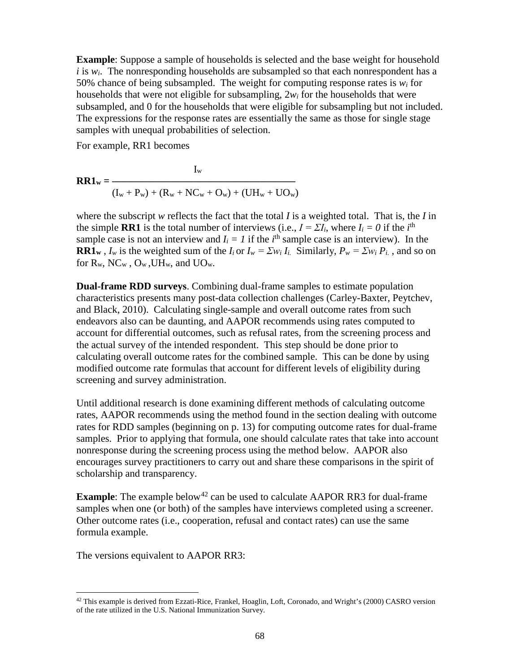**Example:** Suppose a sample of households is selected and the base weight for household *i* is *wi*. The nonresponding households are subsampled so that each nonrespondent has a 50% chance of being subsampled. The weight for computing response rates is  $w_i$  for households that were not eligible for subsampling, 2*wi* for the households that were subsampled, and 0 for the households that were eligible for subsampling but not included. The expressions for the response rates are essentially the same as those for single stage samples with unequal probabilities of selection.

For example, RR1 becomes

$$
RR1_w = \frac{I_w}{(I_w + P_w) + (R_w + NC_w + O_w) + (UH_w + UO_w)}
$$

where the subscript *w* reflects the fact that the total *I* is a weighted total. That is, the *I* in the simple **RR1** is the total number of interviews (i.e.,  $I = \sum I_i$ , where  $I_i = 0$  if the *i*<sup>th</sup> sample case is not an interview and  $I_i = I$  if the  $i^{\text{th}}$  sample case is an interview). In the **RR1w**,  $I_w$  is the weighted sum of the  $I_i$  or  $I_w = \sum w_i I_i$ . Similarly,  $P_w = \sum w_i P_i$ , and so on for  $R_w$ ,  $NC_w$ ,  $O_w$ ,  $UH_w$ , and  $UO_w$ .

**Dual-frame RDD surveys**. Combining dual-frame samples to estimate population characteristics presents many post-data collection challenges (Carley-Baxter, Peytchev, and Black, 2010). Calculating single-sample and overall outcome rates from such endeavors also can be daunting, and AAPOR recommends using rates computed to account for differential outcomes, such as refusal rates, from the screening process and the actual survey of the intended respondent. This step should be done prior to calculating overall outcome rates for the combined sample. This can be done by using modified outcome rate formulas that account for different levels of eligibility during screening and survey administration.

Until additional research is done examining different methods of calculating outcome rates, AAPOR recommends using the method found in the section dealing with outcome rates for RDD samples (beginning on p. 13) for computing outcome rates for dual-frame samples. Prior to applying that formula, one should calculate rates that take into account nonresponse during the screening process using the method below. AAPOR also encourages survey practitioners to carry out and share these comparisons in the spirit of scholarship and transparency.

**Example**: The example below<sup>[42](#page-68-0)</sup> can be used to calculate AAPOR RR3 for dual-frame samples when one (or both) of the samples have interviews completed using a screener. Other outcome rates (i.e., cooperation, refusal and contact rates) can use the same formula example.

The versions equivalent to AAPOR RR3:

<span id="page-68-0"></span> $42$  This example is derived from Ezzati-Rice, Frankel, Hoaglin, Loft, Coronado, and Wright's (2000) CASRO version of the rate utilized in the U.S. National Immunization Survey.  $\overline{a}$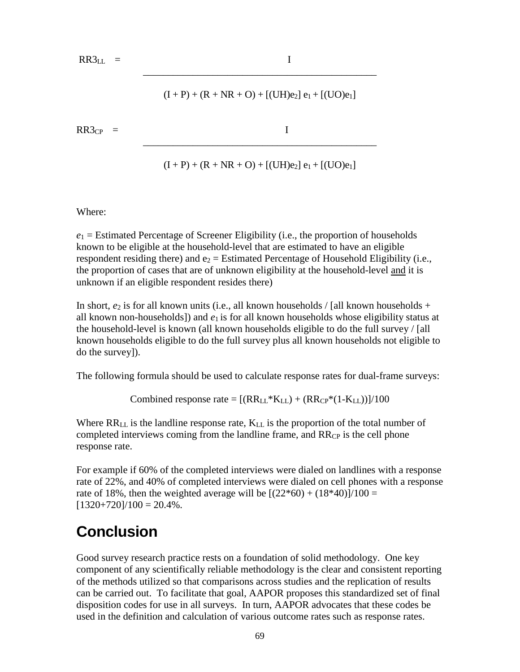$RR3_{LL}$  = I

 $(I + P) + (R + NR + O) + [(UH)e_2] e_1 + [(UO)e_1]$ 

\_\_\_\_\_\_\_\_\_\_\_\_\_\_\_\_\_\_\_\_\_\_\_\_\_\_\_\_\_\_\_\_\_\_\_\_\_\_\_\_\_\_\_\_\_\_\_

 $RR3_{CP}$  = I

 $(I + P) + (R + NR + O) + [(UH)e<sub>2</sub>] e<sub>1</sub> + [(UO)e<sub>1</sub>]$ 

\_\_\_\_\_\_\_\_\_\_\_\_\_\_\_\_\_\_\_\_\_\_\_\_\_\_\_\_\_\_\_\_\_\_\_\_\_\_\_\_\_\_\_\_\_\_\_

Where:

 $e_1$  = Estimated Percentage of Screener Eligibility (i.e., the proportion of households known to be eligible at the household-level that are estimated to have an eligible respondent residing there) and  $e_2$  = Estimated Percentage of Household Eligibility (i.e., the proportion of cases that are of unknown eligibility at the household-level and it is unknown if an eligible respondent resides there)

In short,  $e_2$  is for all known units (i.e., all known households / [all known households + all known non-households]) and *e*1 is for all known households whose eligibility status at the household-level is known (all known households eligible to do the full survey / [all known households eligible to do the full survey plus all known households not eligible to do the survey]).

The following formula should be used to calculate response rates for dual-frame surveys:

Combined response rate =  $[(RR_{LL} * K_{LL}) + (RR_{CP} * (1 - K_{LL}))]/100$ 

Where  $RR_{LL}$  is the landline response rate,  $K_{LL}$  is the proportion of the total number of completed interviews coming from the landline frame, and  $RR<sub>CP</sub>$  is the cell phone response rate.

For example if 60% of the completed interviews were dialed on landlines with a response rate of 22%, and 40% of completed interviews were dialed on cell phones with a response rate of 18%, then the weighted average will be  $[(22*60) + (18*40)]/100 =$  $[1320+720]/100 = 20.4\%$ .

# **Conclusion**

Good survey research practice rests on a foundation of solid methodology. One key component of any scientifically reliable methodology is the clear and consistent reporting of the methods utilized so that comparisons across studies and the replication of results can be carried out. To facilitate that goal, AAPOR proposes this standardized set of final disposition codes for use in all surveys. In turn, AAPOR advocates that these codes be used in the definition and calculation of various outcome rates such as response rates.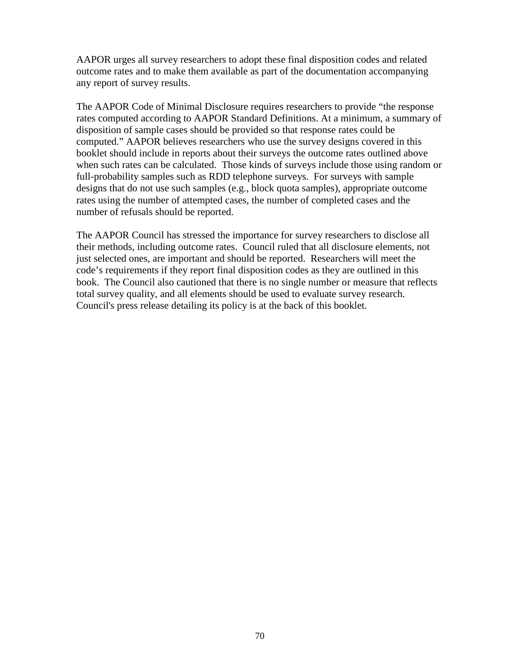AAPOR urges all survey researchers to adopt these final disposition codes and related outcome rates and to make them available as part of the documentation accompanying any report of survey results.

The AAPOR Code of Minimal Disclosure requires researchers to provide "the response rates computed according to AAPOR Standard Definitions. At a minimum, a summary of disposition of sample cases should be provided so that response rates could be computed." AAPOR believes researchers who use the survey designs covered in this booklet should include in reports about their surveys the outcome rates outlined above when such rates can be calculated. Those kinds of surveys include those using random or full-probability samples such as RDD telephone surveys. For surveys with sample designs that do not use such samples (e.g., block quota samples), appropriate outcome rates using the number of attempted cases, the number of completed cases and the number of refusals should be reported.

The AAPOR Council has stressed the importance for survey researchers to disclose all their methods, including outcome rates. Council ruled that all disclosure elements, not just selected ones, are important and should be reported. Researchers will meet the code's requirements if they report final disposition codes as they are outlined in this book. The Council also cautioned that there is no single number or measure that reflects total survey quality, and all elements should be used to evaluate survey research. Council's press release detailing its policy is at the back of this booklet.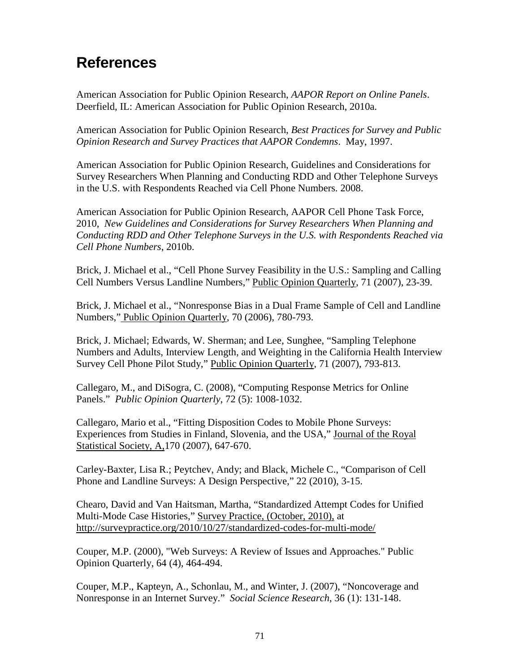## **References**

American Association for Public Opinion Research, *AAPOR Report on Online Panels*. Deerfield, IL: American Association for Public Opinion Research, 2010a.

American Association for Public Opinion Research, *Best Practices for Survey and Public Opinion Research and Survey Practices that AAPOR Condemns*. May, 1997.

American Association for Public Opinion Research, Guidelines and Considerations for Survey Researchers When Planning and Conducting RDD and Other Telephone Surveys in the U.S. with Respondents Reached via Cell Phone Numbers. 2008.

American Association for Public Opinion Research, AAPOR Cell Phone Task Force, 2010, *New Guidelines and Considerations for Survey Researchers When Planning and Conducting RDD and Other Telephone Surveys in the U.S. with Respondents Reached via Cell Phone Numbers*, 2010b.

Brick, J. Michael et al., "Cell Phone Survey Feasibility in the U.S.: Sampling and Calling Cell Numbers Versus Landline Numbers," Public Opinion Quarterly, 71 (2007), 23-39.

Brick, J. Michael et al., "Nonresponse Bias in a Dual Frame Sample of Cell and Landline Numbers," Public Opinion Quarterly, 70 (2006), 780-793.

Brick, J. Michael; Edwards, W. Sherman; and Lee, Sunghee, "Sampling Telephone Numbers and Adults, Interview Length, and Weighting in the California Health Interview Survey Cell Phone Pilot Study," Public Opinion Quarterly, 71 (2007), 793-813.

Callegaro, M., and DiSogra, C. (2008), "Computing Response Metrics for Online Panels." *Public Opinion Quarterly*, 72 (5): 1008-1032.

Callegaro, Mario et al., "Fitting Disposition Codes to Mobile Phone Surveys: Experiences from Studies in Finland, Slovenia, and the USA," Journal of the Royal Statistical Society, A,170 (2007), 647-670.

Carley-Baxter, Lisa R.; Peytchev, Andy; and Black, Michele C., "Comparison of Cell Phone and Landline Surveys: A Design Perspective," 22 (2010), 3-15.

Chearo, David and Van Haitsman, Martha, "Standardized Attempt Codes for Unified Multi-Mode Case Histories," Survey Practice, (October, 2010), at http://surveypractice.org/2010/10/27/standardized-codes-for-multi-mode/

Couper, M.P. (2000), "Web Surveys: A Review of Issues and Approaches." Public Opinion Quarterly, 64 (4), 464-494.

Couper, M.P., Kapteyn, A., Schonlau, M., and Winter, J. (2007), "Noncoverage and Nonresponse in an Internet Survey." *Social Science Research*, 36 (1): 131-148.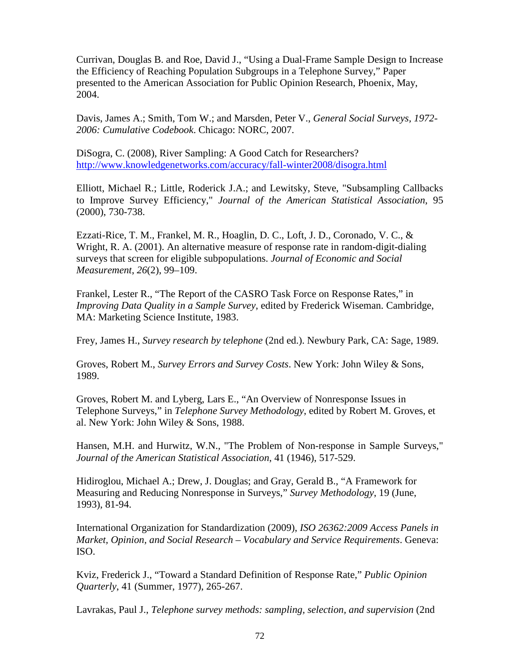Currivan, Douglas B. and Roe, David J., "Using a Dual-Frame Sample Design to Increase the Efficiency of Reaching Population Subgroups in a Telephone Survey," Paper presented to the American Association for Public Opinion Research, Phoenix, May, 2004.

Davis, James A.; Smith, Tom W.; and Marsden, Peter V., *General Social Surveys, 1972- 2006: Cumulative Codebook*. Chicago: NORC, 2007.

DiSogra, C. (2008), River Sampling: A Good Catch for Researchers? <http://www.knowledgenetworks.com/accuracy/fall-winter2008/disogra.html>

Elliott, Michael R.; Little, Roderick J.A.; and Lewitsky, Steve, "Subsampling Callbacks to Improve Survey Efficiency," *Journal of the American Statistical Association*, 95 (2000), 730-738.

Ezzati-Rice, T. M., Frankel, M. R., Hoaglin, D. C., Loft, J. D., Coronado, V. C., & Wright, R. A. (2001). An alternative measure of response rate in random-digit-dialing surveys that screen for eligible subpopulations. *Journal of Economic and Social Measurement*, *26*(2), 99–109.

Frankel, Lester R., "The Report of the CASRO Task Force on Response Rates," in *Improving Data Quality in a Sample Survey*, edited by Frederick Wiseman. Cambridge, MA: Marketing Science Institute, 1983.

Frey, James H., *Survey research by telephone* (2nd ed.). Newbury Park, CA: Sage, 1989.

Groves, Robert M., *Survey Errors and Survey Costs*. New York: John Wiley & Sons, 1989.

Groves, Robert M. and Lyberg, Lars E., "An Overview of Nonresponse Issues in Telephone Surveys," in *Telephone Survey Methodology*, edited by Robert M. Groves, et al. New York: John Wiley & Sons, 1988.

Hansen, M.H. and Hurwitz, W.N., "The Problem of Non-response in Sample Surveys," *Journal of the American Statistical Association*, 41 (1946), 517-529.

Hidiroglou, Michael A.; Drew, J. Douglas; and Gray, Gerald B., "A Framework for Measuring and Reducing Nonresponse in Surveys," *Survey Methodology*, 19 (June, 1993), 81-94.

International Organization for Standardization (2009), *ISO 26362:2009 Access Panels in Market, Opinion, and Social Research – Vocabulary and Service Requirements*. Geneva: ISO.

Kviz, Frederick J., "Toward a Standard Definition of Response Rate," *Public Opinion Quarterly*, 41 (Summer, 1977), 265-267.

Lavrakas, Paul J., *Telephone survey methods: sampling, selection, and supervision* (2nd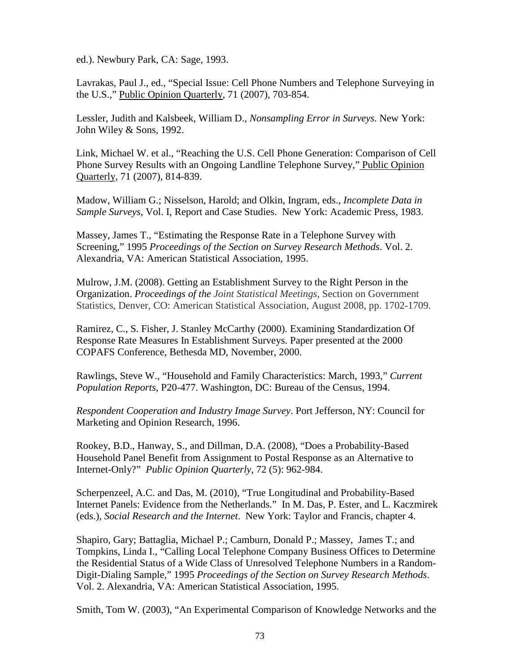ed.). Newbury Park, CA: Sage, 1993.

Lavrakas, Paul J., ed., "Special Issue: Cell Phone Numbers and Telephone Surveying in the U.S.," Public Opinion Quarterly, 71 (2007), 703-854.

Lessler, Judith and Kalsbeek, William D., *Nonsampling Error in Surveys*. New York: John Wiley & Sons, 1992.

Link, Michael W. et al., "Reaching the U.S. Cell Phone Generation: Comparison of Cell Phone Survey Results with an Ongoing Landline Telephone Survey," Public Opinion Quarterly, 71 (2007), 814-839.

Madow, William G.; Nisselson, Harold; and Olkin, Ingram, eds., *Incomplete Data in Sample Surveys*, Vol. I, Report and Case Studies. New York: Academic Press, 1983.

Massey, James T., "Estimating the Response Rate in a Telephone Survey with Screening," 1995 *Proceedings of the Section on Survey Research Methods*. Vol. 2. Alexandria, VA: American Statistical Association, 1995.

Mulrow, J.M. (2008). Getting an Establishment Survey to the Right Person in the Organization. *Proceedings of the Joint Statistical Meetings,* Section on Government Statistics, Denver, CO: American Statistical Association, August 2008, pp. 1702-1709.

Ramirez, C., S. Fisher, J. Stanley McCarthy (2000). [Examining Standardization Of](http://www.fcsm.gov/committees/igen/pdf/Copafs00_final.pdf)  [Response Rate Measures In Establishment Surveys.](http://www.fcsm.gov/committees/igen/pdf/Copafs00_final.pdf) Paper presented at the 2000 COPAFS Conference, Bethesda MD, November, 2000.

Rawlings, Steve W., "Household and Family Characteristics: March, 1993," *Current Population Reports*, P20-477. Washington, DC: Bureau of the Census, 1994.

*Respondent Cooperation and Industry Image Survey*. Port Jefferson, NY: Council for Marketing and Opinion Research, 1996.

Rookey, B.D., Hanway, S., and Dillman, D.A. (2008), "Does a Probability-Based Household Panel Benefit from Assignment to Postal Response as an Alternative to Internet-Only?" *Public Opinion Quarterly*, 72 (5): 962-984.

Scherpenzeel, A.C. and Das, M. (2010), "True Longitudinal and Probability-Based Internet Panels: Evidence from the Netherlands." In M. Das, P. Ester, and L. Kaczmirek (eds.), *Social Research and the Internet*. New York: Taylor and Francis, chapter 4.

Shapiro, Gary; Battaglia, Michael P.; Camburn, Donald P.; Massey, James T.; and Tompkins, Linda I., "Calling Local Telephone Company Business Offices to Determine the Residential Status of a Wide Class of Unresolved Telephone Numbers in a Random-Digit-Dialing Sample," 1995 *Proceedings of the Section on Survey Research Methods*. Vol. 2. Alexandria, VA: American Statistical Association, 1995.

Smith, Tom W. (2003), "An Experimental Comparison of Knowledge Networks and the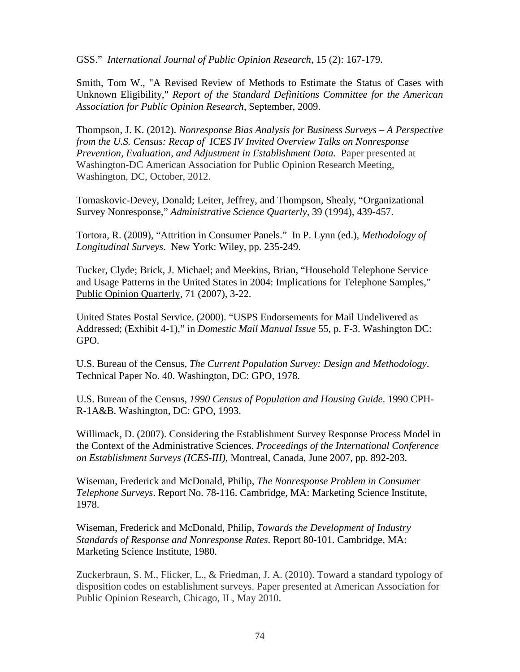GSS." *International Journal of Public Opinion Research*, 15 (2): 167-179.

Smith, Tom W., "A Revised Review of Methods to Estimate the Status of Cases with Unknown Eligibility," *Report of the Standard Definitions Committee for the American Association for Public Opinion Research*, September, 2009.

Thompson, J. K. (2012). *Nonresponse Bias Analysis for Business Surveys – A Perspective from the U.S. Census: Recap of ICES IV Invited Overview Talks on Nonresponse Prevention, Evaluation, and Adjustment in Establishment Data.* Paper presented at Washington-DC American Association for Public Opinion Research Meeting, Washington, DC, October, 2012.

Tomaskovic-Devey, Donald; Leiter, Jeffrey, and Thompson, Shealy, "Organizational Survey Nonresponse," *Administrative Science Quarterly*, 39 (1994), 439-457.

Tortora, R. (2009), "Attrition in Consumer Panels." In P. Lynn (ed.), *Methodology of Longitudinal Surveys*. New York: Wiley, pp. 235-249.

Tucker, Clyde; Brick, J. Michael; and Meekins, Brian, "Household Telephone Service and Usage Patterns in the United States in 2004: Implications for Telephone Samples," Public Opinion Quarterly, 71 (2007), 3-22.

United States Postal Service. (2000). "USPS Endorsements for Mail Undelivered as Addressed; (Exhibit 4-1)," in *Domestic Mail Manual Issue* 55, p. F-3. Washington DC: GPO.

U.S. Bureau of the Census, *The Current Population Survey: Design and Methodology*. Technical Paper No. 40. Washington, DC: GPO, 1978.

U.S. Bureau of the Census, *1990 Census of Population and Housing Guide*. 1990 CPH-R-1A&B. Washington, DC: GPO, 1993.

Willimack, D. (2007). Considering the Establishment Survey Response Process Model in the Context of the Administrative Sciences. *Proceedings of the International Conference on Establishment Surveys (ICES-III),* Montreal, Canada, June 2007, pp. 892-203.

Wiseman, Frederick and McDonald, Philip, *The Nonresponse Problem in Consumer Telephone Surveys*. Report No. 78-116. Cambridge, MA: Marketing Science Institute, 1978.

Wiseman, Frederick and McDonald, Philip, *Towards the Development of Industry Standards of Response and Nonresponse Rates*. Report 80-101. Cambridge, MA: Marketing Science Institute, 1980.

Zuckerbraun, S. M., Flicker, L., & Friedman, J. A. (2010). Toward a standard typology of disposition codes on establishment surveys. Paper presented at American Association for Public Opinion Research, Chicago, IL, May 2010.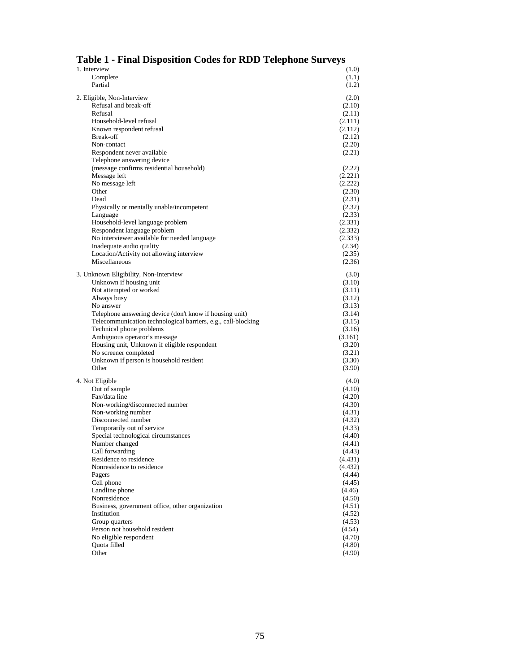| <b>Table 1 - Final Disposition Codes for KDD Telephone Surveys</b> |                 |
|--------------------------------------------------------------------|-----------------|
| 1. Interview                                                       | (1.0)           |
| Complete                                                           | (1.1)           |
| Partial                                                            | (1.2)           |
| 2. Eligible, Non-Interview                                         | (2.0)           |
| Refusal and break-off                                              | (2.10)          |
| Refusal                                                            | (2.11)          |
| Household-level refusal                                            | (2.111)         |
| Known respondent refusal                                           | (2.112)         |
| Break-off                                                          | (2.12)          |
| Non-contact                                                        | (2.20)          |
| Respondent never available                                         | (2.21)          |
| Telephone answering device                                         |                 |
| (message confirms residential household)                           | (2.22)          |
| Message left                                                       | (2.221)         |
| No message left                                                    | (2.222)         |
| Other                                                              | (2.30)          |
| Dead                                                               | (2.31)          |
| Physically or mentally unable/incompetent                          | (2.32)          |
| Language                                                           | (2.33)          |
| Household-level language problem                                   | (2.331)         |
| Respondent language problem                                        | (2.332)         |
| No interviewer available for needed language                       | (2.333)         |
| Inadequate audio quality                                           | (2.34)          |
| Location/Activity not allowing interview                           | (2.35)          |
| Miscellaneous                                                      | (2.36)          |
| 3. Unknown Eligibility, Non-Interview                              | (3.0)           |
| Unknown if housing unit                                            | (3.10)          |
| Not attempted or worked                                            | (3.11)          |
| Always busy                                                        | (3.12)          |
| No answer                                                          | (3.13)          |
| Telephone answering device (don't know if housing unit)            | (3.14)          |
| Telecommunication technological barriers, e.g., call-blocking      | (3.15)          |
| Technical phone problems                                           | (3.16)          |
| Ambiguous operator's message                                       | (3.161)         |
| Housing unit, Unknown if eligible respondent                       | (3.20)          |
| No screener completed                                              | (3.21)          |
| Unknown if person is household resident                            | (3.30)          |
| Other                                                              | (3.90)          |
|                                                                    |                 |
| 4. Not Eligible<br>Out of sample                                   | (4.0)<br>(4.10) |
| Fax/data line                                                      | (4.20)          |
| Non-working/disconnected number                                    | (4.30)          |
| Non-working number                                                 | (4.31)          |
| Disconnected number                                                | (4.32)          |
| Temporarily out of service                                         | (4.33)          |
| Special technological circumstances                                | (4.40)          |
| Number changed                                                     | (4.41)          |
| Call forwarding                                                    | (4.43)          |
| Residence to residence                                             | (4.431)         |
| Nonresidence to residence                                          | (4.432)         |
| Pagers                                                             | (4.44)          |
| Cell phone                                                         | (4.45)          |
| Landline phone                                                     | (4.46)          |
| Nonresidence                                                       | (4.50)          |
| Business, government office, other organization                    | (4.51)          |
| Institution                                                        | (4.52)          |
| Group quarters                                                     | (4.53)          |
| Person not household resident                                      | (4.54)          |
| No eligible respondent                                             | (4.70)          |
| Quota filled                                                       | (4.80)          |
| Other                                                              | (4.90)          |

## **Table 1 - Final Disposition Codes for RDD Telephone Surveys**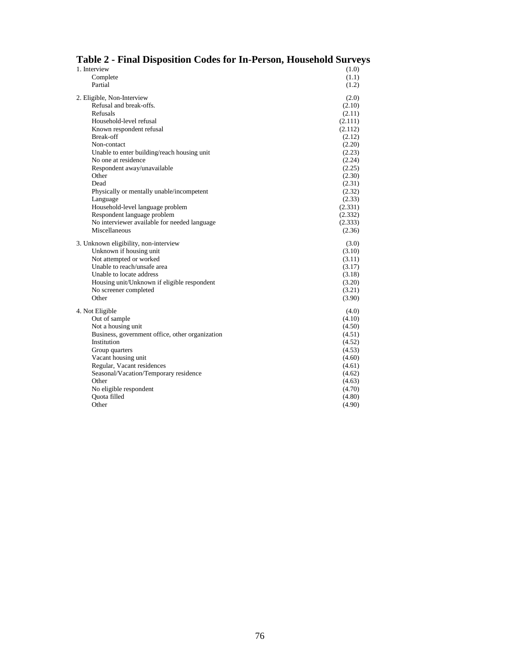| тиміс 2<br>Thin Disposition Cours for in Ferson, Household Surveys |                  |
|--------------------------------------------------------------------|------------------|
| 1. Interview                                                       | (1.0)            |
| Complete                                                           | (1.1)            |
| Partial                                                            | (1.2)            |
| 2. Eligible, Non-Interview                                         | (2.0)            |
| Refusal and break-offs.                                            | (2.10)           |
| Refusals                                                           | (2.11)           |
| Household-level refusal                                            | (2.111)          |
| Known respondent refusal                                           | (2.112)          |
| Break-off                                                          | (2.12)           |
| Non-contact                                                        | (2.20)           |
| Unable to enter building/reach housing unit                        | (2.23)           |
| No one at residence                                                | (2.24)           |
| Respondent away/unavailable                                        | (2.25)           |
| Other                                                              | (2.30)           |
| Dead                                                               | (2.31)           |
| Physically or mentally unable/incompetent                          | (2.32)           |
| Language                                                           | (2.33)           |
| Household-level language problem                                   | (2.331)          |
| Respondent language problem                                        | (2.332)          |
| No interviewer available for needed language                       | (2.333)          |
| Miscellaneous                                                      | (2.36)           |
| 3. Unknown eligibility, non-interview                              | (3.0)            |
| Unknown if housing unit                                            | (3.10)           |
| Not attempted or worked                                            | (3.11)           |
| Unable to reach/unsafe area                                        | (3.17)           |
| Unable to locate address                                           | (3.18)           |
| Housing unit/Unknown if eligible respondent                        | (3.20)           |
| No screener completed                                              | (3.21)           |
| Other                                                              | (3.90)           |
| 4. Not Eligible                                                    | (4.0)            |
| Out of sample                                                      | (4.10)           |
| Not a housing unit                                                 | (4.50)           |
| Business, government office, other organization                    | (4.51)           |
| Institution                                                        | (4.52)           |
| Group quarters                                                     | (4.53)           |
| Vacant housing unit                                                | (4.60)           |
| Regular, Vacant residences                                         | (4.61)           |
| Seasonal/Vacation/Temporary residence                              | (4.62)           |
| Other                                                              | (4.63)           |
| No eligible respondent<br><b>Ouota</b> filled                      | (4.70)<br>(4.80) |
| Other                                                              |                  |
|                                                                    | (4.90)           |

### **Table 2 - Final Disposition Codes for In-Person, Household Surveys**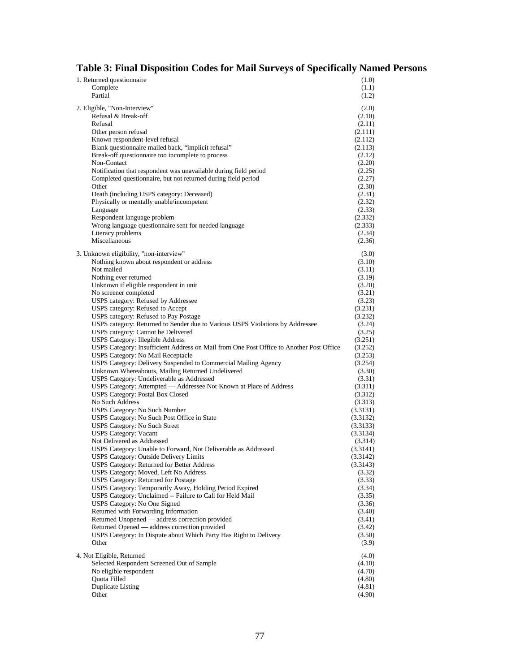#### **Table 3: Final Disposition Codes for Mail Surveys of Specifically Named Persons**

| 1. Returned questionnaire                                                               | (1.0)                |
|-----------------------------------------------------------------------------------------|----------------------|
| Complete                                                                                | (1.1)                |
| Partial                                                                                 | (1.2)                |
| 2. Eligible, "Non-Interview"                                                            | (2.0)                |
| Refusal & Break-off                                                                     | (2.10)               |
| Refusal                                                                                 | (2.11)               |
| Other person refusal                                                                    | (2.111)              |
| Known respondent-level refusal                                                          | (2.112)              |
| Blank questionnaire mailed back, "implicit refusal"                                     | (2.113)              |
| Break-off questionnaire too incomplete to process                                       | (2.12)               |
| Non-Contact                                                                             | (2.20)               |
| Notification that respondent was unavailable during field period                        | (2.25)               |
| Completed questionnaire, but not returned during field period                           | (2.27)               |
| Other                                                                                   | (2.30)               |
| Death (including USPS category: Deceased)<br>Physically or mentally unable/incompetent  | (2.31)<br>(2.32)     |
| Language                                                                                | (2.33)               |
| Respondent language problem                                                             | (2.332)              |
| Wrong language questionnaire sent for needed language                                   | (2.333)              |
| Literacy problems                                                                       | (2.34)               |
| Miscellaneous                                                                           | (2.36)               |
|                                                                                         |                      |
| 3. Unknown eligibility, "non-interview"                                                 | (3.0)                |
| Nothing known about respondent or address                                               | (3.10)               |
| Not mailed                                                                              | (3.11)               |
| Nothing ever returned<br>Unknown if eligible respondent in unit                         | (3.19)<br>(3.20)     |
| No screener completed                                                                   | (3.21)               |
| USPS category: Refused by Addressee                                                     | (3.23)               |
| USPS category: Refused to Accept                                                        | (3.231)              |
| USPS category: Refused to Pay Postage                                                   | (3.232)              |
| USPS category: Returned to Sender due to Various USPS Violations by Addressee           | (3.24)               |
| USPS category: Cannot be Delivered                                                      | (3.25)               |
| <b>USPS Category: Illegible Address</b>                                                 | (3.251)              |
| USPS Category: Insufficient Address on Mail from One Post Office to Another Post Office | (3.252)              |
| <b>USPS Category: No Mail Receptacle</b>                                                | (3.253)              |
| USPS Category: Delivery Suspended to Commercial Mailing Agency                          | (3.254)              |
| Unknown Whereabouts, Mailing Returned Undelivered                                       | (3.30)               |
| USPS Category: Undeliverable as Addressed                                               | (3.31)               |
| USPS Category: Attempted — Addressee Not Known at Place of Address                      | (3.311)              |
| <b>USPS Category: Postal Box Closed</b>                                                 | (3.312)              |
| No Such Address<br><b>USPS Category: No Such Number</b>                                 | (3.313)              |
| USPS Category: No Such Post Office in State                                             | (3.3131)<br>(3.3132) |
| <b>USPS Category: No Such Street</b>                                                    | (3.3133)             |
| <b>USPS Category: Vacant</b>                                                            | (3.3134)             |
| Not Delivered as Addressed                                                              | (3.314)              |
| USPS Category: Unable to Forward, Not Deliverable as Addressed                          | (3.3141)             |
| USPS Category: Outside Delivery Limits                                                  | (3.3142)             |
| USPS Category: Returned for Better Address                                              | (3.3143)             |
| USPS Category: Moved, Left No Address                                                   | (3.32)               |
| <b>USPS Category: Returned for Postage</b>                                              | (3.33)               |
| USPS Category: Temporarily Away, Holding Period Expired                                 | (3.34)               |
| USPS Category: Unclaimed -- Failure to Call for Held Mail                               | (3.35)               |
| USPS Category: No One Signed                                                            | (3.36)               |
| Returned with Forwarding Information                                                    | (3.40)               |
| Returned Unopened — address correction provided                                         | (3.41)               |
| Returned Opened — address correction provided                                           | (3.42)               |
| USPS Category: In Dispute about Which Party Has Right to Delivery                       | (3.50)               |
| Other                                                                                   | (3.9)                |
| 4. Not Eligible, Returned                                                               | (4.0)                |
| Selected Respondent Screened Out of Sample                                              | (4.10)               |
| No eligible respondent                                                                  | (4.70)               |
| Quota Filled                                                                            | (4.80)               |
| <b>Duplicate Listing</b>                                                                | (4.81)               |
| Other                                                                                   | (4.90)               |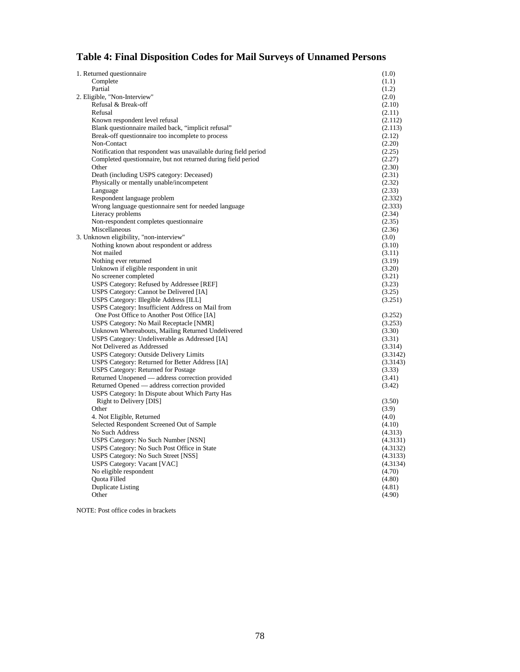# **Table 4: Final Disposition Codes for Mail Surveys of Unnamed Persons**

| 1. Returned questionnaire                                        | (1.0)    |
|------------------------------------------------------------------|----------|
| Complete                                                         | (1.1)    |
| Partial                                                          | (1.2)    |
| 2. Eligible, "Non-Interview"                                     | (2.0)    |
| Refusal & Break-off                                              | (2.10)   |
| Refusal                                                          | (2.11)   |
| Known respondent level refusal                                   | (2.112)  |
| Blank questionnaire mailed back, "implicit refusal"              | (2.113)  |
| Break-off questionnaire too incomplete to process                | (2.12)   |
| Non-Contact                                                      | (2.20)   |
| Notification that respondent was unavailable during field period | (2.25)   |
| Completed questionnaire, but not returned during field period    | (2.27)   |
| Other                                                            | (2.30)   |
| Death (including USPS category: Deceased)                        | (2.31)   |
| Physically or mentally unable/incompetent                        | (2.32)   |
| Language                                                         | (2.33)   |
| Respondent language problem                                      | (2.332)  |
| Wrong language questionnaire sent for needed language            | (2.333)  |
| Literacy problems                                                | (2.34)   |
| Non-respondent completes questionnaire                           | (2.35)   |
| Miscellaneous                                                    | (2.36)   |
| 3. Unknown eligibility, "non-interview"                          | (3.0)    |
| Nothing known about respondent or address                        | (3.10)   |
| Not mailed                                                       | (3.11)   |
| Nothing ever returned                                            | (3.19)   |
| Unknown if eligible respondent in unit                           | (3.20)   |
| No screener completed                                            | (3.21)   |
| USPS Category: Refused by Addressee [REF]                        | (3.23)   |
| USPS Category: Cannot be Delivered [IA]                          | (3.25)   |
| USPS Category: Illegible Address [ILL]                           | (3.251)  |
| USPS Category: Insufficient Address on Mail from                 |          |
| One Post Office to Another Post Office [IA]                      | (3.252)  |
| USPS Category: No Mail Receptacle [NMR]                          | (3.253)  |
| Unknown Whereabouts, Mailing Returned Undelivered                | (3.30)   |
| USPS Category: Undeliverable as Addressed [IA]                   | (3.31)   |
| Not Delivered as Addressed                                       | (3.314)  |
| <b>USPS Category: Outside Delivery Limits</b>                    | (3.3142) |
| USPS Category: Returned for Better Address [IA]                  | (3.3143) |
| <b>USPS Category: Returned for Postage</b>                       | (3.33)   |
| Returned Unopened — address correction provided                  | (3.41)   |
| Returned Opened — address correction provided                    | (3.42)   |
| USPS Category: In Dispute about Which Party Has                  |          |
| Right to Delivery [DIS]                                          | (3.50)   |
| Other                                                            | (3.9)    |
| 4. Not Eligible, Returned                                        | (4.0)    |
| Selected Respondent Screened Out of Sample                       | (4.10)   |
| No Such Address                                                  | (4.313)  |
| USPS Category: No Such Number [NSN]                              | (4.3131) |
| USPS Category: No Such Post Office in State                      | (4.3132) |
| USPS Category: No Such Street [NSS]                              | (4.3133) |
| USPS Category: Vacant [VAC]                                      | (4.3134) |
| No eligible respondent                                           | (4.70)   |
| Quota Filled                                                     | (4.80)   |
| <b>Duplicate Listing</b>                                         | (4.81)   |
| Other                                                            | (4.90)   |

NOTE: Post office codes in brackets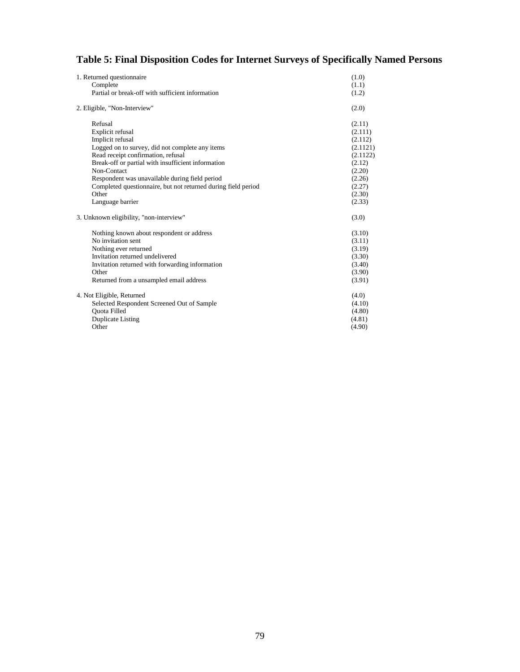# **Table 5: Final Disposition Codes for Internet Surveys of Specifically Named Persons**

| 1. Returned questionnaire                                     | (1.0)    |
|---------------------------------------------------------------|----------|
| Complete                                                      | (1.1)    |
| Partial or break-off with sufficient information              | (1.2)    |
| 2. Eligible, "Non-Interview"                                  | (2.0)    |
| Refusal                                                       | (2.11)   |
| Explicit refusal                                              | (2.111)  |
| Implicit refusal                                              | (2.112)  |
| Logged on to survey, did not complete any items               | (2.1121) |
| Read receipt confirmation, refusal                            | (2.1122) |
| Break-off or partial with insufficient information            | (2.12)   |
| Non-Contact                                                   | (2.20)   |
| Respondent was unavailable during field period                | (2.26)   |
| Completed questionnaire, but not returned during field period | (2.27)   |
| Other                                                         | (2.30)   |
| Language barrier                                              | (2.33)   |
| 3. Unknown eligibility, "non-interview"                       | (3.0)    |
| Nothing known about respondent or address                     | (3.10)   |
| No invitation sent.                                           | (3.11)   |
| Nothing ever returned                                         | (3.19)   |
| Invitation returned undelivered                               | (3.30)   |
| Invitation returned with forwarding information               | (3.40)   |
| Other                                                         | (3.90)   |
| Returned from a unsampled email address                       | (3.91)   |
| 4. Not Eligible, Returned                                     | (4.0)    |
| Selected Respondent Screened Out of Sample                    | (4.10)   |
| <b>Ouota Filled</b>                                           | (4.80)   |
| <b>Duplicate Listing</b>                                      | (4.81)   |
| Other                                                         | (4.90)   |